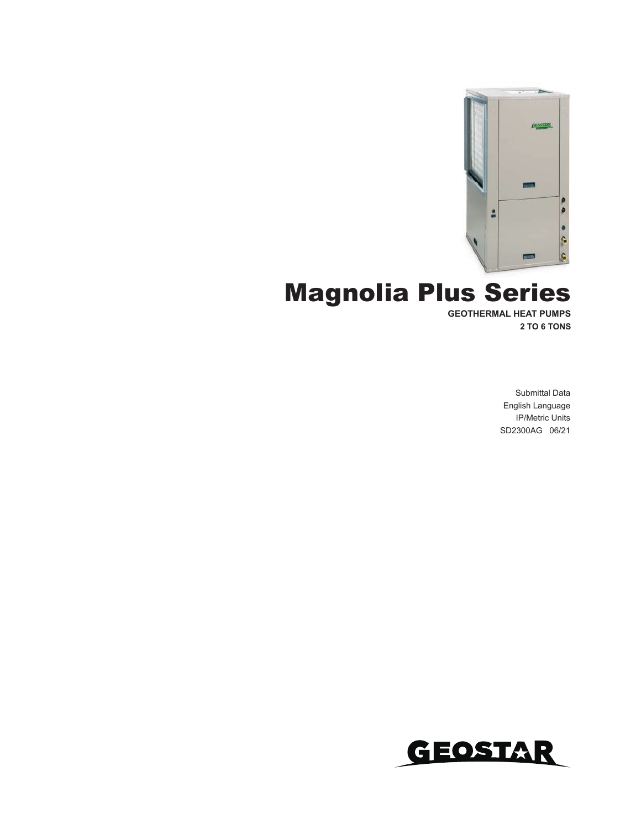

# **Magnolia Plus Series**

**GEOTHERMAL HEAT PUMPS 2 TO 6 TONS**

> Submittal Data English Language IP/Metric Units SD2300AG 06/21

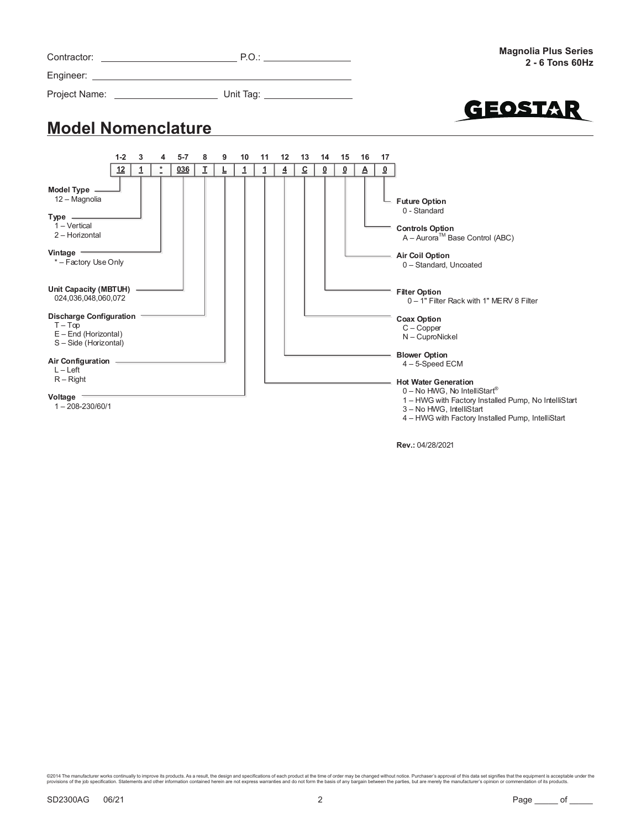|                                                                                                                         |       |   |            |         |    |   |              |    |    |                |    |                         |          | <b>Magnolia Plus Series</b><br>$2 - 6$ Tons 60Hz                                                                                                |
|-------------------------------------------------------------------------------------------------------------------------|-------|---|------------|---------|----|---|--------------|----|----|----------------|----|-------------------------|----------|-------------------------------------------------------------------------------------------------------------------------------------------------|
|                                                                                                                         |       |   |            |         |    |   |              |    |    |                |    |                         |          |                                                                                                                                                 |
|                                                                                                                         |       |   |            |         |    |   |              |    |    |                |    |                         |          | GEOSTAR                                                                                                                                         |
| <b>Model Nomenclature</b>                                                                                               |       |   |            |         |    |   |              |    |    |                |    |                         |          |                                                                                                                                                 |
|                                                                                                                         | $1-2$ | 3 | 4          | $5 - 7$ | 8  | 9 | 10           | 11 | 12 | 13             | 14 | 15                      | 16       | 17                                                                                                                                              |
|                                                                                                                         | 12    | 1 | $^{\star}$ | 036     | Ι. |   | $\mathbf{1}$ | 1  | 4  | $\overline{c}$ | ፬  | $\overline{\mathbf{0}}$ | $\Delta$ | $\overline{\mathbf{0}}$                                                                                                                         |
| Model Type -<br>12 – Magnolia<br>$Type \_\_$<br>$1 - Vertical$<br>2 - Horizontal<br>Vintage $=$<br>* - Factory Use Only |       |   |            |         |    |   |              |    |    |                |    |                         |          | └ Future Option<br>0 - Standard<br><b>Controls Option</b><br>A - Aurora™ Base Control (ABC)<br><b>Air Coil Option</b><br>0 - Standard, Uncoated |
| Unit Capacity (MBTUH) -<br>024,036,048,060,072                                                                          |       |   |            |         |    |   |              |    |    |                |    |                         |          | <b>Filter Option</b><br>0 - 1" Filter Rack with 1" MERV 8 Filter                                                                                |
| Discharge Configuration<br>$T-Top$<br>$E$ – End (Horizontal)<br>S-Side (Horizontal)                                     |       |   |            |         |    |   |              |    |    |                |    |                         |          | <b>Coax Option</b><br>$C - Copper$<br>N - CuproNickel                                                                                           |
| Air Configuration ___________<br>$L - Left$<br>$R -$ Right                                                              |       |   |            |         |    |   |              |    |    |                |    |                         |          | <b>Blower Option</b><br>$4 - 5$ -Speed ECM<br><b>Hot Water Generation</b><br>$0 - No$ HWG, No IntelliStart®                                     |

**Voltage**

1 – 208-230/60/1

©2014 The manufacturer works continually to improve its products. As a result, the design and specifications of each product at the time of order may be changed without notice. Purchaser's approval of this data set signif

1 – HWG with Factory Installed Pump, No IntelliStart

4 – HWG with Factory Installed Pump, IntelliStart

3 – No HWG, IntelliStart

**Rev.:** 04/28/2021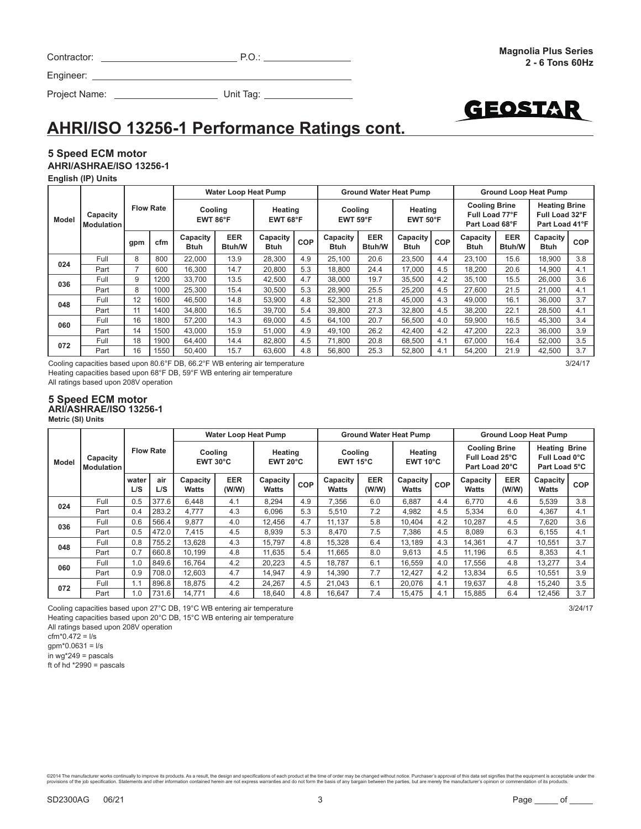| Contractor: | P.O. |  |
|-------------|------|--|
|             |      |  |

Project Name: Unit Tag:

# **AHRI/ISO 13256-1 Performance Ratings cont.**

### **5 Speed ECM motor AHRI/ASHRAE/ISO 13256-1**

**English (IP) Units**

Engineer:

|              |                               |     |                  |                         | <b>Water Loop Heat Pump</b> |                         |     |                              |                             | <b>Ground Water Heat Pump</b>    |     |                                                          |                      | <b>Ground Loop Heat Pump</b>                             |     |
|--------------|-------------------------------|-----|------------------|-------------------------|-----------------------------|-------------------------|-----|------------------------------|-----------------------------|----------------------------------|-----|----------------------------------------------------------|----------------------|----------------------------------------------------------|-----|
| <b>Model</b> | Capacity<br><b>Modulation</b> |     | <b>Flow Rate</b> | Cooling<br>EWT 86°F     |                             | Heating<br>EWT 68°F     |     | Cooling<br>$EWT 59^{\circ}F$ |                             | Heating<br>EWT 50 <sup>°</sup> F |     | <b>Cooling Brine</b><br>Full Load 77°F<br>Part Load 68°F |                      | <b>Heating Brine</b><br>Full Load 32°F<br>Part Load 41°F |     |
|              |                               | gpm | cfm              | Capacity<br><b>Btuh</b> | <b>EER</b><br>Btuh/W        | Capacity<br><b>Btuh</b> | COP | Capacity<br>Btuh             | <b>EER</b><br><b>Btuh/W</b> | Capacity<br><b>Btuh</b>          | COP | Capacity<br>Btuh                                         | <b>EER</b><br>Btuh/W | Capacity<br><b>Btuh</b>                                  | COP |
| 024          | Full                          | 8   | 800              | 22,000                  | 13.9                        | 28.300                  | 4.9 | 25.100                       | 20.6                        | 23,500                           | 4.4 | 23,100                                                   | 15.6                 | 18.900                                                   | 3.8 |
|              | Part                          | 7   | 600              | 16,300                  | 14.7                        | 20,800                  | 5.3 | 18,800                       | 24.4                        | 17,000                           | 4.5 | 18,200                                                   | 20.6                 | 14,900                                                   | 4.1 |
| 036          | Full                          | 9   | 1200             | 33,700                  | 13.5                        | 42,500                  | 4.7 | 38,000                       | 19.7                        | 35,500                           | 4.2 | 35,100                                                   | 15.5                 | 26,000                                                   | 3.6 |
|              | Part                          | 8   | 1000             | 25,300                  | 15.4                        | 30,500                  | 5.3 | 28,900                       | 25.5                        | 25,200                           | 4.5 | 27.600                                                   | 21.5                 | 21,000                                                   | 4.1 |
| 048          | Full                          | 12  | 1600             | 46,500                  | 14.8                        | 53,900                  | 4.8 | 52.300                       | 21.8                        | 45,000                           | 4.3 | 49.000                                                   | 16.1                 | 36,000                                                   | 3.7 |
|              | Part                          | 11  | 1400             | 34.800                  | 16.5                        | 39.700                  | 5.4 | 39.800                       | 27.3                        | 32.800                           | 4.5 | 38.200                                                   | 22.1                 | 28.500                                                   | 4.1 |
| 060          | Full                          | 16  | 1800             | 57.200                  | 14.3                        | 69.000                  | 4.5 | 64.100                       | 20.7                        | 56,500                           | 4.0 | 59.900                                                   | 16.5                 | 45.300                                                   | 3.4 |
|              | Part                          | 14  | 1500             | 43.000                  | 15.9                        | 51.000                  | 4.9 | 49.100                       | 26.2                        | 42.400                           | 4.2 | 47.200                                                   | 22.3                 | 36,000                                                   | 3.9 |
| 072          | Full                          | 18  | 1900             | 64.400                  | 14.4                        | 82.800                  | 4.5 | 71.800                       | 20.8                        | 68.500                           | 4.1 | 67.000                                                   | 16.4                 | 52,000                                                   | 3.5 |
|              | Part                          | 16  | 1550             | 50,400                  | 15.7                        | 63.600                  | 4.8 | 56,800                       | 25.3                        | 52,800                           | 4.1 | 54.200                                                   | 21.9                 | 42,500                                                   | 3.7 |

Cooling capacities based upon 80.6°F DB, 66.2°F WB entering air temperature 3/24/17 Heating capacities based upon 68°F DB, 59°F WB entering air temperature All ratings based upon 208V operation

#### **5 Speed ECM motor ARI/ASHRAE/ISO 13256-1**

**Metric (SI) Units**

|       |                               |              |                  |                              | <b>Water Loop Heat Pump</b> |                              |            |                              |                     | <b>Ground Water Heat Pump</b> |     |                                                          |                     | <b>Ground Loop Heat Pump</b>                           |            |
|-------|-------------------------------|--------------|------------------|------------------------------|-----------------------------|------------------------------|------------|------------------------------|---------------------|-------------------------------|-----|----------------------------------------------------------|---------------------|--------------------------------------------------------|------------|
| Model | Capacity<br><b>Modulation</b> |              | <b>Flow Rate</b> | Cooling<br>$EWT 30^{\circ}C$ |                             | Heating<br>$EWT 20^{\circ}C$ |            | Cooling<br>$EWT 15^{\circ}C$ |                     | Heating<br>$EWT 10^{\circ}C$  |     | <b>Cooling Brine</b><br>Full Load 25°C<br>Part Load 20°C |                     | <b>Heating Brine</b><br>Full Load 0°C<br>Part Load 5°C |            |
|       |                               | water<br>L/S | air<br>L/S       | Capacity<br><b>Watts</b>     | <b>EER</b><br>(W/W)         | Capacity<br>Watts            | <b>COP</b> | Capacity<br><b>Watts</b>     | <b>EER</b><br>(W/W) | Capacity<br>Watts             | COP | Capacity<br><b>Watts</b>                                 | <b>EER</b><br>(W/W) | Capacity<br><b>Watts</b>                               | <b>COP</b> |
| 024   | Full                          | 0.5          | 377.6            | 6.448                        | 4.1                         | 8.294                        | 4.9        | 7.356                        | 6.0                 | 6.887                         | 4.4 | 6.770                                                    | 4.6                 | 5.539                                                  | 3.8        |
|       | Part                          | 0.4          | 283.2            | 4.777                        | 4.3                         | 6.096                        | 5.3        | 5.510                        | 7.2                 | 4.982                         | 4.5 | 5.334                                                    | 6.0                 | 4.367                                                  | 4.1        |
| 036   | Full                          | 0.6          | 566.4            | 9.877                        | 4.0                         | 12.456                       | 4.7        | 11.137                       | 5.8                 | 10.404                        | 4.2 | 10.287                                                   | 4.5                 | 7.620                                                  | 3.6        |
|       | Part                          | 0.5          | 472.0            | 7.415                        | 4.5                         | 8,939                        | 5.3        | 8.470                        | 7.5                 | 7.386                         | 4.5 | 8,089                                                    | 6.3                 | 6.155                                                  | 4.1        |
| 048   | Full                          | 0.8          | 755.2            | 13,628                       | 4.3                         | 15.797                       | 4.8        | 15.328                       | 6.4                 | 13.189                        | 4.3 | 14.361                                                   | 4.7                 | 10.551                                                 | 3.7        |
|       | Part                          | 0.7          | 660.8            | 10.199                       | 4.8                         | 11.635                       | 5.4        | 11.665                       | 8.0                 | 9.613                         | 4.5 | 11.196                                                   | 6.5                 | 8.353                                                  | 4.1        |
| 060   | Full                          | 1.0          | 849.6            | 16.764                       | 4.2                         | 20.223                       | 4.5        | 18.787                       | 6.1                 | 16.559                        | 4.0 | 17.556                                                   | 4.8                 | 13.277                                                 | 3.4        |
|       | Part                          | 0.9          | 708.0            | 12.603                       | 4.7                         | 14.947                       | 4.9        | 14.390                       | 7.7                 | 12.427                        | 4.2 | 13,834                                                   | 6.5                 | 10.551                                                 | 3.9        |
| 072   | Full                          | 1.1          | 896.8            | 18,875                       | 4.2                         | 24,267                       | 4.5        | 21,043                       | 6.1                 | 20.076                        | 4.1 | 19,637                                                   | 4.8                 | 15.240                                                 | 3.5        |
|       | Part                          | 1.0          | 731.6            | 14.771                       | 4.6                         | 18.640                       | 4.8        | 16.647                       | 7.4                 | 15.475                        | 4.1 | 15.885                                                   | 6.4                 | 12.456                                                 | 3.7        |

Cooling capacities based upon 27°C DB, 19°C WB entering air temperature 3/24/17 Heating capacities based upon 20°C DB, 15°C WB entering air temperature All ratings based upon 208V operation

 $cfm*0.472 = 1/s$ 

 $gpm*0.0631 = 1/s$  $in$  wg\*249 = pascals

ft of hd \*2990 = pascals

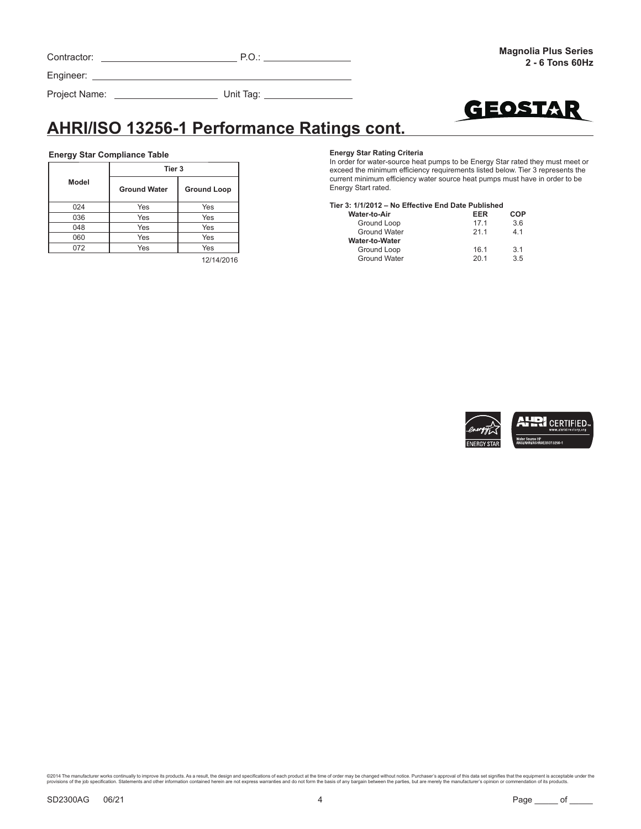| Contractor: |  |
|-------------|--|
|             |  |

Project Name: Unit Tag:



# **AHRI/ISO 13256-1 Performance Ratings cont.**

#### **Energy Star Compliance Table**

|       | Tier 3              |                    |
|-------|---------------------|--------------------|
| Model | <b>Ground Water</b> | <b>Ground Loop</b> |
| 024   | Yes                 | Yes                |
| 036   | Yes                 | Yes                |
| 048   | Yes                 | Yes                |
| 060   | Yes                 | Yes                |
| 072   | Yes                 | Yes                |

12/14/2016

#### **Energy Star Rating Criteria**

In order for water-source heat pumps to be Energy Star rated they must meet or exceed the minimum efficiency requirements listed below. Tier 3 represents the current minimum efficiency water source heat pumps must have in order to be Energy Start rated.

#### **Tier 3: 1/1/2012 – No Effective End Date Published**

| EER  | COP            |
|------|----------------|
| 171  | 3.6            |
| 211  | 41             |
|      |                |
| 16.1 | 3 <sub>1</sub> |
| 201  | 35             |
|      |                |

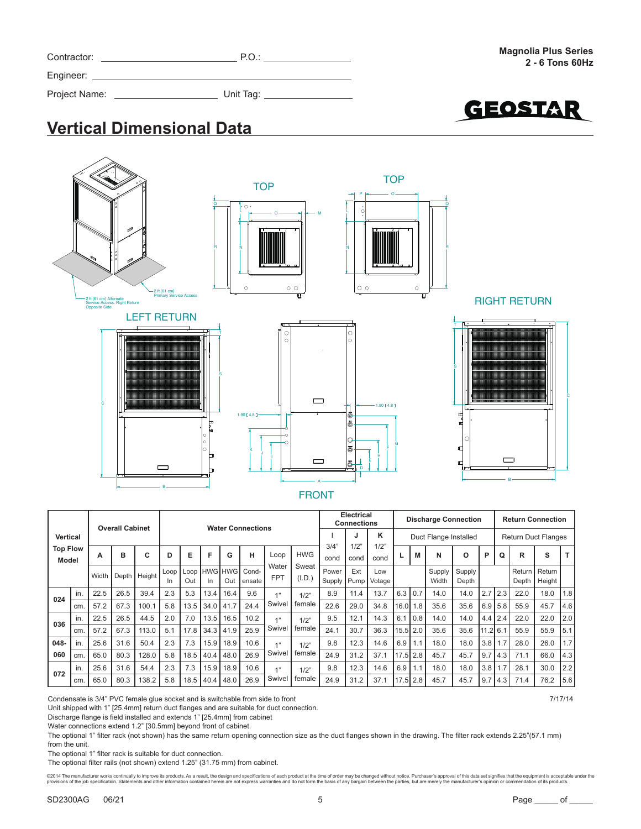| Contractor:   | P.O.                        |  |
|---------------|-----------------------------|--|
|               |                             |  |
| Project Name: | Unit Tag: _________________ |  |

GEOSTAR

# **Vertical Dimensional Data**



|                          |     |       | <b>Overall Cabinet</b> |        |             |      |      |                     | <b>Water Connections</b> |                     |                 |                        | <b>Electrical</b><br><b>Connections</b> |                 |            |                  | <b>Discharge Connection</b> |                 |                  |             |                   | <b>Return Connection</b>   |     |
|--------------------------|-----|-------|------------------------|--------|-------------|------|------|---------------------|--------------------------|---------------------|-----------------|------------------------|-----------------------------------------|-----------------|------------|------------------|-----------------------------|-----------------|------------------|-------------|-------------------|----------------------------|-----|
| <b>Vertical</b>          |     |       |                        |        |             |      |      |                     |                          |                     |                 |                        | J                                       | κ               |            |                  | Duct Flange Installed       |                 |                  |             |                   | <b>Return Duct Flanges</b> |     |
| <b>Top Flow</b><br>Model |     | A     | в                      | c      | D           | Е    | E    | G                   | н                        | Loop                | <b>HWG</b>      | 3/4"<br>cond           | 1/2"<br>cond                            | 1/2"<br>cond    | ч          | M                | N                           | O               | P                | Q           | R                 | s                          | т   |
|                          |     | Width | Depth                  | Height | Loop<br>In. | Out  | In.  | Loop HWG HWG<br>Out | Cond-<br>ensate          | Water<br><b>FPT</b> | Sweat<br>(I.D.) | Power<br><b>Supply</b> | Ext<br>Pump!                            | Low<br>Votage I |            |                  | Supply<br>Width             | Supply<br>Depth |                  |             | Return  <br>Depth | Return<br>Height           |     |
| 024                      | in. | 22.5  | 26.5                   | 39.4   | 2.3         | 5.3  | 13.4 | 16.4                | 9.6                      | 411                 | 1/2"            | 8.9                    | 11.4                                    | 13.7            | 6.3        | $\overline{0.7}$ | 14.0                        | 14.0            | 2.7              | 2.3         | 22.0              | 18.0                       | 1.8 |
|                          | cm  | 57.2  | 67.3                   | 100.1  | 5.8         | 13.5 | 34.0 | 41.7                | 24.4                     | Swivel              | female          | 22.6                   | 29.0                                    | 34.8            | 16.011.8   |                  | 35.6                        | 35.6            |                  | $6.9$ 5.8   | 55.9              | 45.7                       | 4.6 |
| 036                      | in. | 22.5  | 26.5                   | 44.5   | 2.0         | 7.0  | 13.5 | 16.5                | 10.2                     | 47                  | 1/2"            | 9.5                    | 12.1                                    | 14.3            | 6.1        | l 0.8            | 14.0                        | 14.0            | 4.4              | 2.4         | 22.0              | 22.0                       | 2.0 |
|                          | cm  | 57.2  | 67.3                   | 113.0  | 5.1         | 17.8 | 34.3 | 41.9                | 25.9                     | Swivel              | female          | 24.1                   | 30.7                                    | 36.3            |            | 15.5 2.0         | 35.6                        | 35.6            | $11.2$ 6.1       |             | 55.9              | 55.9                       | 5.1 |
| 048-                     | in. | 25.6  | 31.6                   | 50.4   | 2.3         | 7.3  | 15.9 | 18.9                | 10.6                     | 47                  | 1/2"            | 9.8                    | 12.3                                    | 14.6            | 6.9        | 1.1              | 18.0                        | 18.0            |                  | $3.8$   1.7 | 28.0              | 26.0                       | 1.7 |
| 060                      | cm  | 65.0  | 80.3                   | 128.0  | 5.8         | 18.5 | 40.4 | 48.0                | 26.9                     | Swivel              | female          | 24.9                   | 31.2                                    | 37.1            | $17.5$ 2.8 |                  | 45.7                        | 45.7            | 9.7 <sub>1</sub> | 4.3         | 71.1              | 66.0                       | 4.3 |
| 072                      | in. | 25.6  | 31.6                   | 54.4   | 2.3         | 7.3  | 15.9 | 18.9                | 10.6                     | $A$ 33              | 1/2"            | 9.8                    | 12.3                                    | 14.6            | 6.9        | 1.1              | 18.0                        | 18.0            |                  | $3.8$   1.7 | 28.1              | 30.0                       | 2.2 |
|                          | cm  | 65.0  | 80.3                   | 138.2  | 5.8         | 18.5 | 40.4 | 48.0                | 26.9                     | Swivel              | female          | 24.9                   | 31.2                                    | 37.1            | $17.5$ 2.8 |                  | 45.7                        | 45.7            | 9.7              | 4.3         | 71.4              | 76.2                       | 5.6 |

Condensate is 3/4" PVC female glue socket and is switchable from side to front 7/17/14

Unit shipped with 1" [25.4mm] return duct flanges and are suitable for duct connection.

Discharge flange is field installed and extends 1" [25.4mm] from cabinet

Water connections extend 1.2" [30.5mm] beyond front of cabinet.

The optional 1" filter rack (not shown) has the same return opening connection size as the duct flanges shown in the drawing. The filter rack extends 2.25"(57.1 mm) from the unit.

The optional 1" filter rack is suitable for duct connection.

The optional filter rails (not shown) extend 1.25" (31.75 mm) from cabinet.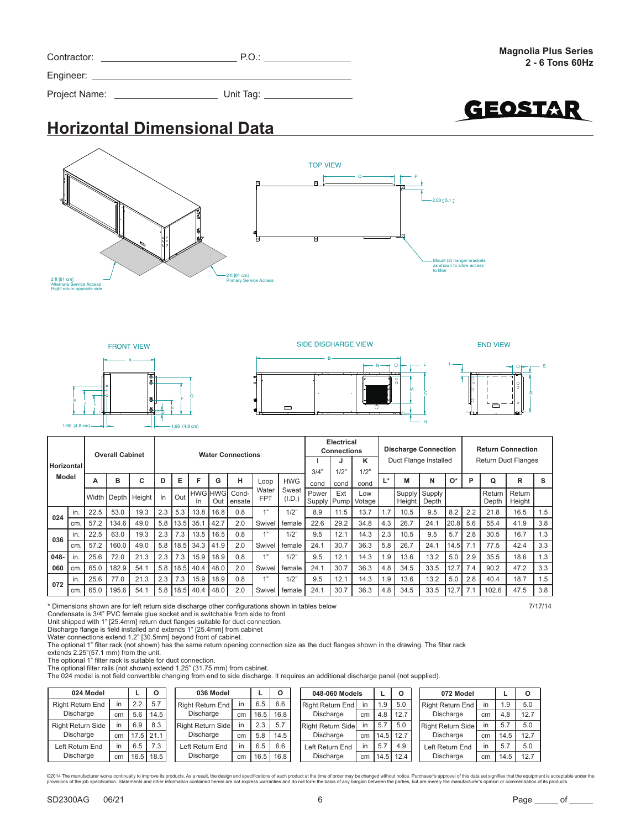| 2 ft [61 cm]<br><b>Alternate Service Access</b><br>Right return opposite side |  | $-2$ ft $161$ cm<br><b>Primary Service Access</b> |
|-------------------------------------------------------------------------------|--|---------------------------------------------------|
|                                                                               |  |                                                   |

**Horizontal Dimensional Data**

Contractor: P.O.:

Project Name: Unit Tag:



0 <del>- 1</del> - P

TOP VIEW

2.00 5.1

Mount (2) hanger brackets as shown to allow access to filter

|      |                                                                                                                                                                                                                                                                                                                                                                                                                                                                                                                                                                                                                                                                                                                                                                                                                                                                                                                                                                                                                           |      |       |      |     |     |      |      |                 |            |        |       |      | κ             |     |        |       |      |     |                 |                  |         |
|------|---------------------------------------------------------------------------------------------------------------------------------------------------------------------------------------------------------------------------------------------------------------------------------------------------------------------------------------------------------------------------------------------------------------------------------------------------------------------------------------------------------------------------------------------------------------------------------------------------------------------------------------------------------------------------------------------------------------------------------------------------------------------------------------------------------------------------------------------------------------------------------------------------------------------------------------------------------------------------------------------------------------------------|------|-------|------|-----|-----|------|------|-----------------|------------|--------|-------|------|---------------|-----|--------|-------|------|-----|-----------------|------------------|---------|
|      |                                                                                                                                                                                                                                                                                                                                                                                                                                                                                                                                                                                                                                                                                                                                                                                                                                                                                                                                                                                                                           |      |       |      |     |     |      |      |                 |            |        | 3/4"  | 1/2" | 1/2"          |     |        |       |      |     |                 |                  |         |
|      |                                                                                                                                                                                                                                                                                                                                                                                                                                                                                                                                                                                                                                                                                                                                                                                                                                                                                                                                                                                                                           |      |       |      |     |     |      |      |                 |            |        | cond  | cond | cond          |     |        |       |      |     |                 |                  | s       |
|      |                                                                                                                                                                                                                                                                                                                                                                                                                                                                                                                                                                                                                                                                                                                                                                                                                                                                                                                                                                                                                           |      |       |      | In  |     | In   | Out  | Cond-<br>ensate | <b>FPT</b> | (I.D.) | Power | Ext  | Low<br>Votage |     | Height | Depth |      |     | Return<br>Depth | Return<br>Height |         |
|      | in.                                                                                                                                                                                                                                                                                                                                                                                                                                                                                                                                                                                                                                                                                                                                                                                                                                                                                                                                                                                                                       | 22.5 | 53.0  | 19.3 | 2.3 | 5.3 | 13.8 | 16.8 | 0.8             | 1"         | 1/2"   | 8.9   | 11.5 | 13.7          | 1.7 | 10.5   | 9.5   | 8.2  | 2.2 | 21.8            | 16.5             | 1.5     |
|      | cm.                                                                                                                                                                                                                                                                                                                                                                                                                                                                                                                                                                                                                                                                                                                                                                                                                                                                                                                                                                                                                       | 57.2 | 134.6 | 49.0 | 5.8 |     | 35.1 | 42.7 | 2.0             | Swivel     | female | 22.6  | 29.2 | 34.8          | 4.3 | 26.7   | 24.1  | 20.8 | 5.6 | 55.4            | 41.9             | 3.8     |
|      | in.                                                                                                                                                                                                                                                                                                                                                                                                                                                                                                                                                                                                                                                                                                                                                                                                                                                                                                                                                                                                                       | 22.5 | 63.0  | 19.3 | 2.3 | 7.3 | 13.5 | 16.5 | 0.8             | 4"         | 1/2"   | 9.5   | 12.1 | 14.3          | 2.3 | 10.5   | 9.5   | 5.7  | 2.8 | 30.5            | 16.7             | 1.3     |
|      | cm.                                                                                                                                                                                                                                                                                                                                                                                                                                                                                                                                                                                                                                                                                                                                                                                                                                                                                                                                                                                                                       | 57.2 | 160.0 | 49.0 | 5.8 |     | 34.3 | 41.9 | 2.0             | Swivel     | female | 24.1  | 30.7 | 36.3          | 5.8 | 26.7   | 24.1  |      | 7.1 | 77.5            | 42.4             | 3.3     |
| 048- | in.                                                                                                                                                                                                                                                                                                                                                                                                                                                                                                                                                                                                                                                                                                                                                                                                                                                                                                                                                                                                                       | 25.6 | 72.0  | 21.3 | 2.3 | 7.3 | 15.9 | 18.9 | 0.8             |            | 1/2"   | 9.5   | 12.1 | 14.3          | 1.9 | 13.6   | 13.2  | 5.0  | 2.9 | 35.5            | 18.6             | 1.3     |
| 060  | Overall Cabillet<br><b><i>VVALUE CONNUCLIONS</i></b><br>Duct Flange Installed<br><b>Return Duct Flanges</b><br>Horizontal<br><b>Model</b><br>B<br>F<br>L*<br>0*<br>С<br>Е<br>н<br>R<br>M<br>N<br>Q<br>G<br>D<br>D<br><b>HWG</b><br>А<br>Loop<br>Sweat<br>Water<br><b>HWG HWGI</b><br>Supply<br>Supply<br>Out<br>Width Depth<br>Height<br>Supply Pump<br>024<br>13.5<br>036<br>18.5<br>14.5<br>5.8<br>l 18.5 l<br>40.4<br>2.0<br>30.7<br>47.2<br>65.0<br>182.9<br>48.0<br>24.1<br>36.3<br>4.8<br>34.5<br>33.5<br>7.4<br>90.2<br>54.1<br>12.7<br>Swivel<br>female<br>cm.<br>4"<br>25.6<br>77.0<br>21.3<br>2.3<br>7.3<br>1/2"<br>9.5<br>12.1<br>18.7<br>15.9<br>18.9<br>0.8<br>14.3<br>1.9<br>13.6<br>13.2<br>5.0<br>2.8<br>40.4<br>in.<br>072<br>30.7<br>195.6<br>$5.8$   18.5<br>2.0<br>36.3<br>4.8<br>102.6<br>47.5<br>65.0<br>40.4<br>48.0<br>24.1<br>34.5<br>33.5<br>12.7<br>7.1<br>54.1<br>Swivel<br>female<br>cm.<br>* Dimensions shown are for left return side discharge other configurations shown in tables below |      | 3.3   |      |     |     |      |      |                 |            |        |       |      |               |     |        |       |      |     |                 |                  |         |
|      |                                                                                                                                                                                                                                                                                                                                                                                                                                                                                                                                                                                                                                                                                                                                                                                                                                                                                                                                                                                                                           |      |       |      |     |     |      |      |                 |            |        |       |      |               |     |        |       |      |     |                 |                  | 1.5     |
|      |                                                                                                                                                                                                                                                                                                                                                                                                                                                                                                                                                                                                                                                                                                                                                                                                                                                                                                                                                                                                                           |      |       |      |     |     |      |      |                 |            |        |       |      |               |     |        |       |      |     |                 |                  | 3.8     |
|      |                                                                                                                                                                                                                                                                                                                                                                                                                                                                                                                                                                                                                                                                                                                                                                                                                                                                                                                                                                                                                           |      |       |      |     |     |      |      |                 |            |        |       |      |               |     |        |       |      |     |                 |                  | 7/17/14 |

Condensate is 3/4" PVC female glue socket and is switchable from side to front

Unit shipped with 1" [25.4mm] return duct flanges suitable for duct connection.

Discharge flange is field installed and extends 1" [25.4mm] from cabinet<br>Water connections extend 1.2" [30.5mm] beyond front of cabinet.<br>The optional 1" filter rack (not shown) has the same return opening connection size a

extends 2.25"(57.1 mm) from the unit.

The optional 1" filter rack is suitable for duct connection.

The optional filter rails (not shown) extend 1.25" (31.75 mm) from cabinet. The 024 model is not field convertible changing from end to side discharge. It requires an additional discharge panel (not supplied).

| 024 Model                | O  |      |               | 036 Model         |    |      |             | 048-060 Models    |    |     |             | 072 Model         |    |      | $\circ$ |
|--------------------------|----|------|---------------|-------------------|----|------|-------------|-------------------|----|-----|-------------|-------------------|----|------|---------|
| <b>Right Return End</b>  |    | 2.2  | 5.7           | Right Return End  | in | 6.5  | 6.6         | Right Return End  | ın | 1.9 | 5.0         | Right Return End  | in | .9   | 5.0     |
| Discharge                | cm | 5.6  | 14.5          | Discharge         | cm |      | $16.5$ 16.8 | Discharge         | cm | 4.8 | 12.7        | Discharge         | cm | 4.8  | 12.7    |
| <b>Right Return Side</b> |    | 6.9  | 8.3           | Right Return Side | in | 2.3  | 5.7         | Right Return Side | in | 5.7 | 5.0         | Right Return Side | ın | 5.7  | 5.0     |
| Discharge                | cm |      | $17.5$   21.1 | Discharge         | cm | 5.8  | 14.5        | Discharge         | cm |     | 14.5 12.7   | Discharge         | cm | 14.5 | 12.7    |
| Left Return End          |    | 6.5  | 7.3           | Left Return End   | in | 6.5  | 6.6         | Left Return End   | in | 5.7 | 4.9         | Left Return End   | ın | 5.7  | 5.0     |
| Discharge                | cm | 16.5 | 18.5          | Discharge         | cm | 16.5 | 16.8        | Discharge         | cm |     | $14.5$ 12.4 | Discharge         | cm | 14.5 | 12.7    |

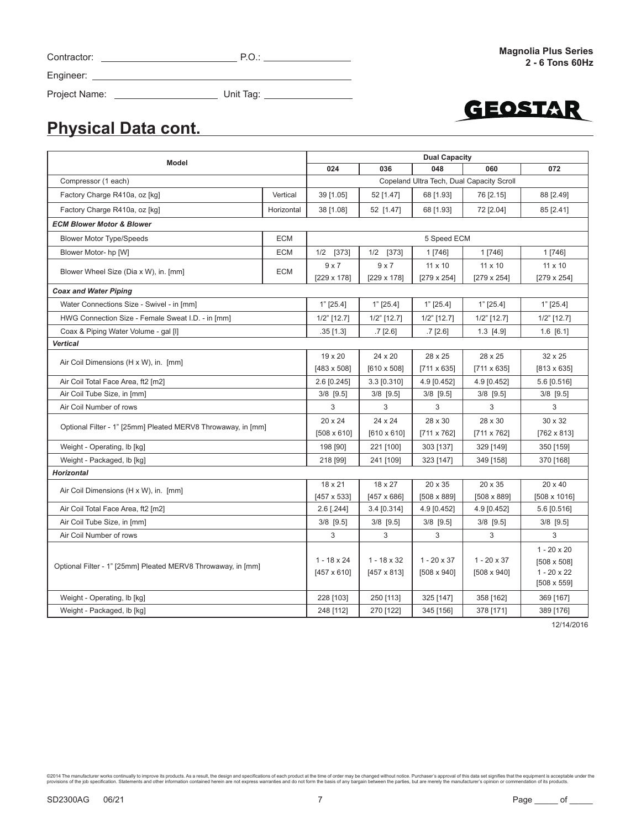# Project Name: Unit Tag:

Contractor: P.O.:



# **Physical Data cont.**

|                                                              |                    |                                                               |                    | <b>Dual Capacity</b> |                                           |                    |  |  |  |  |
|--------------------------------------------------------------|--------------------|---------------------------------------------------------------|--------------------|----------------------|-------------------------------------------|--------------------|--|--|--|--|
| Model                                                        |                    | 024                                                           | 036                | 048                  | 060                                       | 072                |  |  |  |  |
| Compressor (1 each)                                          |                    |                                                               |                    |                      | Copeland Ultra Tech, Dual Capacity Scroll |                    |  |  |  |  |
| Factory Charge R410a, oz [kg]                                | Vertical           | 39 [1.05]                                                     | 52 [1.47]          | 68 [1.93]            | 76 [2.15]                                 | 88 [2.49]          |  |  |  |  |
| Factory Charge R410a, oz [kg]                                | Horizontal         | 52 [1.47]<br>38 [1.08]<br>68 [1.93]<br>72 [2.04]<br>85 [2.41] |                    |                      |                                           |                    |  |  |  |  |
| <b>ECM Blower Motor &amp; Blower</b>                         |                    |                                                               |                    |                      |                                           |                    |  |  |  |  |
| <b>Blower Motor Type/Speeds</b>                              | <b>ECM</b>         |                                                               |                    | 5 Speed ECM          |                                           |                    |  |  |  |  |
| Blower Motor- hp [W]                                         | <b>ECM</b>         | 1/2 [373]                                                     | 1/2 [373]          | 1 [746]              | 1 [746]                                   | 1 [746]            |  |  |  |  |
| Blower Wheel Size (Dia x W), in. [mm]                        | <b>ECM</b>         | $9 \times 7$                                                  | 9x7                | 11 x 10              | $11 \times 10$                            | 11 x 10            |  |  |  |  |
|                                                              |                    | [229 x 178]                                                   | [229 x 178]        | $[279 \times 254]$   | $[279 \times 254]$                        | $[279 \times 254]$ |  |  |  |  |
| <b>Coax and Water Piping</b>                                 |                    |                                                               |                    |                      |                                           |                    |  |  |  |  |
| Water Connections Size - Swivel - in [mm]                    |                    | $1"$ [25.4]                                                   | $1"$ [25.4]        | $1"$ [25.4]          | $1"$ [25.4]                               | $1"$ [25.4]        |  |  |  |  |
| HWG Connection Size - Female Sweat I.D. - in [mm]            |                    | $1/2$ " [12.7]                                                | $1/2$ " [12.7]     | $1/2$ " [12.7]       | $1/2$ " [12.7]                            | $1/2$ " [12.7]     |  |  |  |  |
| Coax & Piping Water Volume - gal [I]                         | $.35$ [1.3]        | $.7$ [2.6]                                                    | $.7$ [2.6]         | $1.3$ [4.9]          | $1.6$ [6.1]                               |                    |  |  |  |  |
| Vertical                                                     |                    |                                                               |                    |                      |                                           |                    |  |  |  |  |
| Air Coil Dimensions (H x W), in. [mm]                        | $19 \times 20$     | 24 x 20                                                       | 28 x 25            | 28 x 25              | $32 \times 25$                            |                    |  |  |  |  |
|                                                              | $[483 \times 508]$ | $[610 \times 508]$                                            | $[711 \times 635]$ | $[711 \times 635]$   | $[813 \times 635]$                        |                    |  |  |  |  |
| Air Coil Total Face Area, ft2 [m2]                           | 2.6 [0.245]        | 3.3 [0.310]                                                   | 4.9 [0.452]        | 4.9 [0.452]          | 5.6 [0.516]                               |                    |  |  |  |  |
| Air Coil Tube Size, in [mm]                                  |                    | 3/8 [9.5]                                                     | 3/8 [9.5]          | 3/8 [9.5]            | $3/8$ [9.5]                               | 3/8 [9.5]          |  |  |  |  |
| Air Coil Number of rows                                      |                    | 3                                                             | 3                  | 3                    | 3                                         | 3                  |  |  |  |  |
| Optional Filter - 1" [25mm] Pleated MERV8 Throwaway, in [mm] |                    | $20 \times 24$                                                | 24 x 24            | 28 x 30              | 28 x 30                                   | 30 x 32            |  |  |  |  |
|                                                              |                    | $[508 \times 610]$                                            | $[610 \times 610]$ | $[711 \times 762]$   | [711 x 762]                               | $[762 \times 813]$ |  |  |  |  |
| Weight - Operating, lb [kg]                                  |                    | 198 [90]                                                      | 221 [100]          | 303 [137]            | 329 [149]                                 | 350 [159]          |  |  |  |  |
| Weight - Packaged, lb [kg]                                   |                    | 218 [99]                                                      | 241 [109]          | 323 [147]            | 349 [158]                                 | 370 [168]          |  |  |  |  |
| <b>Horizontal</b>                                            |                    |                                                               |                    |                      |                                           |                    |  |  |  |  |
| Air Coil Dimensions (H x W), in. [mm]                        |                    | 18 x 21                                                       | 18 x 27            | 20 x 35              | 20 x 35                                   | $20 \times 40$     |  |  |  |  |
|                                                              |                    | [457 x 533]                                                   | [457 x 686]        | $[508 \times 889]$   | $[508 \times 889]$                        | [508 x 1016]       |  |  |  |  |
| Air Coil Total Face Area, ft2 [m2]                           |                    | 2.6 [.244]                                                    | 3.4 [0.314]        | 4.9 [0.452]          | 4.9 [0.452]                               | 5.6 [0.516]        |  |  |  |  |
| Air Coil Tube Size, in [mm]                                  |                    | $3/8$ [9.5]                                                   | 3/8 [9.5]          | 3/8 [9.5]            | $3/8$ [9.5]                               | $3/8$ [9.5]        |  |  |  |  |
| Air Coil Number of rows                                      |                    | 3                                                             | 3                  | 3                    | 3                                         | 3                  |  |  |  |  |
|                                                              |                    |                                                               |                    |                      |                                           | $1 - 20 \times 20$ |  |  |  |  |
| Optional Filter - 1" [25mm] Pleated MERV8 Throwaway, in [mm] |                    | $1 - 18 \times 24$                                            | $1 - 18 \times 32$ | $1 - 20 \times 37$   | $1 - 20 \times 37$                        | [508 x 508]        |  |  |  |  |
|                                                              |                    | $[457 \times 610]$                                            | $[457 \times 813]$ | $[508 \times 940]$   | $[508 \times 940]$                        | $1 - 20 \times 22$ |  |  |  |  |
|                                                              |                    |                                                               |                    |                      |                                           | $[508 \times 559]$ |  |  |  |  |
| Weight - Operating, lb [kg]                                  |                    | 228 [103]                                                     | 250 [113]          | 325 [147]            | 358 [162]                                 | 369 [167]          |  |  |  |  |
| Weight - Packaged, lb [kg]                                   |                    | 248 [112]                                                     | 270 [122]          | 345 [156]            | 378 [171]                                 | 389 [176]          |  |  |  |  |

12/14/2016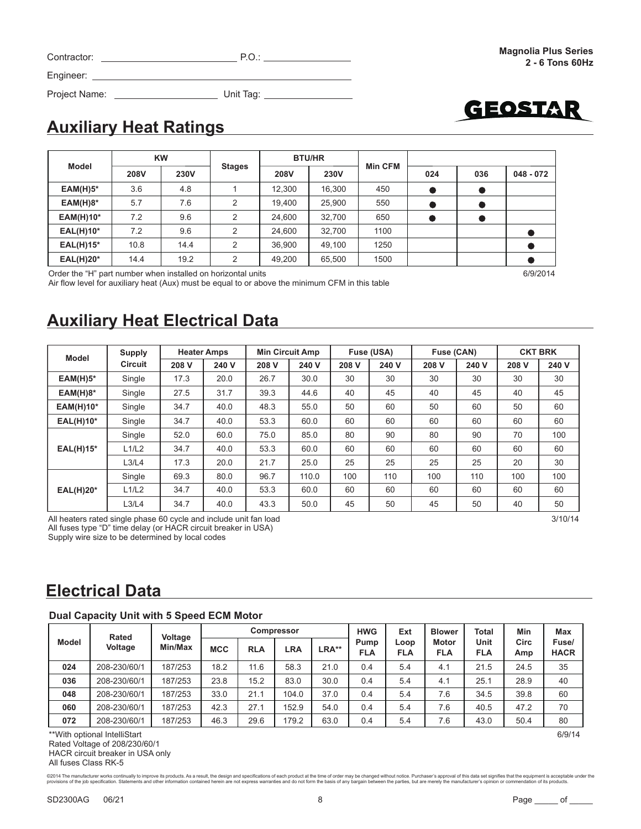| FΔ<br>- 1<br>∠AL(H)15° |  |  |
|------------------------|--|--|

Order the "H" part number when installed on horizontal units 6/9/2014

Air flow level for auxiliary heat (Aux) must be equal to or above the minimum CFM in this table

# **Auxiliary Heat Electrical Data**

| <b>Model</b>     | <b>Supply</b>  |       | <b>Heater Amps</b> |       | <b>Min Circuit Amp</b> |       | Fuse (USA) | Fuse (CAN) |       |       | <b>CKT BRK</b> |
|------------------|----------------|-------|--------------------|-------|------------------------|-------|------------|------------|-------|-------|----------------|
|                  | <b>Circuit</b> | 208 V | 240 V              | 208 V | 240 V                  | 208 V | 240 V      | 208 V      | 240 V | 208 V | 240 V          |
| $EAM(H)5*$       | Single         | 17.3  | 20.0               | 26.7  | 30.0                   | 30    | 30         | 30         | 30    | 30    | 30             |
| $EAM(H)8*$       | Single         | 27.5  | 31.7               | 39.3  | 44.6                   | 40    | 45         | 40         | 45    | 40    | 45             |
| <b>EAM(H)10*</b> | Single         | 34.7  | 40.0               | 48.3  | 55.0                   | 50    | 60         | 50         | 60    | 50    | 60             |
| <b>EAL(H)10*</b> | Single         | 34.7  | 40.0               | 53.3  | 60.0                   | 60    | 60         | 60         | 60    | 60    | 60             |
|                  | Single         | 52.0  | 60.0               | 75.0  | 85.0                   | 80    | 90         | 80         | 90    | 70    | 100            |
| <b>EAL(H)15*</b> | L1/L2          | 34.7  | 40.0               | 53.3  | 60.0                   | 60    | 60         | 60         | 60    | 60    | 60             |
|                  | L3/L4          | 17.3  | 20.0               | 21.7  | 25.0                   | 25    | 25         | 25         | 25    | 20    | 30             |
|                  | Single         | 69.3  | 80.0               | 96.7  | 110.0                  | 100   | 110        | 100        | 110   | 100   | 100            |
| $EAL(H)20*$      | L1/L2          | 34.7  | 40.0               | 53.3  | 60.0                   | 60    | 60         | 60         | 60    | 60    | 60             |
|                  | L3/L4          | 34.7  | 40.0               | 43.3  | 50.0                   | 45    | 50         | 45         | 50    | 40    | 50             |

All heaters rated single phase 60 cycle and include unit fan load 3/10/14 All fuses type "D" time delay (or HACR circuit breaker in USA) Supply wire size to be determined by local codes

## **Electrical Data**

### **Dual Capacity Unit with 5 Speed ECM Motor**

|              | Rated        | Voltage | <b>Compressor</b> |            |       |       | <b>HWG</b>         | Ext                | <b>Blower</b>              | <b>Total</b>       | Min         | Max                  |
|--------------|--------------|---------|-------------------|------------|-------|-------|--------------------|--------------------|----------------------------|--------------------|-------------|----------------------|
| <b>Model</b> | Voltage      | Min/Max | <b>MCC</b>        | <b>RLA</b> | LRA   | LRA** | Pump<br><b>FLA</b> | Loop<br><b>FLA</b> | <b>Motor</b><br><b>FLA</b> | Unit<br><b>FLA</b> | Circ<br>Amp | Fuse/<br><b>HACR</b> |
| 024          | 208-230/60/1 | 187/253 | 18.2              | 11.6       | 58.3  | 21.0  | 0.4                | 5.4                | 4.1                        | 21.5               | 24.5        | 35                   |
| 036          | 208-230/60/1 | 187/253 | 23.8              | 15.2       | 83.0  | 30.0  | 0.4                | 5.4                | 4.1                        | 25.1               | 28.9        | 40                   |
| 048          | 208-230/60/1 | 187/253 | 33.0              | 21.1       | 104.0 | 37.0  | 0.4                | 5.4                | 7.6                        | 34.5               | 39.8        | 60                   |
| 060          | 208-230/60/1 | 187/253 | 42.3              | 27.1       | 152.9 | 54.0  | 0.4                | 5.4                | 7.6                        | 40.5               | 47.2        | 70                   |
| 072          | 208-230/60/1 | 187/253 | 46.3              | 29.6       | 179.2 | 63.0  | 0.4                | 5.4                | 7.6                        | 43.0               | 50.4        | 80                   |

\*\*With optional IntelliStart 6/9/14 Rated Voltage of 208/230/60/1 HACR circuit breaker in USA only All fuses Class RK-5

©2014 The manufacturer works continually to improve its products. As a result, the design and specifications of each product at the time of order may be changed without notice. Purchaser's approval of this data set signif

Project Name: Unit Tag:

|                  |      | <b>KW</b>   |               |                     | <b>BTU/HR</b> |                |     |     |             |
|------------------|------|-------------|---------------|---------------------|---------------|----------------|-----|-----|-------------|
| Model            | 208V | <b>230V</b> | <b>Stages</b> | <b>230V</b><br>208V |               | <b>Min CFM</b> | 024 | 036 | $048 - 072$ |
| $EAM(H)5*$       | 3.6  | 4.8         |               | 12,300              | 16,300        | 450            |     |     |             |
| $EAM(H)8*$       | 5.7  | 7.6         | 2             | 19,400              | 25,900        | 550            |     |     |             |
| $EAM(H)10*$      | 7.2  | 9.6         | 2             | 24,600              | 32,700        | 650            |     |     |             |
| $EAL(H)10*$      | 7.2  | 9.6         | 2             | 24,600              | 32.700        | 1100           |     |     |             |
| $EAL(H)15*$      | 10.8 | 14.4        | 2             | 36,900              | 49,100        | 1250           |     |     |             |
| <b>EAL(H)20*</b> | 14.4 | 19.2        | 2             | 49,200              | 65,500        | 1500           |     |     |             |

GEOSTAR

Contractor: P.O.: Engineer: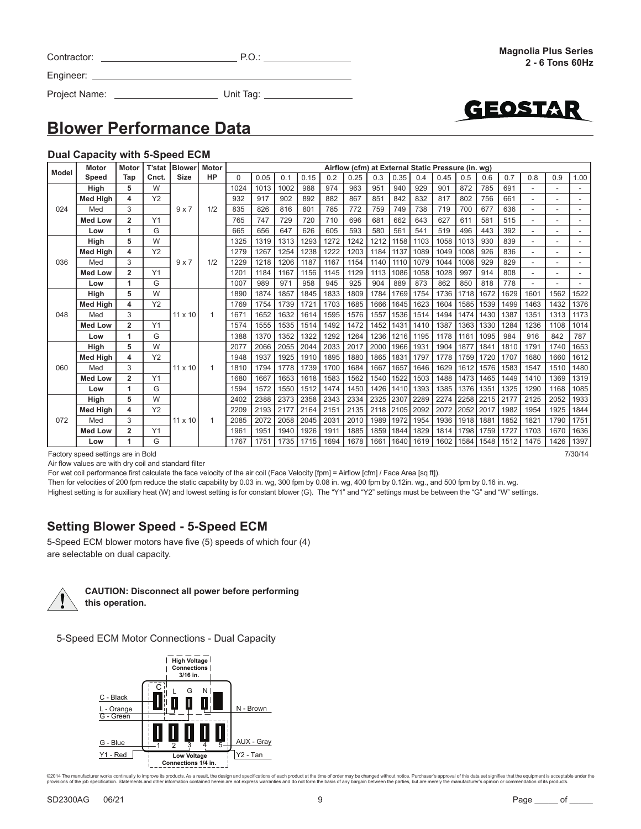| Contractor: |  |
|-------------|--|
| Engineer:   |  |

GEOSTA

Project Name: Unit Tag:

### **Blower Performance Data**

#### **Dual Capacity with 5-Speed ECM**

| Model | <b>Motor</b>    | Motor          | T'stat    | <b>Blower</b>  | <b>Motor</b> |          | Airflow (cfm) at External Static Pressure (in. wg) |      |      |      |      |      |      |      |      |      |      |      |      |      |      |
|-------|-----------------|----------------|-----------|----------------|--------------|----------|----------------------------------------------------|------|------|------|------|------|------|------|------|------|------|------|------|------|------|
|       | Speed           | Tap            | Cnct.     | <b>Size</b>    | <b>HP</b>    | $\Omega$ | 0.05                                               | 0.1  | 0.15 | 0.2  | 0.25 | 0.3  | 0.35 | 0.4  | 0.45 | 0.5  | 0.6  | 0.7  | 0.8  | 0.9  | 1.00 |
|       | High            | 5              | W         |                |              | 1024     | 1013                                               | 1002 | 988  | 974  | 963  | 951  | 940  | 929  | 901  | 872  | 785  | 691  |      |      |      |
|       | <b>Med High</b> | 4              | Y2        |                |              | 932      | 917                                                | 902  | 892  | 882  | 867  | 851  | 842  | 832  | 817  | 802  | 756  | 661  |      |      |      |
| 024   | Med             | 3              |           | $9 \times 7$   | 1/2          | 835      | 826                                                | 816  | 801  | 785  | 772  | 759  | 749  | 738  | 719  | 700  | 677  | 636  |      | ٠    |      |
|       | <b>Med Low</b>  | $\overline{2}$ | Y1        |                |              | 765      | 747                                                | 729  | 720  | 710  | 696  | 681  | 662  | 643  | 627  | 611  | 581  | 515  |      |      |      |
|       | Low             | 1              | G         |                |              | 665      | 656                                                | 647  | 626  | 605  | 593  | 580  | 561  | 541  | 519  | 496  | 443  | 392  |      | ٠    |      |
|       | Hiah            | 5              | W         |                |              | 1325     | 1319                                               | 1313 | 1293 | 1272 | 1242 | 1212 | 1158 | 1103 | 1058 | 1013 | 930  | 839  |      |      |      |
|       | <b>Med High</b> | 4              | <b>Y2</b> |                |              | 1279     | 1267                                               | 1254 | 1238 | 1222 | 1203 | 1184 | 1137 | 1089 | 1049 | 1008 | 926  | 836  |      | ٠    |      |
| 036   | Med             | 3              |           | 9x7            | 1/2          | 1229     | 1218                                               | 1206 | 1187 | 1167 | 1154 | 1140 | 1110 | 1079 | 1044 | 1008 | 929  | 829  |      |      |      |
|       | <b>Med Low</b>  | $\overline{2}$ | Y1        |                |              | 1201     | 1184                                               | 1167 | 1156 | 1145 | 1129 | 1113 | 1086 | 1058 | 1028 | 997  | 914  | 808  |      | ۰    |      |
|       | Low             | 1              | G         |                |              | 1007     | 989                                                | 971  | 958  | 945  | 925  | 904  | 889  | 873  | 862  | 850  | 818  | 778  |      |      |      |
|       | Hiah            | 5              | W         |                |              | 1890     | 1874                                               | 1857 | 1845 | 1833 | 1809 | 1784 | 1769 | 1754 | 1736 | 1718 | 1672 | 1629 | 1601 | 1562 | 1522 |
|       | <b>Med High</b> | 4              | Y2        |                |              | 1769     | 1754                                               | 1739 | 1721 | 1703 | 1685 | 1666 | 1645 | 1623 | 1604 | 1585 | 1539 | 1499 | 1463 | 1432 | 1376 |
| 048   | Med             | 3              |           | $11 \times 10$ | 1            | 1671     | 1652                                               | 1632 | 1614 | 1595 | 1576 | 1557 | 1536 | 1514 | 1494 | 1474 | 1430 | 1387 | 1351 | 1313 | 1173 |
|       | <b>Med Low</b>  | $\overline{2}$ | Y1        |                |              | 1574     | 1555                                               | 1535 | 1514 | 1492 | 1472 | 1452 | 1431 | 1410 | 1387 | 1363 | 1330 | 1284 | 1236 | 1108 | 1014 |
|       | Low             | 1              | G         |                |              | 1388     | 1370                                               | 1352 | 1322 | 1292 | 1264 | 1236 | 1216 | 1195 | 1178 | 1161 | 1095 | 984  | 916  | 842  | 787  |
|       | High            | 5              | W         |                |              | 2077     | 2066                                               | 2055 | 2044 | 2033 | 2017 | 2000 | 1966 | 1931 | 1904 | 1877 | 1841 | 1810 | 1791 | 1740 | 1653 |
|       | <b>Med High</b> | 4              | Y2        |                |              | 1948     | 1937                                               | 1925 | 1910 | 1895 | 1880 | 1865 | 1831 | 1797 | 1778 | 1759 | 1720 | 1707 | 1680 | 1660 | 1612 |
| 060   | Med             | 3              |           | $11 \times 10$ |              | 1810     | 1794                                               | 1778 | 1739 | 1700 | 1684 | 1667 | 1657 | 1646 | 1629 | 1612 | 1576 | 1583 | 1547 | 1510 | 1480 |
|       | <b>Med Low</b>  | 2              | Y1        |                |              | 1680     | 1667                                               | 1653 | 1618 | 1583 | 1562 | 1540 | 1522 | 1503 | 1488 | 1473 | 1465 | 1449 | 1410 | 1369 | 1319 |
|       | Low             | 1              | G         |                |              | 1594     | 1572                                               | 1550 | 1512 | 1474 | 1450 | 1426 | 1410 | 1393 | 1385 | 1376 | 1351 | 1325 | 1290 | 1168 | 1085 |
|       | High            | 5              | W         |                |              | 2402     | 2388                                               | 2373 | 2358 | 2343 | 2334 | 2325 | 2307 | 2289 | 2274 | 2258 | 2215 | 2177 | 2125 | 2052 | 1933 |
|       | <b>Med High</b> | 4              | Y2        |                |              | 2209     | 2193                                               | 2177 | 2164 | 2151 | 2135 | 2118 | 2105 | 2092 | 2072 | 2052 | 2017 | 1982 | 1954 | 1925 | 1844 |
| 072   | Med             | 3              |           | $11 \times 10$ |              | 2085     | 2072                                               | 2058 | 2045 | 2031 | 2010 | 1989 | 1972 | 1954 | 1936 | 1918 | 1881 | 1852 | 1821 | 1790 | 1751 |
|       | <b>Med Low</b>  | $\overline{2}$ | Y1        |                |              | 1961     | 1951                                               | 1940 | 1926 | 1911 | 1885 | 1859 | 1844 | 1829 | 1814 | 1798 | 1759 | 1727 | 1703 | 1670 | 1636 |
|       | Low             | 1              | G         |                |              | 1767     | 1751                                               | 1735 | 1715 | 1694 | 1678 | 1661 | 1640 | 1619 | 1602 | 1584 | 1548 | 1512 | 1475 | 1426 | 1397 |

Factory speed settings are in Bold 7/30/14

Air flow values are with dry coil and standard filter

For wet coil performance first calculate the face velocity of the air coil (Face Velocity [fpm] = Airflow [cfm] / Face Area [sq ft]).

Then for velocities of 200 fpm reduce the static capability by 0.03 in. wg, 300 fpm by 0.08 in. wg, 400 fpm by 0.12in. wg., and 500 fpm by 0.16 in. wg.

Highest setting is for auxiliary heat (W) and lowest setting is for constant blower (G). The "Y1" and "Y2" settings must be between the "G" and "W" settings.

### **Setting Blower Speed - 5-Speed ECM**

5-Speed ECM blower motors have five (5) speeds of which four (4) are selectable on dual capacity.



**CAUTION: Disconnect all power before performing this operation.**

5-Speed ECM Motor Connections - Dual Capacity

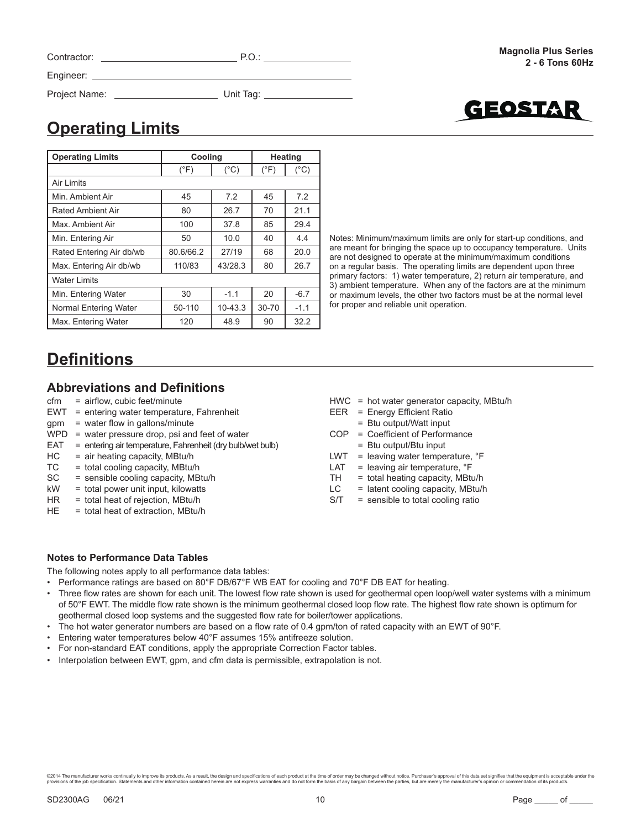| Contractor:   | P.O.      |  |
|---------------|-----------|--|
| Engineer:     |           |  |
| Project Name: | Unit Tag: |  |



# **Operating Limits**

| <b>Operating Limits</b>  | Cooling       |               | <b>Heating</b> |               |  |
|--------------------------|---------------|---------------|----------------|---------------|--|
|                          | $(^{\circ}F)$ | $(^{\circ}C)$ | $(^{\circ}F)$  | $(^{\circ}C)$ |  |
| <b>Air Limits</b>        |               |               |                |               |  |
| Min. Ambient Air         | 45            | 7.2           | 45             | 7.2           |  |
| <b>Rated Ambient Air</b> | 80            | 26.7          | 70             | 21.1          |  |
| Max, Ambient Air         | 100           | 37.8          | 85             | 29.4          |  |
| Min. Entering Air        | 50            | 10.0          | 40             | 4.4           |  |
| Rated Entering Air db/wb | 80.6/66.2     | 27/19         | 68             | 20.0          |  |
| Max. Entering Air db/wb  | 110/83        | 43/28.3       | 80             | 26.7          |  |
| <b>Water Limits</b>      |               |               |                |               |  |
| Min. Entering Water      | 30            | $-1.1$        | 20             | $-6.7$        |  |
| Normal Entering Water    | 50-110        | $10-43.3$     | $30 - 70$      | $-1.1$        |  |
| Max. Entering Water      | 120           | 48.9          | 90             | 32.2          |  |

Notes: Minimum/maximum limits are only for start-up conditions, and are meant for bringing the space up to occupancy temperature. Units are not designed to operate at the minimum/maximum conditions on a regular basis. The operating limits are dependent upon three primary factors: 1) water temperature, 2) return air temperature, and 3) ambient temperature. When any of the factors are at the minimum or maximum levels, the other two factors must be at the normal level for proper and reliable unit operation.

# **Defi nitions**

### **Abbreviations and Definitions**

- cfm = airflow, cubic feet/minute
- EWT = entering water temperature, Fahrenheit
- $a$ pm = water flow in gallons/minute
- $WPD$  = water pressure drop, psi and feet of water
- EAT = entering air temperature, Fahrenheit (dry bulb/wet bulb)
- $HC = air heating capacity, MBtu/h$
- $TC = total cooling capacity, MBtu/h$
- SC = sensible cooling capacity, MBtu/h
- kW = total power unit input, kilowatts
- HR = total heat of rejection, MBtu/h
- HE = total heat of extraction, MBtu/h
- HWC = hot water generator capacity, MBtu/h
- EER = Energy Efficient Ratio
- = Btu output/Watt input
- COP = Coefficient of Performance = Btu output/Btu input
- LWT = leaving water temperature, °F
- LAT  $=$  leaving air temperature,  $\degree$ F
- $TH = total heating capacity, MBtu/h$
- $LC =$  latent cooling capacity, MBtu/h
- S/T = sensible to total cooling ratio

### **Notes to Performance Data Tables**

The following notes apply to all performance data tables:

- Performance ratings are based on 80°F DB/67°F WB EAT for cooling and 70°F DB EAT for heating.
- Three flow rates are shown for each unit. The lowest flow rate shown is used for geothermal open loop/well water systems with a minimum of 50°F EWT. The middle flow rate shown is the minimum geothermal closed loop flow rate. The highest flow rate shown is optimum for geothermal closed loop systems and the suggested flow rate for boiler/tower applications.
- The hot water generator numbers are based on a flow rate of 0.4 gpm/ton of rated capacity with an EWT of 90°F.
- Entering water temperatures below 40°F assumes 15% antifreeze solution.
- For non-standard EAT conditions, apply the appropriate Correction Factor tables.
- Interpolation between EWT, gpm, and cfm data is permissible, extrapolation is not.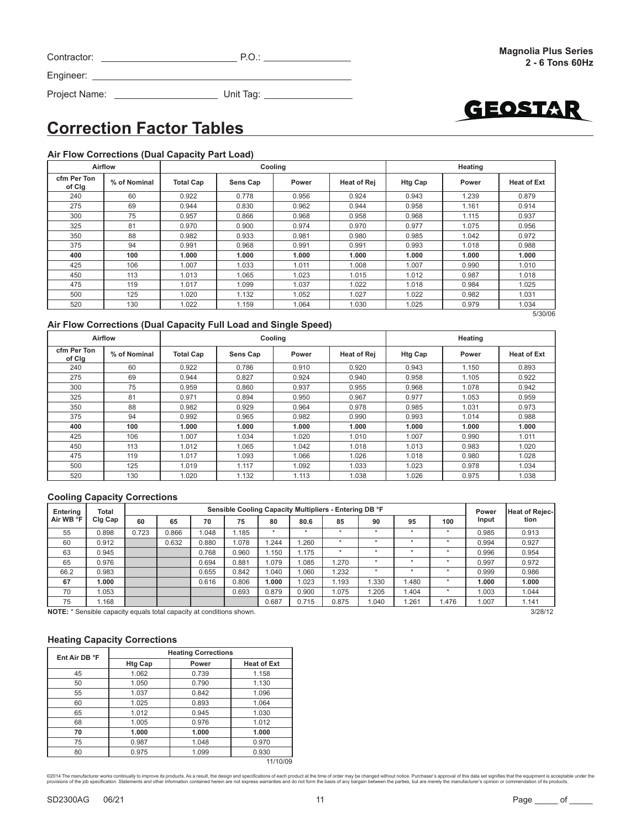| Contractor: |  |
|-------------|--|
|             |  |

Project Name: Unit Tag:

# **Correction Factor Tables**

<u> 1980 - Johann Barbara, martxa a</u>

Engineer: \_

### **Air Flow Corrections (Dual Capacity Part Load)**

|                       | Airflow      |                  |          | Cooling |                    |                | Heating |                    |
|-----------------------|--------------|------------------|----------|---------|--------------------|----------------|---------|--------------------|
| cfm Per Ton<br>of Clg | % of Nominal | <b>Total Cap</b> | Sens Cap | Power   | <b>Heat of Rej</b> | <b>Htg Cap</b> | Power   | <b>Heat of Ext</b> |
| 240                   | 60           | 0.922            | 0.778    | 0.956   | 0.924              | 0.943          | 1.239   | 0.879              |
| 275                   | 69           | 0.944            | 0.830    | 0.962   | 0.944              | 0.958          | 1.161   | 0.914              |
| 300                   | 75           | 0.957            | 0.866    | 0.968   | 0.958              | 0.968          | 1.115   | 0.937              |
| 325                   | 81           | 0.970            | 0.900    | 0.974   | 0.970              | 0.977          | 1.075   | 0.956              |
| 350                   | 88           | 0.982            | 0.933    | 0.981   | 0.980              | 0.985          | 1.042   | 0.972              |
| 375                   | 94           | 0.991            | 0.968    | 0.991   | 0.991              | 0.993          | 1.018   | 0.988              |
| 400                   | 100          | 1.000            | 1.000    | 1.000   | 1.000              | 1.000          | 1.000   | 1.000              |
| 425                   | 106          | 1.007            | 1.033    | 1.011   | 1.008              | 1.007          | 0.990   | 1.010              |
| 450                   | 113          | 1.013            | 1.065    | 1.023   | 1.015              | 1.012          | 0.987   | 1.018              |
| 475                   | 119          | 1.017            | 1.099    | 1.037   | 1.022              | 1.018          | 0.984   | 1.025              |
| 500                   | 125          | 1.020            | 1.132    | 1.052   | 1.027              | 1.022          | 0.982   | 1.031              |
| 520                   | 130          | 1.022            | 1.159    | 1.064   | 1.030              | 1.025          | 0.979   | 1.034              |
|                       |              |                  |          |         |                    |                |         | 5/30/06            |

### **Air Flow Corrections (Dual Capacity Full Load and Single Speed)**

|                       | Airflow                          |       |                   | Cooling | Heating            |                |       |                    |  |
|-----------------------|----------------------------------|-------|-------------------|---------|--------------------|----------------|-------|--------------------|--|
| cfm Per Ton<br>of Clg | % of Nominal<br><b>Total Cap</b> |       | Sens Cap<br>Power |         | <b>Heat of Rej</b> | <b>Htg Cap</b> | Power | <b>Heat of Ext</b> |  |
| 240                   | 60                               | 0.922 | 0.786             | 0.910   | 0.920              | 0.943          | 1.150 | 0.893              |  |
| 275                   | 69                               | 0.944 | 0.827             | 0.924   | 0.940              | 0.958          | 1.105 | 0.922              |  |
| 300                   | 75                               | 0.959 | 0.860             | 0.937   | 0.955              | 0.968          | 1.078 | 0.942              |  |
| 325                   | 81                               | 0.971 | 0.894             | 0.950   | 0.967              | 0.977          | 1.053 | 0.959              |  |
| 350                   | 88                               | 0.982 | 0.929             | 0.964   | 0.978              | 0.985          | 1.031 | 0.973              |  |
| 375                   | 94                               | 0.992 | 0.965             | 0.982   | 0.990              | 0.993          | 1.014 | 0.988              |  |
| 400                   | 100                              | 1.000 | 1.000             | 1.000   | 1.000              | 1.000          | 1.000 | 1.000              |  |
| 425                   | 106                              | 1.007 | 1.034             | 1.020   | 1.010              | 1.007          | 0.990 | 1.011              |  |
| 450                   | 113                              | 1.012 | 1.065             | 1.042   | 1.018              | 1.013          | 0.983 | 1.020              |  |
| 475                   | 119                              | 1.017 | 1.093             | 1.066   | 1.026              | 1.018          | 0.980 | 1.028              |  |
| 500                   | 125                              | 1.019 | 1.117             | 1.092   | 1.033              | 1.023          | 0.978 | 1.034              |  |
| 520                   | 130                              | 1.020 | 1.132             | 1.113   | 1.038              | 1.026          | 0.975 | 1.038              |  |

### **Cooling Capacity Corrections**

| Entering                                                             | Total   |       |       |       | Power | <b>Heat of Rejec-</b> |       |         |         |         |         |       |       |
|----------------------------------------------------------------------|---------|-------|-------|-------|-------|-----------------------|-------|---------|---------|---------|---------|-------|-------|
| Air WB °F                                                            | Clg Cap | 60    | 65    | 70    | 75    | 80                    | 80.6  | 85      | 90      | 95      | 100     | Input | tion  |
| 55                                                                   | 0.898   | 0.723 | 0.866 | .048  | .185  |                       |       |         | $\star$ | $\star$ |         | 0.985 | 0.913 |
| 60                                                                   | 0.912   |       | 0.632 | 0.880 | .078  | .244                  | 1.260 | $\star$ | $\star$ | $\star$ |         | 0.994 | 0.927 |
| 63                                                                   | 0.945   |       |       | 0.768 | 0.960 | 1.150                 | 1.175 |         | $\star$ | $\star$ |         | 0.996 | 0.954 |
| 65                                                                   | 0.976   |       |       | 0.694 | 0.881 | 1.079                 | 1.085 | 1.270   | $\star$ | $\star$ |         | 0.997 | 0.972 |
| 66.2                                                                 | 0.983   |       |       | 0.655 | 0.842 | .040                  | 1.060 | 1.232   | $\star$ | $\star$ |         | 0.999 | 0.986 |
| 67                                                                   | 1.000   |       |       | 0.616 | 0.806 | 1.000                 | 1.023 | 1.193   | 1.330   | 1.480   |         | 1.000 | 1.000 |
| 70                                                                   | 1.053   |       |       |       | 0.693 | 0.879                 | 0.900 | 1.075   | 1.205   | .404    |         | 1.003 | 1.044 |
| 75                                                                   | 1.168   |       |       |       |       | 0.687                 | 0.715 | 0.875   | 1.040   | .261    | 1.476   | 1.007 | 1.141 |
| NOTE: * Sensible capacity equals total capacity at conditions shown. |         |       |       |       |       |                       |       |         |         |         | 3/28/12 |       |       |

### **Heating Capacity Corrections**

| Ent Air DB °F | <b>Heating Corrections</b> |       |                    |  |  |  |  |  |  |
|---------------|----------------------------|-------|--------------------|--|--|--|--|--|--|
|               | <b>Htg Cap</b>             | Power | <b>Heat of Ext</b> |  |  |  |  |  |  |
| 45            | 1.062                      | 0.739 | 1.158              |  |  |  |  |  |  |
| 50            | 1.050                      | 0.790 | 1.130              |  |  |  |  |  |  |
| 55            | 1.037                      | 0.842 | 1.096              |  |  |  |  |  |  |
| 60            | 1.025                      | 0.893 | 1.064              |  |  |  |  |  |  |
| 65            | 1.012                      | 0.945 | 1.030              |  |  |  |  |  |  |
| 68            | 1.005                      | 0.976 | 1.012              |  |  |  |  |  |  |
| 70            | 1.000                      | 1.000 | 1.000              |  |  |  |  |  |  |
| 75            | 0.987                      | 1.048 | 0.970              |  |  |  |  |  |  |
| 80            | 0.975                      | 1.099 | 0.930              |  |  |  |  |  |  |
|               |                            |       | 11/10/09           |  |  |  |  |  |  |



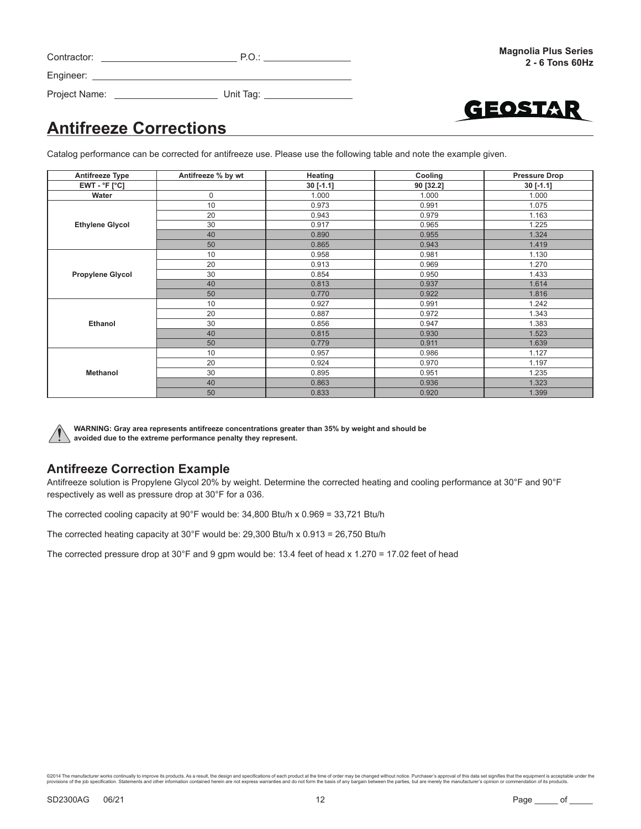| Contractor: | $\checkmark$ |
|-------------|--------------|
| Engineer:   |              |

Project Name: Unit Tag:

GEOSTAR

# **Antifreeze Corrections**

Catalog performance can be corrected for antifreeze use. Please use the following table and note the example given.

| <b>Antifreeze Type</b>  | Antifreeze % by wt | Heating     | Cooling   | <b>Pressure Drop</b> |
|-------------------------|--------------------|-------------|-----------|----------------------|
| $EWT - °F [°C]$         |                    | $30$ [-1.1] | 90 [32.2] | $30$ [-1.1]          |
| Water                   | $\mathbf 0$        | 1.000       | 1.000     | 1.000                |
|                         | 10                 | 0.973       | 0.991     | 1.075                |
|                         | 20                 | 0.943       | 0.979     | 1.163                |
| <b>Ethylene Glycol</b>  | 30                 | 0.917       | 0.965     | 1.225                |
|                         | 40                 | 0.890       | 0.955     | 1.324                |
|                         | 50                 | 0.865       | 0.943     | 1.419                |
|                         | 10                 | 0.958       | 0.981     | 1.130                |
|                         | 20                 | 0.913       | 0.969     | 1.270                |
| <b>Propylene Glycol</b> | 30                 | 0.854       | 0.950     | 1.433                |
|                         | 40                 | 0.813       | 0.937     | 1.614                |
|                         | 50                 | 0.770       | 0.922     | 1.816                |
|                         | 10                 | 0.927       | 0.991     | 1.242                |
|                         | 20                 | 0.887       | 0.972     | 1.343                |
| Ethanol                 | 30                 | 0.856       | 0.947     | 1.383                |
|                         | 40                 | 0.815       | 0.930     | 1.523                |
|                         | 50                 | 0.779       | 0.911     | 1.639                |
|                         | 10                 | 0.957       | 0.986     | 1.127                |
|                         | 20                 | 0.924       | 0.970     | 1.197                |
| Methanol                | 30                 | 0.895       | 0.951     | 1.235                |
|                         | 40                 | 0.863       | 0.936     | 1.323                |
|                         | 50                 | 0.833       | 0.920     | 1.399                |



**WARNING: Gray area represents antifreeze concentrations greater than 35% by weight and should be avoided due to the extreme performance penalty they represent.**

### **Antifreeze Correction Example**

Antifreeze solution is Propylene Glycol 20% by weight. Determine the corrected heating and cooling performance at 30°F and 90°F respectively as well as pressure drop at 30°F for a 036.

The corrected cooling capacity at 90°F would be: 34,800 Btu/h x 0.969 = 33,721 Btu/h

The corrected heating capacity at 30°F would be: 29,300 Btu/h x 0.913 = 26,750 Btu/h

The corrected pressure drop at 30°F and 9 gpm would be: 13.4 feet of head x 1.270 = 17.02 feet of head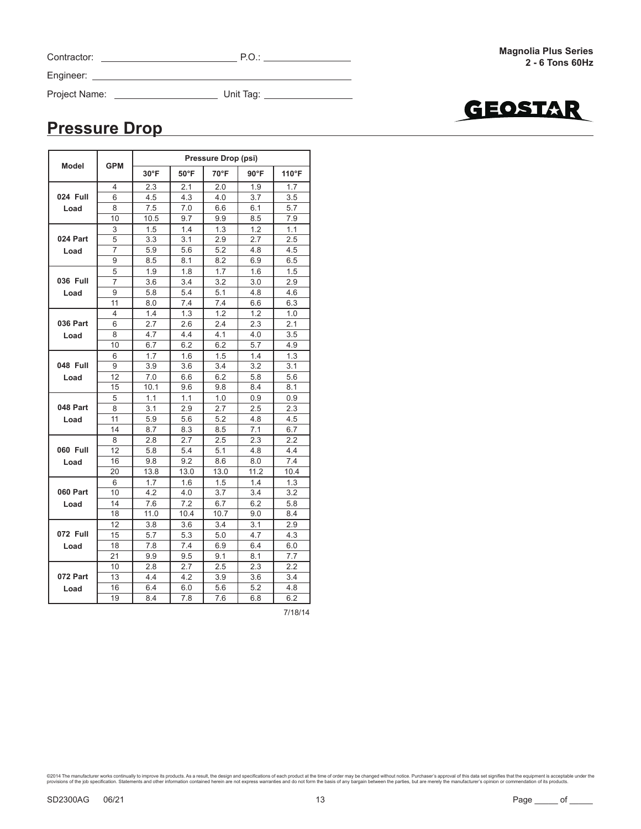| Contractor: |  |  |
|-------------|--|--|
|-------------|--|--|

Project Name: Unit Tag:

GEOSTAR

## **Pressure Drop**

|                 |            |                |                | Pressure Drop (psi) |                |            |
|-----------------|------------|----------------|----------------|---------------------|----------------|------------|
| <b>Model</b>    | <b>GPM</b> | $30^{\circ}$ F | $50^{\circ}$ F | 70°F                | $90^{\circ}$ F | 110°F      |
|                 | 4          | 2.3            | 2.1            | 2.0                 | 1.9            | 1.7        |
| 024 Full        | 6          | 4.5            | 4.3            | 4.0                 | 3.7            | 3.5        |
| Load            | 8          | 7.5            | 7.0            | 6.6                 | 6.1            | 5.7        |
|                 | 10         | 10.5           | 9.7            | 9.9                 | 8.5            | 7.9        |
|                 | 3          | 1.5            | 1.4            | 1.3                 | 1.2            | 1.1        |
| 024 Part        | 5          | 3.3            | 3.1            | 2.9                 | 2.7            | 2.5        |
| Load            | 7          | 5.9            | 5.6            | 5.2                 | 4.8            | 4.5        |
|                 | 9          | 8.5            | 8.1            | 8.2                 | 6.9            | 6.5        |
|                 | 5          | 1.9            | 1.8            | 1.7                 | 1.6            | 1.5        |
| 036 Full        | 7          | 3.6            | 3.4            | 3.2                 | 3.0            | 2.9        |
| Load            | 9          | 5.8            | 5.4            | 5.1                 | 4.8            | 4.6        |
|                 | 11         | 8.0            | 7.4            | 7.4                 | 6.6            | 6.3        |
|                 | 4          | 1.4            | 1.3            | 1.2                 | 1.2            | 1.0        |
| <b>036 Part</b> | 6          | 2.7            | 2.6            | 2.4                 | 2.3            | 2.1        |
| Load            | 8          | 4.7            | 4.4            | 4.1<br>6.2          | 4.0            | 3.5        |
|                 | 10         | 6.7            | 6.2            |                     | 5.7            | 4.9        |
|                 | 6          | 1.7            | 1.6            | 1.5                 | 1.4            | 1.3        |
| 048 Full        | 9          | 3.9            | 3.6            | 3.4                 | 3.2            | 3.1        |
| Load            | 12         | 7.0            | 6.6            | 6.2                 | 5.8            | 5.6        |
|                 | 15         | 10.1           | 9.6            | 9.8                 | 8.4            | 8.1        |
|                 | 5          | 1.1            | 1.1            | 1.0                 | 0.9            | 0.9        |
| 048 Part        | 8          | 3.1            | 2.9            | 2.7                 | 2.5            | 2.3<br>4.5 |
| Load            | 11         | 5.9            | 5.6            | 5.2                 | 4.8            |            |
|                 | 14         | 8.7            | 8.3            | 8.5                 | 7.1            | 6.7        |
|                 | 8          | 2.8            | 2.7            | 2.5                 | 2.3            | 2.2        |
| 060 Full        | 12         | 5.8            | 5.4            | 5.1                 | 4.8            | 4.4        |
| Load            | 16         | 9.8            | 9.2            | 8.6                 | 8.0            | 7.4        |
|                 | 20         | 13.8           | 13.0           | 13.0                | 11.2           | 10.4       |
|                 | 6          | 1.7            | 1.6            | 1.5                 | 1.4            | 1.3        |
| 060 Part        | 10         | 4.2            | 4.0            | 3.7                 | 3.4            | 3.2        |
| Load            | 14         | 7.6            | 7.2            | 6.7                 | 6.2            | 5.8        |
|                 | 18         | 11.0           | 10.4           | 10.7                | 9.0            | 8.4        |
|                 | 12         | 3.8            | 3.6            | 3.4                 | 3.1            | 2.9        |
| 072 Full        | 15         | 5.7            | 5.3            | 5.0                 | 4.7            | 4.3        |
| Load            | 18         | 7.8            | 7.4            | 6.9                 | 6.4            | 6.0        |
|                 | 21         | 9.9            | 9.5            | 9.1                 | 8.1            | 7.7        |
|                 | 10         | 2.8            | 2.7            | 2.5                 | 2.3            | 2.2        |
| 072 Part        | 13         | 4.4            | 4.2            | 3.9                 | 3.6            | 3.4        |
| Load            | 16         | 6.4            | 6.0            | 5.6                 | 5.2            | 4.8        |
|                 | 19         | 8.4            | 7.8            | 7.6                 | 6.8            | 6.2        |

7/18/14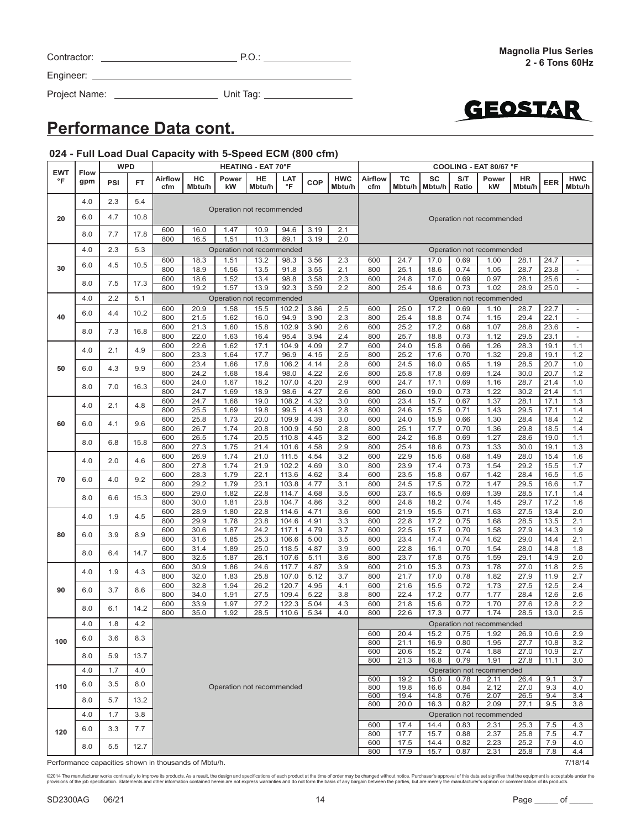|          | ©2014 The manufacturer works continually to improve its products. As a result, the design and specifications of each product at the time of order may be changed without notice. Purchaser's approval of this data set signifi<br>provisions of the iob specification. Statements and other information contained herein are not express warranties and do not form the basis of any bargain between the parties. but are merely the manufacturer's opinion or c |      |  |
|----------|------------------------------------------------------------------------------------------------------------------------------------------------------------------------------------------------------------------------------------------------------------------------------------------------------------------------------------------------------------------------------------------------------------------------------------------------------------------|------|--|
| SD2300AG | 06/21                                                                                                                                                                                                                                                                                                                                                                                                                                                            | Page |  |

# **Performance Data cont.**

Engineer:

### **024 - Full Load Dual Capacity with 5-Speed ECM (800 cfm)**

Project Name: Unit Tag:

|                  |             | <b>WPD</b> |           |                |                                                                          |              | <b>HEATING - EAT 70°F</b> |                |              |                      |                |              |                       |              | COOLING - EAT 80/67 °F    |              |              |                                                      |
|------------------|-------------|------------|-----------|----------------|--------------------------------------------------------------------------|--------------|---------------------------|----------------|--------------|----------------------|----------------|--------------|-----------------------|--------------|---------------------------|--------------|--------------|------------------------------------------------------|
| <b>EWT</b><br>°F | Flow<br>gpm | PSI        | <b>FT</b> | Airflow<br>cfm | HC<br>Mbtu/h                                                             | Power<br>kW  | HE<br>Mbtu/h              | LAT<br>°F      | <b>COP</b>   | <b>HWC</b><br>Mbtu/h | Airflow<br>cfm | TC           | SC<br>Mbtu/h   Mbtu/h | S/T<br>Ratio | Power<br>kW               | HR<br>Mbtu/h | EER          | <b>HWC</b><br>Mbtu/h                                 |
|                  | 4.0         | 2.3        | 5.4       |                |                                                                          |              |                           |                |              |                      |                |              |                       |              |                           |              |              |                                                      |
| 20               | 6.0         | 4.7        | 10.8      |                |                                                                          |              | Operation not recommended |                |              |                      |                |              |                       |              | Operation not recommended |              |              |                                                      |
|                  | 8.0         | 7.7        | 17.8      | 600<br>800     | 16.0<br>16.5                                                             | 1.47<br>1.51 | 10.9<br>11.3              | 94.6<br>89.1   | 3.19<br>3.19 | 2.1<br>2.0           |                |              |                       |              |                           |              |              |                                                      |
|                  | 4.0         | 2.3        | 5.3       |                |                                                                          |              | Operation not recommended |                |              |                      |                |              |                       |              | Operation not recommended |              |              |                                                      |
|                  |             |            |           | 600            | 18.3                                                                     | 1.51         | 13.2                      | 98.3           | 3.56         | 2.3                  | 600            | 24.7         | 17.0                  | 0.69         | 1.00                      | 28.1         | 24.7         | $\overline{\phantom{a}}$                             |
| 30               | 6.0         | 4.5        | 10.5      | 800            | 18.9                                                                     | 1.56         | 13.5                      | 91.8           | 3.55         | 2.1                  | 800            | 25.1         | 18.6                  | 0.74         | 1.05                      | 28.7         | 23.8         | $\overline{\phantom{a}}$                             |
|                  | 8.0         | 7.5        | 17.3      | 600            | 18.6                                                                     | 1.52         | 13.4                      | 98.8           | 3.58         | 2.3                  | 600<br>800     | 24.8         | 17.0                  | 0.69         | 0.97                      | 28.1         | 25.6         | $\overline{\phantom{a}}$                             |
|                  |             |            |           | 800            | 19.2<br>1.57<br>13.9<br>92.3<br>3.59<br>2.2<br>Operation not recommended |              |                           |                |              |                      |                | 25.4         | 18.6                  | 0.73         | 1.02                      | 28.9         | 25.0         | $\overline{\phantom{a}}$                             |
|                  | 4.0         | 2.2        | 5.1       |                |                                                                          |              |                           |                |              |                      |                |              |                       |              | Operation not recommended |              |              |                                                      |
| 40               | 6.0         | 4.4        | 10.2      | 600<br>800     | 20.9<br>21.5                                                             | 1.58<br>1.62 | 15.5<br>16.0              | 102.2<br>94.9  | 3.86<br>3.90 | 2.5<br>2.3           | 600<br>800     | 25.0<br>25.4 | 17.2<br>18.8          | 0.69<br>0.74 | 1.10<br>1.15              | 28.7<br>29.4 | 22.7<br>22.1 | $\overline{\phantom{a}}$<br>$\overline{\phantom{a}}$ |
|                  |             |            |           | 600            | 21.3                                                                     | 1.60         | 15.8                      | 102.9          | 3.90         | 2.6                  | 600            | 25.2         | 17.2                  | 0.68         | 1.07                      | 28.8         | 23.6         | $\overline{\phantom{a}}$                             |
|                  | 8.0         | 7.3        | 16.8      | 800            | 22.0                                                                     | 1.63         | 16.4                      | 95.4           | 3.94         | 2.4                  | 800            | 25.7         | 18.8                  | 0.73         | 1.12                      | 29.5         | 23.1         | $\overline{\phantom{a}}$                             |
|                  |             |            |           | 600            | 22.6                                                                     | 1.62         | 17.1                      | 104.9          | 4.09         | 2.7                  | 600            | 24.0         | 15.8                  | 0.66         | 1.26                      | 28.3         | 19.1         | 1.1                                                  |
|                  | 4.0         | 2.1        | 4.9       | 800            | 23.3                                                                     | 1.64         | 17.7                      | 96.9           | 4.15         | 2.5                  | 800            | 25.2         | 17.6                  | 0.70         | 1.32                      | 29.8         | 19.1         | 1.2                                                  |
| 50               | 6.0         | 4.3        | 9.9       | 600            | 23.4                                                                     | 1.66         | 17.8                      | 106.2          | 4.14         | 2.8                  | 600            | 24.5         | 16.0                  | 0.65         | 1.19                      | 28.5         | 20.7         | 1.0                                                  |
|                  |             |            |           | 800            | 24.2                                                                     | 1.68         | 18.4                      | 98.0           | 4.22         | 2.6                  | 800            | 25.8         | 17.8                  | 0.69         | 1.24                      | 30.0         | 20.7         | 1.2                                                  |
|                  | 8.0         | 7.0        | 16.3      | 600            | 24.0                                                                     | 1.67         | 18.2                      | 107.0          | 4.20         | 2.9                  | 600            | 24.7         | 17.1                  | 0.69         | 1.16                      | 28.7         | 21.4         | 1.0                                                  |
|                  |             |            |           | 800<br>600     | 24.7<br>24.7                                                             | 1.69<br>1.68 | 18.9<br>19.0              | 98.6<br>108.2  | 4.27<br>4.32 | 2.6<br>3.0           | 800<br>600     | 26.0<br>23.4 | 19.0<br>15.7          | 0.73<br>0.67 | 1.22<br>1.37              | 30.2<br>28.1 | 21.4<br>17.1 | 1.1<br>1.3                                           |
|                  | 4.0         | 2.1        | 4.8       | 800            | 25.5                                                                     | 1.69         | 19.8                      | 99.5           | 4.43         | 2.8                  | 800            | 24.6         | 17.5                  | 0.71         | 1.43                      | 29.5         | 17.1         | 1.4                                                  |
|                  |             |            |           | 600            | 25.8                                                                     | 1.73         | 20.0                      | 109.9          | 4.39         | 3.0                  | 600            | 24.0         | 15.9                  | 0.66         | 1.30                      | 28.4         | 18.4         | 1.2                                                  |
| 60               | 6.0         | 4.1        | 9.6       | 800            | 26.7                                                                     | 1.74         | 20.8                      | 100.9          | 4.50         | 2.8                  | 800            | 25.1         | 17.7                  | 0.70         | 1.36                      | 29.8         | 18.5         | 1.4                                                  |
|                  |             |            |           | 600            | 26.5                                                                     | 1.74         | 20.5                      | 110.8          | 4.45         | 3.2                  | 600            | 24.2         | 16.8                  | 0.69         | 1.27                      | 28.6         | 19.0         | 1.1                                                  |
|                  | 8.0         | 6.8        | 15.8      | 800            | 27.3                                                                     | 1.75         | 21.4                      | 101.6          | 4.58         | 2.9                  | 800            | 25.4         | 18.6                  | 0.73         | 1.33                      | 30.0         | 19.1         | 1.3                                                  |
|                  | 4.0         | 2.0        | 4.6       | 600            | 26.9                                                                     | 1.74         | 21.0                      | 111.5          | 4.54         | 3.2                  | 600            | 22.9         | 15.6                  | 0.68         | 1.49                      | 28.0         | 15.4         | 1.6                                                  |
|                  |             |            |           | 800            | 27.8                                                                     | 1.74         | 21.9                      | 102.2          | 4.69         | 3.0                  | 800            | 23.9         | 17.4                  | 0.73         | 1.54                      | 29.2         | 15.5         | 1.7                                                  |
| 70               | 6.0         | 4.0        | 9.2       | 600            | 28.3                                                                     | 1.79         | 22.1                      | 113.6          | 4.62         | 3.4                  | 600            | 23.5         | 15.8                  | 0.67         | 1.42                      | 28.4         | 16.5         | 1.5                                                  |
|                  |             |            |           | 800<br>600     | 29.2<br>29.0                                                             | 1.79<br>1.82 | 23.1<br>22.8              | 103.8<br>114.7 | 4.77<br>4.68 | 3.1<br>3.5           | 800<br>600     | 24.5<br>23.7 | 17.5<br>16.5          | 0.72<br>0.69 | 1.47<br>1.39              | 29.5<br>28.5 | 16.6<br>17.1 | 1.7<br>1.4                                           |
|                  | 8.0         | 6.6        | 15.3      | 800            | 30.0                                                                     | 1.81         | 23.8                      | 104.7          | 4.86         | 3.2                  | 800            | 24.8         | 18.2                  | 0.74         | 1.45                      | 29.7         | 17.2         | 1.6                                                  |
|                  |             |            |           | 600            | 28.9                                                                     | 1.80         | 22.8                      | 114.6          | 4.71         | 3.6                  | 600            | 21.9         | 15.5                  | 0.71         | 1.63                      | 27.5         | 13.4         | 2.0                                                  |
|                  | 4.0         | 1.9        | 4.5       | 800            | 29.9                                                                     | 1.78         | 23.8                      | 104.6          | 4.91         | 3.3                  | 800            | 22.8         | 17.2                  | 0.75         | 1.68                      | 28.5         | 13.5         | 2.1                                                  |
| 80               | 6.0         | 3.9        | 8.9       | 600            | 30.6                                                                     | 1.87         | 24.2                      | 117.1          | 4.79         | 3.7                  | 600            | 22.5         | 15.7                  | 0.70         | 1.58                      | 27.9         | 14.3         | 1.9                                                  |
|                  |             |            |           | 800            | 31.6                                                                     | 1.85         | 25.3                      | 106.6          | 5.00         | 3.5                  | 800            | 23.4         | 17.4                  | 0.74         | 1.62                      | 29.0         | 14.4         | 2.1                                                  |
|                  | 8.0         | 6.4        | 14.7      | 600            | 31.4                                                                     | 1.89         | 25.0                      | 118.5          | 4.87         | 3.9                  | 600            | 22.8         | 16.1                  | 0.70         | 1.54                      | 28.0         | 14.8         | 1.8                                                  |
|                  |             |            |           | 800            | 32.5                                                                     | 1.87         | 26.1                      | 107.6          | 5.11         | 3.6                  | 800            | 23.7         | 17.8                  | 0.75         | 1.59                      | 29.1         | 14.9         | 2.0                                                  |
|                  | 4.0         | 1.9        | 4.3       | 600<br>800     | 30.9<br>32.0                                                             | 1.86<br>1.83 | 24.6<br>25.8              | 117.7<br>107.0 | 4.87<br>5.12 | 3.9<br>3.7           | 600<br>800     | 21.0<br>21.7 | 15.3<br>17.0          | 0.73<br>0.78 | 1.78<br>1.82              | 27.0<br>27.9 | 11.8<br>11.9 | 2.5<br>2.7                                           |
|                  |             |            |           | 600            | 32.8                                                                     | 1.94         | 26.2                      | 120.7          | 4.95         | 4.1                  | 600            | 21.6         | 15.5                  | 0.72         | 1.73                      | 27.5         | 12.5         | 2.4                                                  |
| 90               | 6.0         | 3.7        | 8.6       | 800            | 34.0                                                                     | 1.91         | 27.5                      | 109.4          | 5.22         | 3.8                  | 800            | 22.4         | 17.2                  | 0.77         | 1.77                      | 28.4         | 12.6         | 2.6                                                  |
|                  | 8.0         | 6.1        | 14.2      | 600            | 33.9                                                                     | 1.97         | 27.2                      | 122.3          | 5.04         | 4.3                  | 600            | 21.8         | 15.6                  | 0.72         | 1.70                      | 27.6         | 12.8         | 2.2                                                  |
|                  |             |            |           | 800            | 35.0                                                                     | 1.92         | 28.5                      | 110.6          | 5.34         | 4.0                  | 800            | 22.6         | 17.3                  | 0.77         | 1.74                      | 28.5         | 13.0         | 2.5                                                  |
|                  | 4.0         | 1.8        | 4.2       |                |                                                                          |              |                           |                |              |                      |                |              |                       |              | Operation not recommended |              |              |                                                      |
| 100              | 6.0         | 3.6        | 8.3       |                |                                                                          |              |                           |                |              |                      | 600            | 20.4         | 15.2                  | 0.75         | 1.92                      | 26.9         | 10.6         | 2.9                                                  |
|                  |             |            |           |                |                                                                          |              |                           |                |              |                      | 800            | 21.1         | 16.9                  | 0.80         | 1.95                      | 27.7         | 10.8         | 3.2                                                  |
|                  | 8.0         | 5.9        | 13.7      |                |                                                                          |              |                           |                |              |                      | 600<br>800     | 20.6<br>21.3 | 15.2<br>16.8          | 0.74<br>0.79 | 1.88<br>1.91              | 27.0<br>27.8 | 10.9<br>11.1 | 2.7<br>3.0                                           |
|                  | 4.0         | 1.7        | 4.0       |                |                                                                          |              |                           |                |              |                      |                |              |                       |              | Operation not recommended |              |              |                                                      |
|                  |             |            |           |                |                                                                          |              |                           |                |              |                      | 600            | 19.2         | 15.0                  | 0.78         | 2.11                      | 26.4         | 9.1          | 3.7                                                  |
| 110              | 6.0         | 3.5        | 8.0       |                |                                                                          |              | Operation not recommended |                |              |                      | 800            | 19.8         | 16.6                  | 0.84         | 2.12                      | 27.0         | 9.3          | 4.0                                                  |
|                  | 8.0         | 5.7        | 13.2      |                |                                                                          |              |                           |                |              |                      | 600            | 19.4         | 14.8                  | 0.76         | 2.07                      | 26.5         | 9.4          | 3.4                                                  |
|                  |             |            |           |                |                                                                          |              |                           |                |              |                      | 800            | 20.0         | 16.3                  | 0.82         | 2.09                      | 27.1         | 9.5          | 3.8                                                  |
|                  | 4.0         | 1.7        | 3.8       |                |                                                                          |              |                           |                |              |                      |                |              |                       |              | Operation not recommended |              |              |                                                      |
| 120              | 6.0         | 3.3        | 7.7       |                |                                                                          |              |                           |                |              |                      | 600<br>800     | 17.4<br>17.7 | 14.4<br>15.7          | 0.83<br>0.88 | 2.31<br>2.37              | 25.3<br>25.8 | 7.5<br>7.5   | 4.3<br>4.7                                           |
|                  |             |            |           |                |                                                                          |              |                           |                |              |                      | 600            | 17.5         | 14.4                  | 0.82         | 2.23                      | 25.2         | 7.9          | 4.0                                                  |
|                  | 8.0         | 5.5        | 12.7      |                |                                                                          |              |                           |                |              |                      | 800            | 17.9         | 15.7                  | 0.87         | 2.31                      | 25.8         | 7.8          | 4.4                                                  |

Performance capacities shown in thousands of Mbtu/h. The contract of the contract of Mbtu/h.

Contractor: P.O.:

**Magnolia Plus Series 2 - 6 Tons 60Hz**

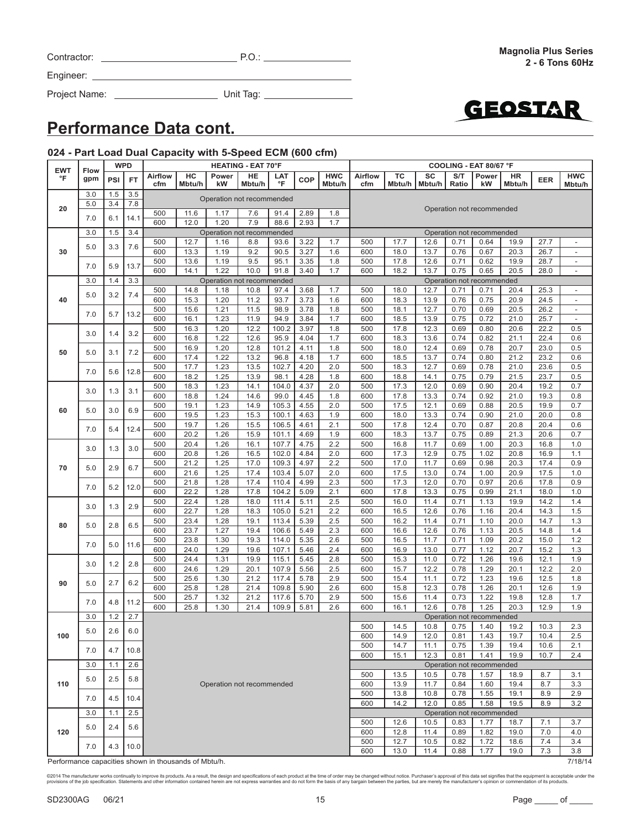Project Name: Unit Tag:



### **Performance Data cont.**

### **024 - Part Load Dual Capacity with 5-Speed ECM (600 cfm)**

| <b>Flow</b><br><b>HWC</b><br>HC<br>TC<br>SC<br>S/T<br><b>HWC</b><br><b>Airflow</b><br>Power<br>HE<br><b>Airflow</b><br>Power<br>LAT<br>HR<br>°F<br>gpm<br>PSI<br><b>FT</b><br>COP<br><b>EER</b><br>°F<br>Mbtu/h<br>kW<br>Mbtu/h<br>Ratio<br>Mbtu/h<br>cfm<br>Mbtu/h<br>cfm<br>Mbtu/h<br>Mbtu/h<br>kW<br>Mbtu/h<br>3.0<br>1.5<br>3.5<br>Operation not recommended<br>5.0<br>3.4<br>7.8<br>20<br>Operation not recommended<br>2.89<br>500<br>11.6<br>1.17<br>7.6<br>91.4<br>1.8<br>14.1<br>7.0<br>6.1<br>600<br>12.0<br>1.20<br>7.9<br>88.6<br>2.93<br>1.7<br>3.0<br>1.5<br>3.4<br>Operation not recommended<br>Operation not recommended<br>12.7<br>17.7<br>27.7<br>500<br>1.16<br>8.8<br>93.6<br>3.22<br>1.7<br>500<br>12.6<br>0.71<br>0.64<br>19.9<br>$\overline{\phantom{a}}$<br>7.6<br>5.0<br>3.3<br>30<br>600<br>13.3<br>1.19<br>9.2<br>3.27<br>1.6<br>600<br>18.0<br>13.7<br>0.67<br>20.3<br>90.5<br>0.76<br>26.7<br>$\overline{\phantom{a}}$<br>500<br>9.5<br>95.1<br>12.6<br>13.6<br>1.19<br>3.35<br>1.8<br>500<br>17.8<br>0.71<br>0.62<br>19.9<br>28.7<br>$\overline{\phantom{a}}$<br>13.7<br>7.0<br>5.9<br>600<br>14.1<br>1.22<br>10.0<br>91.8<br>3.40<br>1.7<br>600<br>18.2<br>13.7<br>0.75<br>0.65<br>20.5<br>28.0<br>$\overline{\phantom{a}}$<br>3.0<br>3.3<br>Operation not recommended<br>Operation not recommended<br>1.4<br>14.8<br>3.68<br>1.7<br>500<br>500<br>1.18<br>10.8<br>97.4<br>18.0<br>12.7<br>0.71<br>0.71<br>20.4<br>25.3<br>$\overline{\phantom{a}}$<br>7.4<br>3.2<br>5.0<br>40<br>600<br>15.3<br>1.20<br>11.2<br>93.7<br>3.73<br>1.6<br>600<br>18.3<br>13.9<br>0.76<br>0.75<br>20.9<br>24.5<br>$\overline{\phantom{a}}$<br>500<br>15.6<br>1.21<br>11.5<br>98.9<br>3.78<br>1.8<br>500<br>18.1<br>12.7<br>0.70<br>0.69<br>26.2<br>20.5<br>$\overline{\phantom{a}}$<br>13.2<br>7.0<br>5.7<br>600<br>16.1<br>1.23<br>11.9<br>94.9<br>3.84<br>1.7<br>600<br>18.5<br>13.9<br>0.75<br>0.72<br>21.0<br>25.7<br>$\overline{\phantom{a}}$<br>12.2<br>500<br>16.3<br>1.20<br>100.2<br>3.97<br>1.8<br>500<br>17.8<br>12.3<br>0.80<br>20.6<br>22.2<br>0.5<br>0.69<br>3.2<br>3.0<br>1.4<br>600<br>16.8<br>1.22<br>12.6<br>95.9<br>4.04<br>1.7<br>600<br>18.3<br>13.6<br>0.74<br>0.82<br>21.1<br>22.4<br>0.6<br>500<br>16.9<br>1.20<br>12.8<br>101.2<br>1.8<br>500<br>18.0<br>12.4<br>0.78<br>0.5<br>4.11<br>0.69<br>20.7<br>23.0<br>7.2<br>50<br>5.0<br>3.1<br>600<br>17.4<br>1.22<br>13.2<br>4.18<br>1.7<br>600<br>18.5<br>13.7<br>21.2<br>23.2<br>0.6<br>96.8<br>0.74<br>0.80<br>1.23<br>13.5<br>102.7<br>18.3<br>12.7<br>0.78<br>23.6<br>500<br>17.7<br>4.20<br>2.0<br>500<br>0.69<br>21.0<br>0.5<br>12.8<br>7.0<br>5.6<br>600<br>18.2<br>1.25<br>13.9<br>4.28<br>1.8<br>600<br>18.8<br>14.1<br>0.75<br>0.79<br>21.5<br>23.7<br>0.5<br>98.1<br>1.23<br>14.1<br>4.37<br>2.0<br>500<br>17.3<br>12.0<br>20.4<br>19.2<br>0.7<br>500<br>18.3<br>104.0<br>0.69<br>0.90<br>3.1<br>3.0<br>1.3<br>600<br>18.8<br>1.24<br>14.6<br>99.0<br>4.45<br>1.8<br>600<br>17.8<br>13.3<br>0.74<br>0.92<br>21.0<br>19.3<br>0.8<br>500<br>19.1<br>1.23<br>105.3<br>4.55<br>2.0<br>500<br>17.5<br>12.1<br>20.5<br>19.9<br>0.7<br>14.9<br>0.69<br>0.88<br>6.9<br>60<br>5.0<br>3.0<br>600<br>19.5<br>1.23<br>15.3<br>100.1<br>4.63<br>1.9<br>600<br>18.0<br>13.3<br>21.0<br>20.0<br>0.8<br>0.74<br>0.90<br>19.7<br>15.5<br>106.5<br>2.1<br>500<br>12.4<br>20.8<br>20.4<br>0.6<br>500<br>1.26<br>4.61<br>17.8<br>0.70<br>0.87<br>7.0<br>5.4<br>12.4<br>600<br>20.2<br>101.1<br>1.9<br>600<br>18.3<br>13.7<br>21.3<br>20.6<br>0.7<br>1.26<br>15.9<br>4.69<br>0.75<br>0.89<br>500<br>20.4<br>1.26<br>16.1<br>107.7<br>4.75<br>2.2<br>500<br>16.8<br>11.7<br>0.69<br>1.00<br>20.3<br>16.8<br>1.0<br>3.0<br>3.0<br>1.3<br>1.26<br>102.0<br>2.0<br>600<br>17.3<br>12.9<br>0.75<br>1.02<br>16.9<br>1.1<br>600<br>20.8<br>16.5<br>4.84<br>20.8<br>21.2<br>1.25<br>17.0<br>109.3<br>2.2<br>500<br>17.0<br>11.7<br>0.69<br>0.98<br>20.3<br>17.4<br>0.9<br>500<br>4.97<br>70<br>6.7<br>5.0<br>2.9<br>600<br>21.6<br>1.25<br>17.4<br>103.4<br>5.07<br>2.0<br>600<br>17.5<br>13.0<br>0.74<br>1.00<br>20.9<br>17.5<br>1.0<br>500<br>21.8<br>1.28<br>17.4<br>110.4<br>2.3<br>500<br>17.3<br>12.0<br>0.70<br>0.97<br>20.6<br>17.8<br>0.9<br>4.99<br>7.0<br>5.2<br>12.0<br>22.2<br>1.28<br>17.8<br>104.2<br>5.09<br>2.1<br>600<br>17.8<br>13.3<br>21.1<br>18.0<br>1.0<br>600<br>0.75<br>0.99<br>500<br>22.4<br>18.0<br>2.5<br>500<br>16.0<br>11.4<br>0.71<br>19.9<br>14.2<br>1.4<br>1.28<br>111.4<br>5.11<br>1.13<br>2.9<br>3.0<br>1.3<br>600<br>22.7<br>1.28<br>105.0<br>2.2<br>600<br>16.5<br>12.6<br>1.16<br>1.5<br>18.3<br>5.21<br>0.76<br>20.4<br>14.3<br>500<br>23.4<br>1.28<br>19.1<br>113.4<br>5.39<br>2.5<br>500<br>16.2<br>11.4<br>20.0<br>14.7<br>1.3<br>0.71<br>1.10<br>6.5<br>80<br>5.0<br>2.8<br>23.7<br>1.27<br>106.6<br>12.6<br>1.13<br>1.4<br>600<br>19.4<br>5.49<br>2.3<br>600<br>16.6<br>0.76<br>20.5<br>14.8<br>23.8<br>1.30<br>19.3<br>114.0<br>5.35<br>2.6<br>16.5<br>11.7<br>1.09<br>20.2<br>15.0<br>1.2<br>500<br>500<br>0.71<br>11.6<br>7.0<br>5.0<br>600<br>24.0<br>1.29<br>107.1<br>2.4<br>600<br>16.9<br>13.0<br>0.77<br>1.12<br>20.7<br>1.3<br>19.6<br>5.46<br>15.2<br>500<br>24.4<br>1.31<br>115.1<br>5.45<br>2.8<br>500<br>15.3<br>11.0<br>0.72<br>1.26<br>19.6<br>12.1<br>1.9<br>19.9<br>2.8<br>1.2<br>3.0<br>12.2<br>1.29<br>20.1<br>12.2<br>2.0<br>600<br>24.6<br>1.29<br>20.1<br>107.9<br>5.56<br>2.5<br>600<br>15.7<br>0.78<br>500<br>15.4<br>11.1<br>1.23<br>19.6<br>500<br>25.6<br>1.30<br>21.2<br>117.4<br>5.78<br>2.9<br>0.72<br>12.5<br>1.8<br>6.2<br>2.7<br>90<br>5.0<br>25.8<br>109.8<br>15.8<br>12.3<br>1.26<br>20.1<br>12.6<br>1.9<br>600<br>1.28<br>21.4<br>5.90<br>2.6<br>600<br>0.78<br>500<br>25.7<br>1.32<br>21.2<br>5.70<br>2.9<br>500<br>15.6<br>11.4<br>0.73<br>1.22<br>19.8<br>12.8<br>1.7<br>117.6<br>11.2<br>7.0<br>4.8<br>600<br>25.8<br>21.4<br>2.6<br>600<br>12.6<br>0.78<br>1.25<br>20.3<br>12.9<br>1.9<br>1.30<br>109.9<br>5.81<br>16.1<br>1.2<br>2.7<br>3.0<br>Operation not recommended<br>2.3<br>500<br>14.5<br>10.8<br>0.75<br>1.40<br>19.2<br>10.3<br>5.0<br>2.6<br>6.0<br>100<br>14.9<br>12.0<br>0.81<br>1.43<br>19.7<br>10.4<br>2.5<br>600<br>500<br>14.7<br>11.1<br>0.75<br>1.39<br>19.4<br>10.6<br>2.1<br>7.0<br>4.7<br>10.8<br>15.1<br>12.3<br>0.81<br>1.41<br>19.9<br>10.7<br>2.4<br>600<br>3.0<br>2.6<br>Operation not recommended<br>1.1<br>13.5<br>10.5<br>0.78<br>1.57<br>18.9<br>8.7<br>3.1<br>500<br>5.0<br>2.5<br>5.8<br>110<br>13.9<br>0.84<br>3.3<br>Operation not recommended<br>600<br>11.7<br>1.60<br>19.4<br>8.7<br>500<br>13.8<br>10.8<br>0.78<br>1.55<br>19.1<br>8.9<br>2.9<br>7.0<br>4.5<br>10.4<br>14.2<br>12.0<br>3.2<br>600<br>0.85<br>1.58<br>19.5<br>8.9<br>2.5<br>Operation not recommended<br>3.0<br>1.1<br>500<br>12.6<br>10.5<br>0.83<br>1.77<br>18.7<br>7.1<br>3.7<br>5.0<br>2.4<br>5.6<br>7.0<br>120<br>600<br>12.8<br>11.4<br>0.89<br>1.82<br>19.0<br>4.0<br>10.5<br>500<br>12.7<br>0.82<br>1.72<br>18.6<br>7.4<br>3.4<br>10.0<br>7.0<br>4.3<br>600<br>13.0<br>11.4<br>0.88<br>1.77<br>19.0<br>7.3<br>3.8<br>Performance capacities shown in thousands of Mbtu/h. | <b>EWT</b> |  | <b>WPD</b> |  | <b>HEATING - EAT 70°F</b> |  |  |  |  |  | COOLING - EAT 80/67 °F |  |  |  |  |  |  |         |
|------------------------------------------------------------------------------------------------------------------------------------------------------------------------------------------------------------------------------------------------------------------------------------------------------------------------------------------------------------------------------------------------------------------------------------------------------------------------------------------------------------------------------------------------------------------------------------------------------------------------------------------------------------------------------------------------------------------------------------------------------------------------------------------------------------------------------------------------------------------------------------------------------------------------------------------------------------------------------------------------------------------------------------------------------------------------------------------------------------------------------------------------------------------------------------------------------------------------------------------------------------------------------------------------------------------------------------------------------------------------------------------------------------------------------------------------------------------------------------------------------------------------------------------------------------------------------------------------------------------------------------------------------------------------------------------------------------------------------------------------------------------------------------------------------------------------------------------------------------------------------------------------------------------------------------------------------------------------------------------------------------------------------------------------------------------------------------------------------------------------------------------------------------------------------------------------------------------------------------------------------------------------------------------------------------------------------------------------------------------------------------------------------------------------------------------------------------------------------------------------------------------------------------------------------------------------------------------------------------------------------------------------------------------------------------------------------------------------------------------------------------------------------------------------------------------------------------------------------------------------------------------------------------------------------------------------------------------------------------------------------------------------------------------------------------------------------------------------------------------------------------------------------------------------------------------------------------------------------------------------------------------------------------------------------------------------------------------------------------------------------------------------------------------------------------------------------------------------------------------------------------------------------------------------------------------------------------------------------------------------------------------------------------------------------------------------------------------------------------------------------------------------------------------------------------------------------------------------------------------------------------------------------------------------------------------------------------------------------------------------------------------------------------------------------------------------------------------------------------------------------------------------------------------------------------------------------------------------------------------------------------------------------------------------------------------------------------------------------------------------------------------------------------------------------------------------------------------------------------------------------------------------------------------------------------------------------------------------------------------------------------------------------------------------------------------------------------------------------------------------------------------------------------------------------------------------------------------------------------------------------------------------------------------------------------------------------------------------------------------------------------------------------------------------------------------------------------------------------------------------------------------------------------------------------------------------------------------------------------------------------------------------------------------------------------------------------------------------------------------------------------------------------------------------------------------------------------------------------------------------------------------------------------------------------------------------------------------------------------------------------------------------------------------------------------------------------------------------------------------------------------------------------------------------------------------------------------------------------------------------------------------------------------------------------------------------------------------------------------------------------------------------------------------------------------------------------------------------------------------------------------------------------------------------------------------------------------------------------------------------------------------------------------------------------------------------------------------------------------------------------------------------------------------------------------------------------------------------------------------------------------------------------------------------------------------------------------------------------------------------------------------------------------------------------------------------------------------------------------------------------------------------------------------------------------------------------------------------------------------------------------------------------------------------------------------------------------------------------------------------------------------------------------------------------------------------------------------------------------------------------------------------|------------|--|------------|--|---------------------------|--|--|--|--|--|------------------------|--|--|--|--|--|--|---------|
|                                                                                                                                                                                                                                                                                                                                                                                                                                                                                                                                                                                                                                                                                                                                                                                                                                                                                                                                                                                                                                                                                                                                                                                                                                                                                                                                                                                                                                                                                                                                                                                                                                                                                                                                                                                                                                                                                                                                                                                                                                                                                                                                                                                                                                                                                                                                                                                                                                                                                                                                                                                                                                                                                                                                                                                                                                                                                                                                                                                                                                                                                                                                                                                                                                                                                                                                                                                                                                                                                                                                                                                                                                                                                                                                                                                                                                                                                                                                                                                                                                                                                                                                                                                                                                                                                                                                                                                                                                                                                                                                                                                                                                                                                                                                                                                                                                                                                                                                                                                                                                                                                                                                                                                                                                                                                                                                                                                                                                                                                                                                                                                                                                                                                                                                                                                                                                                                                                                                                                                                                                                                                                                                                                                                                                                                                                                                                                                                                                                                                                                                                                                                                                                                                                                                                                                                                                                                                                                                                                                                                                                                                                                                                |            |  |            |  |                           |  |  |  |  |  |                        |  |  |  |  |  |  |         |
|                                                                                                                                                                                                                                                                                                                                                                                                                                                                                                                                                                                                                                                                                                                                                                                                                                                                                                                                                                                                                                                                                                                                                                                                                                                                                                                                                                                                                                                                                                                                                                                                                                                                                                                                                                                                                                                                                                                                                                                                                                                                                                                                                                                                                                                                                                                                                                                                                                                                                                                                                                                                                                                                                                                                                                                                                                                                                                                                                                                                                                                                                                                                                                                                                                                                                                                                                                                                                                                                                                                                                                                                                                                                                                                                                                                                                                                                                                                                                                                                                                                                                                                                                                                                                                                                                                                                                                                                                                                                                                                                                                                                                                                                                                                                                                                                                                                                                                                                                                                                                                                                                                                                                                                                                                                                                                                                                                                                                                                                                                                                                                                                                                                                                                                                                                                                                                                                                                                                                                                                                                                                                                                                                                                                                                                                                                                                                                                                                                                                                                                                                                                                                                                                                                                                                                                                                                                                                                                                                                                                                                                                                                                                                |            |  |            |  |                           |  |  |  |  |  |                        |  |  |  |  |  |  |         |
|                                                                                                                                                                                                                                                                                                                                                                                                                                                                                                                                                                                                                                                                                                                                                                                                                                                                                                                                                                                                                                                                                                                                                                                                                                                                                                                                                                                                                                                                                                                                                                                                                                                                                                                                                                                                                                                                                                                                                                                                                                                                                                                                                                                                                                                                                                                                                                                                                                                                                                                                                                                                                                                                                                                                                                                                                                                                                                                                                                                                                                                                                                                                                                                                                                                                                                                                                                                                                                                                                                                                                                                                                                                                                                                                                                                                                                                                                                                                                                                                                                                                                                                                                                                                                                                                                                                                                                                                                                                                                                                                                                                                                                                                                                                                                                                                                                                                                                                                                                                                                                                                                                                                                                                                                                                                                                                                                                                                                                                                                                                                                                                                                                                                                                                                                                                                                                                                                                                                                                                                                                                                                                                                                                                                                                                                                                                                                                                                                                                                                                                                                                                                                                                                                                                                                                                                                                                                                                                                                                                                                                                                                                                                                |            |  |            |  |                           |  |  |  |  |  |                        |  |  |  |  |  |  |         |
|                                                                                                                                                                                                                                                                                                                                                                                                                                                                                                                                                                                                                                                                                                                                                                                                                                                                                                                                                                                                                                                                                                                                                                                                                                                                                                                                                                                                                                                                                                                                                                                                                                                                                                                                                                                                                                                                                                                                                                                                                                                                                                                                                                                                                                                                                                                                                                                                                                                                                                                                                                                                                                                                                                                                                                                                                                                                                                                                                                                                                                                                                                                                                                                                                                                                                                                                                                                                                                                                                                                                                                                                                                                                                                                                                                                                                                                                                                                                                                                                                                                                                                                                                                                                                                                                                                                                                                                                                                                                                                                                                                                                                                                                                                                                                                                                                                                                                                                                                                                                                                                                                                                                                                                                                                                                                                                                                                                                                                                                                                                                                                                                                                                                                                                                                                                                                                                                                                                                                                                                                                                                                                                                                                                                                                                                                                                                                                                                                                                                                                                                                                                                                                                                                                                                                                                                                                                                                                                                                                                                                                                                                                                                                |            |  |            |  |                           |  |  |  |  |  |                        |  |  |  |  |  |  |         |
|                                                                                                                                                                                                                                                                                                                                                                                                                                                                                                                                                                                                                                                                                                                                                                                                                                                                                                                                                                                                                                                                                                                                                                                                                                                                                                                                                                                                                                                                                                                                                                                                                                                                                                                                                                                                                                                                                                                                                                                                                                                                                                                                                                                                                                                                                                                                                                                                                                                                                                                                                                                                                                                                                                                                                                                                                                                                                                                                                                                                                                                                                                                                                                                                                                                                                                                                                                                                                                                                                                                                                                                                                                                                                                                                                                                                                                                                                                                                                                                                                                                                                                                                                                                                                                                                                                                                                                                                                                                                                                                                                                                                                                                                                                                                                                                                                                                                                                                                                                                                                                                                                                                                                                                                                                                                                                                                                                                                                                                                                                                                                                                                                                                                                                                                                                                                                                                                                                                                                                                                                                                                                                                                                                                                                                                                                                                                                                                                                                                                                                                                                                                                                                                                                                                                                                                                                                                                                                                                                                                                                                                                                                                                                |            |  |            |  |                           |  |  |  |  |  |                        |  |  |  |  |  |  |         |
|                                                                                                                                                                                                                                                                                                                                                                                                                                                                                                                                                                                                                                                                                                                                                                                                                                                                                                                                                                                                                                                                                                                                                                                                                                                                                                                                                                                                                                                                                                                                                                                                                                                                                                                                                                                                                                                                                                                                                                                                                                                                                                                                                                                                                                                                                                                                                                                                                                                                                                                                                                                                                                                                                                                                                                                                                                                                                                                                                                                                                                                                                                                                                                                                                                                                                                                                                                                                                                                                                                                                                                                                                                                                                                                                                                                                                                                                                                                                                                                                                                                                                                                                                                                                                                                                                                                                                                                                                                                                                                                                                                                                                                                                                                                                                                                                                                                                                                                                                                                                                                                                                                                                                                                                                                                                                                                                                                                                                                                                                                                                                                                                                                                                                                                                                                                                                                                                                                                                                                                                                                                                                                                                                                                                                                                                                                                                                                                                                                                                                                                                                                                                                                                                                                                                                                                                                                                                                                                                                                                                                                                                                                                                                |            |  |            |  |                           |  |  |  |  |  |                        |  |  |  |  |  |  |         |
|                                                                                                                                                                                                                                                                                                                                                                                                                                                                                                                                                                                                                                                                                                                                                                                                                                                                                                                                                                                                                                                                                                                                                                                                                                                                                                                                                                                                                                                                                                                                                                                                                                                                                                                                                                                                                                                                                                                                                                                                                                                                                                                                                                                                                                                                                                                                                                                                                                                                                                                                                                                                                                                                                                                                                                                                                                                                                                                                                                                                                                                                                                                                                                                                                                                                                                                                                                                                                                                                                                                                                                                                                                                                                                                                                                                                                                                                                                                                                                                                                                                                                                                                                                                                                                                                                                                                                                                                                                                                                                                                                                                                                                                                                                                                                                                                                                                                                                                                                                                                                                                                                                                                                                                                                                                                                                                                                                                                                                                                                                                                                                                                                                                                                                                                                                                                                                                                                                                                                                                                                                                                                                                                                                                                                                                                                                                                                                                                                                                                                                                                                                                                                                                                                                                                                                                                                                                                                                                                                                                                                                                                                                                                                |            |  |            |  |                           |  |  |  |  |  |                        |  |  |  |  |  |  |         |
|                                                                                                                                                                                                                                                                                                                                                                                                                                                                                                                                                                                                                                                                                                                                                                                                                                                                                                                                                                                                                                                                                                                                                                                                                                                                                                                                                                                                                                                                                                                                                                                                                                                                                                                                                                                                                                                                                                                                                                                                                                                                                                                                                                                                                                                                                                                                                                                                                                                                                                                                                                                                                                                                                                                                                                                                                                                                                                                                                                                                                                                                                                                                                                                                                                                                                                                                                                                                                                                                                                                                                                                                                                                                                                                                                                                                                                                                                                                                                                                                                                                                                                                                                                                                                                                                                                                                                                                                                                                                                                                                                                                                                                                                                                                                                                                                                                                                                                                                                                                                                                                                                                                                                                                                                                                                                                                                                                                                                                                                                                                                                                                                                                                                                                                                                                                                                                                                                                                                                                                                                                                                                                                                                                                                                                                                                                                                                                                                                                                                                                                                                                                                                                                                                                                                                                                                                                                                                                                                                                                                                                                                                                                                                |            |  |            |  |                           |  |  |  |  |  |                        |  |  |  |  |  |  |         |
|                                                                                                                                                                                                                                                                                                                                                                                                                                                                                                                                                                                                                                                                                                                                                                                                                                                                                                                                                                                                                                                                                                                                                                                                                                                                                                                                                                                                                                                                                                                                                                                                                                                                                                                                                                                                                                                                                                                                                                                                                                                                                                                                                                                                                                                                                                                                                                                                                                                                                                                                                                                                                                                                                                                                                                                                                                                                                                                                                                                                                                                                                                                                                                                                                                                                                                                                                                                                                                                                                                                                                                                                                                                                                                                                                                                                                                                                                                                                                                                                                                                                                                                                                                                                                                                                                                                                                                                                                                                                                                                                                                                                                                                                                                                                                                                                                                                                                                                                                                                                                                                                                                                                                                                                                                                                                                                                                                                                                                                                                                                                                                                                                                                                                                                                                                                                                                                                                                                                                                                                                                                                                                                                                                                                                                                                                                                                                                                                                                                                                                                                                                                                                                                                                                                                                                                                                                                                                                                                                                                                                                                                                                                                                |            |  |            |  |                           |  |  |  |  |  |                        |  |  |  |  |  |  |         |
|                                                                                                                                                                                                                                                                                                                                                                                                                                                                                                                                                                                                                                                                                                                                                                                                                                                                                                                                                                                                                                                                                                                                                                                                                                                                                                                                                                                                                                                                                                                                                                                                                                                                                                                                                                                                                                                                                                                                                                                                                                                                                                                                                                                                                                                                                                                                                                                                                                                                                                                                                                                                                                                                                                                                                                                                                                                                                                                                                                                                                                                                                                                                                                                                                                                                                                                                                                                                                                                                                                                                                                                                                                                                                                                                                                                                                                                                                                                                                                                                                                                                                                                                                                                                                                                                                                                                                                                                                                                                                                                                                                                                                                                                                                                                                                                                                                                                                                                                                                                                                                                                                                                                                                                                                                                                                                                                                                                                                                                                                                                                                                                                                                                                                                                                                                                                                                                                                                                                                                                                                                                                                                                                                                                                                                                                                                                                                                                                                                                                                                                                                                                                                                                                                                                                                                                                                                                                                                                                                                                                                                                                                                                                                |            |  |            |  |                           |  |  |  |  |  |                        |  |  |  |  |  |  |         |
|                                                                                                                                                                                                                                                                                                                                                                                                                                                                                                                                                                                                                                                                                                                                                                                                                                                                                                                                                                                                                                                                                                                                                                                                                                                                                                                                                                                                                                                                                                                                                                                                                                                                                                                                                                                                                                                                                                                                                                                                                                                                                                                                                                                                                                                                                                                                                                                                                                                                                                                                                                                                                                                                                                                                                                                                                                                                                                                                                                                                                                                                                                                                                                                                                                                                                                                                                                                                                                                                                                                                                                                                                                                                                                                                                                                                                                                                                                                                                                                                                                                                                                                                                                                                                                                                                                                                                                                                                                                                                                                                                                                                                                                                                                                                                                                                                                                                                                                                                                                                                                                                                                                                                                                                                                                                                                                                                                                                                                                                                                                                                                                                                                                                                                                                                                                                                                                                                                                                                                                                                                                                                                                                                                                                                                                                                                                                                                                                                                                                                                                                                                                                                                                                                                                                                                                                                                                                                                                                                                                                                                                                                                                                                |            |  |            |  |                           |  |  |  |  |  |                        |  |  |  |  |  |  |         |
|                                                                                                                                                                                                                                                                                                                                                                                                                                                                                                                                                                                                                                                                                                                                                                                                                                                                                                                                                                                                                                                                                                                                                                                                                                                                                                                                                                                                                                                                                                                                                                                                                                                                                                                                                                                                                                                                                                                                                                                                                                                                                                                                                                                                                                                                                                                                                                                                                                                                                                                                                                                                                                                                                                                                                                                                                                                                                                                                                                                                                                                                                                                                                                                                                                                                                                                                                                                                                                                                                                                                                                                                                                                                                                                                                                                                                                                                                                                                                                                                                                                                                                                                                                                                                                                                                                                                                                                                                                                                                                                                                                                                                                                                                                                                                                                                                                                                                                                                                                                                                                                                                                                                                                                                                                                                                                                                                                                                                                                                                                                                                                                                                                                                                                                                                                                                                                                                                                                                                                                                                                                                                                                                                                                                                                                                                                                                                                                                                                                                                                                                                                                                                                                                                                                                                                                                                                                                                                                                                                                                                                                                                                                                                |            |  |            |  |                           |  |  |  |  |  |                        |  |  |  |  |  |  |         |
|                                                                                                                                                                                                                                                                                                                                                                                                                                                                                                                                                                                                                                                                                                                                                                                                                                                                                                                                                                                                                                                                                                                                                                                                                                                                                                                                                                                                                                                                                                                                                                                                                                                                                                                                                                                                                                                                                                                                                                                                                                                                                                                                                                                                                                                                                                                                                                                                                                                                                                                                                                                                                                                                                                                                                                                                                                                                                                                                                                                                                                                                                                                                                                                                                                                                                                                                                                                                                                                                                                                                                                                                                                                                                                                                                                                                                                                                                                                                                                                                                                                                                                                                                                                                                                                                                                                                                                                                                                                                                                                                                                                                                                                                                                                                                                                                                                                                                                                                                                                                                                                                                                                                                                                                                                                                                                                                                                                                                                                                                                                                                                                                                                                                                                                                                                                                                                                                                                                                                                                                                                                                                                                                                                                                                                                                                                                                                                                                                                                                                                                                                                                                                                                                                                                                                                                                                                                                                                                                                                                                                                                                                                                                                |            |  |            |  |                           |  |  |  |  |  |                        |  |  |  |  |  |  |         |
|                                                                                                                                                                                                                                                                                                                                                                                                                                                                                                                                                                                                                                                                                                                                                                                                                                                                                                                                                                                                                                                                                                                                                                                                                                                                                                                                                                                                                                                                                                                                                                                                                                                                                                                                                                                                                                                                                                                                                                                                                                                                                                                                                                                                                                                                                                                                                                                                                                                                                                                                                                                                                                                                                                                                                                                                                                                                                                                                                                                                                                                                                                                                                                                                                                                                                                                                                                                                                                                                                                                                                                                                                                                                                                                                                                                                                                                                                                                                                                                                                                                                                                                                                                                                                                                                                                                                                                                                                                                                                                                                                                                                                                                                                                                                                                                                                                                                                                                                                                                                                                                                                                                                                                                                                                                                                                                                                                                                                                                                                                                                                                                                                                                                                                                                                                                                                                                                                                                                                                                                                                                                                                                                                                                                                                                                                                                                                                                                                                                                                                                                                                                                                                                                                                                                                                                                                                                                                                                                                                                                                                                                                                                                                |            |  |            |  |                           |  |  |  |  |  |                        |  |  |  |  |  |  |         |
|                                                                                                                                                                                                                                                                                                                                                                                                                                                                                                                                                                                                                                                                                                                                                                                                                                                                                                                                                                                                                                                                                                                                                                                                                                                                                                                                                                                                                                                                                                                                                                                                                                                                                                                                                                                                                                                                                                                                                                                                                                                                                                                                                                                                                                                                                                                                                                                                                                                                                                                                                                                                                                                                                                                                                                                                                                                                                                                                                                                                                                                                                                                                                                                                                                                                                                                                                                                                                                                                                                                                                                                                                                                                                                                                                                                                                                                                                                                                                                                                                                                                                                                                                                                                                                                                                                                                                                                                                                                                                                                                                                                                                                                                                                                                                                                                                                                                                                                                                                                                                                                                                                                                                                                                                                                                                                                                                                                                                                                                                                                                                                                                                                                                                                                                                                                                                                                                                                                                                                                                                                                                                                                                                                                                                                                                                                                                                                                                                                                                                                                                                                                                                                                                                                                                                                                                                                                                                                                                                                                                                                                                                                                                                |            |  |            |  |                           |  |  |  |  |  |                        |  |  |  |  |  |  |         |
|                                                                                                                                                                                                                                                                                                                                                                                                                                                                                                                                                                                                                                                                                                                                                                                                                                                                                                                                                                                                                                                                                                                                                                                                                                                                                                                                                                                                                                                                                                                                                                                                                                                                                                                                                                                                                                                                                                                                                                                                                                                                                                                                                                                                                                                                                                                                                                                                                                                                                                                                                                                                                                                                                                                                                                                                                                                                                                                                                                                                                                                                                                                                                                                                                                                                                                                                                                                                                                                                                                                                                                                                                                                                                                                                                                                                                                                                                                                                                                                                                                                                                                                                                                                                                                                                                                                                                                                                                                                                                                                                                                                                                                                                                                                                                                                                                                                                                                                                                                                                                                                                                                                                                                                                                                                                                                                                                                                                                                                                                                                                                                                                                                                                                                                                                                                                                                                                                                                                                                                                                                                                                                                                                                                                                                                                                                                                                                                                                                                                                                                                                                                                                                                                                                                                                                                                                                                                                                                                                                                                                                                                                                                                                |            |  |            |  |                           |  |  |  |  |  |                        |  |  |  |  |  |  |         |
|                                                                                                                                                                                                                                                                                                                                                                                                                                                                                                                                                                                                                                                                                                                                                                                                                                                                                                                                                                                                                                                                                                                                                                                                                                                                                                                                                                                                                                                                                                                                                                                                                                                                                                                                                                                                                                                                                                                                                                                                                                                                                                                                                                                                                                                                                                                                                                                                                                                                                                                                                                                                                                                                                                                                                                                                                                                                                                                                                                                                                                                                                                                                                                                                                                                                                                                                                                                                                                                                                                                                                                                                                                                                                                                                                                                                                                                                                                                                                                                                                                                                                                                                                                                                                                                                                                                                                                                                                                                                                                                                                                                                                                                                                                                                                                                                                                                                                                                                                                                                                                                                                                                                                                                                                                                                                                                                                                                                                                                                                                                                                                                                                                                                                                                                                                                                                                                                                                                                                                                                                                                                                                                                                                                                                                                                                                                                                                                                                                                                                                                                                                                                                                                                                                                                                                                                                                                                                                                                                                                                                                                                                                                                                |            |  |            |  |                           |  |  |  |  |  |                        |  |  |  |  |  |  |         |
|                                                                                                                                                                                                                                                                                                                                                                                                                                                                                                                                                                                                                                                                                                                                                                                                                                                                                                                                                                                                                                                                                                                                                                                                                                                                                                                                                                                                                                                                                                                                                                                                                                                                                                                                                                                                                                                                                                                                                                                                                                                                                                                                                                                                                                                                                                                                                                                                                                                                                                                                                                                                                                                                                                                                                                                                                                                                                                                                                                                                                                                                                                                                                                                                                                                                                                                                                                                                                                                                                                                                                                                                                                                                                                                                                                                                                                                                                                                                                                                                                                                                                                                                                                                                                                                                                                                                                                                                                                                                                                                                                                                                                                                                                                                                                                                                                                                                                                                                                                                                                                                                                                                                                                                                                                                                                                                                                                                                                                                                                                                                                                                                                                                                                                                                                                                                                                                                                                                                                                                                                                                                                                                                                                                                                                                                                                                                                                                                                                                                                                                                                                                                                                                                                                                                                                                                                                                                                                                                                                                                                                                                                                                                                |            |  |            |  |                           |  |  |  |  |  |                        |  |  |  |  |  |  |         |
|                                                                                                                                                                                                                                                                                                                                                                                                                                                                                                                                                                                                                                                                                                                                                                                                                                                                                                                                                                                                                                                                                                                                                                                                                                                                                                                                                                                                                                                                                                                                                                                                                                                                                                                                                                                                                                                                                                                                                                                                                                                                                                                                                                                                                                                                                                                                                                                                                                                                                                                                                                                                                                                                                                                                                                                                                                                                                                                                                                                                                                                                                                                                                                                                                                                                                                                                                                                                                                                                                                                                                                                                                                                                                                                                                                                                                                                                                                                                                                                                                                                                                                                                                                                                                                                                                                                                                                                                                                                                                                                                                                                                                                                                                                                                                                                                                                                                                                                                                                                                                                                                                                                                                                                                                                                                                                                                                                                                                                                                                                                                                                                                                                                                                                                                                                                                                                                                                                                                                                                                                                                                                                                                                                                                                                                                                                                                                                                                                                                                                                                                                                                                                                                                                                                                                                                                                                                                                                                                                                                                                                                                                                                                                |            |  |            |  |                           |  |  |  |  |  |                        |  |  |  |  |  |  |         |
|                                                                                                                                                                                                                                                                                                                                                                                                                                                                                                                                                                                                                                                                                                                                                                                                                                                                                                                                                                                                                                                                                                                                                                                                                                                                                                                                                                                                                                                                                                                                                                                                                                                                                                                                                                                                                                                                                                                                                                                                                                                                                                                                                                                                                                                                                                                                                                                                                                                                                                                                                                                                                                                                                                                                                                                                                                                                                                                                                                                                                                                                                                                                                                                                                                                                                                                                                                                                                                                                                                                                                                                                                                                                                                                                                                                                                                                                                                                                                                                                                                                                                                                                                                                                                                                                                                                                                                                                                                                                                                                                                                                                                                                                                                                                                                                                                                                                                                                                                                                                                                                                                                                                                                                                                                                                                                                                                                                                                                                                                                                                                                                                                                                                                                                                                                                                                                                                                                                                                                                                                                                                                                                                                                                                                                                                                                                                                                                                                                                                                                                                                                                                                                                                                                                                                                                                                                                                                                                                                                                                                                                                                                                                                |            |  |            |  |                           |  |  |  |  |  |                        |  |  |  |  |  |  |         |
|                                                                                                                                                                                                                                                                                                                                                                                                                                                                                                                                                                                                                                                                                                                                                                                                                                                                                                                                                                                                                                                                                                                                                                                                                                                                                                                                                                                                                                                                                                                                                                                                                                                                                                                                                                                                                                                                                                                                                                                                                                                                                                                                                                                                                                                                                                                                                                                                                                                                                                                                                                                                                                                                                                                                                                                                                                                                                                                                                                                                                                                                                                                                                                                                                                                                                                                                                                                                                                                                                                                                                                                                                                                                                                                                                                                                                                                                                                                                                                                                                                                                                                                                                                                                                                                                                                                                                                                                                                                                                                                                                                                                                                                                                                                                                                                                                                                                                                                                                                                                                                                                                                                                                                                                                                                                                                                                                                                                                                                                                                                                                                                                                                                                                                                                                                                                                                                                                                                                                                                                                                                                                                                                                                                                                                                                                                                                                                                                                                                                                                                                                                                                                                                                                                                                                                                                                                                                                                                                                                                                                                                                                                                                                |            |  |            |  |                           |  |  |  |  |  |                        |  |  |  |  |  |  |         |
|                                                                                                                                                                                                                                                                                                                                                                                                                                                                                                                                                                                                                                                                                                                                                                                                                                                                                                                                                                                                                                                                                                                                                                                                                                                                                                                                                                                                                                                                                                                                                                                                                                                                                                                                                                                                                                                                                                                                                                                                                                                                                                                                                                                                                                                                                                                                                                                                                                                                                                                                                                                                                                                                                                                                                                                                                                                                                                                                                                                                                                                                                                                                                                                                                                                                                                                                                                                                                                                                                                                                                                                                                                                                                                                                                                                                                                                                                                                                                                                                                                                                                                                                                                                                                                                                                                                                                                                                                                                                                                                                                                                                                                                                                                                                                                                                                                                                                                                                                                                                                                                                                                                                                                                                                                                                                                                                                                                                                                                                                                                                                                                                                                                                                                                                                                                                                                                                                                                                                                                                                                                                                                                                                                                                                                                                                                                                                                                                                                                                                                                                                                                                                                                                                                                                                                                                                                                                                                                                                                                                                                                                                                                                                |            |  |            |  |                           |  |  |  |  |  |                        |  |  |  |  |  |  |         |
|                                                                                                                                                                                                                                                                                                                                                                                                                                                                                                                                                                                                                                                                                                                                                                                                                                                                                                                                                                                                                                                                                                                                                                                                                                                                                                                                                                                                                                                                                                                                                                                                                                                                                                                                                                                                                                                                                                                                                                                                                                                                                                                                                                                                                                                                                                                                                                                                                                                                                                                                                                                                                                                                                                                                                                                                                                                                                                                                                                                                                                                                                                                                                                                                                                                                                                                                                                                                                                                                                                                                                                                                                                                                                                                                                                                                                                                                                                                                                                                                                                                                                                                                                                                                                                                                                                                                                                                                                                                                                                                                                                                                                                                                                                                                                                                                                                                                                                                                                                                                                                                                                                                                                                                                                                                                                                                                                                                                                                                                                                                                                                                                                                                                                                                                                                                                                                                                                                                                                                                                                                                                                                                                                                                                                                                                                                                                                                                                                                                                                                                                                                                                                                                                                                                                                                                                                                                                                                                                                                                                                                                                                                                                                |            |  |            |  |                           |  |  |  |  |  |                        |  |  |  |  |  |  |         |
|                                                                                                                                                                                                                                                                                                                                                                                                                                                                                                                                                                                                                                                                                                                                                                                                                                                                                                                                                                                                                                                                                                                                                                                                                                                                                                                                                                                                                                                                                                                                                                                                                                                                                                                                                                                                                                                                                                                                                                                                                                                                                                                                                                                                                                                                                                                                                                                                                                                                                                                                                                                                                                                                                                                                                                                                                                                                                                                                                                                                                                                                                                                                                                                                                                                                                                                                                                                                                                                                                                                                                                                                                                                                                                                                                                                                                                                                                                                                                                                                                                                                                                                                                                                                                                                                                                                                                                                                                                                                                                                                                                                                                                                                                                                                                                                                                                                                                                                                                                                                                                                                                                                                                                                                                                                                                                                                                                                                                                                                                                                                                                                                                                                                                                                                                                                                                                                                                                                                                                                                                                                                                                                                                                                                                                                                                                                                                                                                                                                                                                                                                                                                                                                                                                                                                                                                                                                                                                                                                                                                                                                                                                                                                |            |  |            |  |                           |  |  |  |  |  |                        |  |  |  |  |  |  |         |
|                                                                                                                                                                                                                                                                                                                                                                                                                                                                                                                                                                                                                                                                                                                                                                                                                                                                                                                                                                                                                                                                                                                                                                                                                                                                                                                                                                                                                                                                                                                                                                                                                                                                                                                                                                                                                                                                                                                                                                                                                                                                                                                                                                                                                                                                                                                                                                                                                                                                                                                                                                                                                                                                                                                                                                                                                                                                                                                                                                                                                                                                                                                                                                                                                                                                                                                                                                                                                                                                                                                                                                                                                                                                                                                                                                                                                                                                                                                                                                                                                                                                                                                                                                                                                                                                                                                                                                                                                                                                                                                                                                                                                                                                                                                                                                                                                                                                                                                                                                                                                                                                                                                                                                                                                                                                                                                                                                                                                                                                                                                                                                                                                                                                                                                                                                                                                                                                                                                                                                                                                                                                                                                                                                                                                                                                                                                                                                                                                                                                                                                                                                                                                                                                                                                                                                                                                                                                                                                                                                                                                                                                                                                                                |            |  |            |  |                           |  |  |  |  |  |                        |  |  |  |  |  |  |         |
|                                                                                                                                                                                                                                                                                                                                                                                                                                                                                                                                                                                                                                                                                                                                                                                                                                                                                                                                                                                                                                                                                                                                                                                                                                                                                                                                                                                                                                                                                                                                                                                                                                                                                                                                                                                                                                                                                                                                                                                                                                                                                                                                                                                                                                                                                                                                                                                                                                                                                                                                                                                                                                                                                                                                                                                                                                                                                                                                                                                                                                                                                                                                                                                                                                                                                                                                                                                                                                                                                                                                                                                                                                                                                                                                                                                                                                                                                                                                                                                                                                                                                                                                                                                                                                                                                                                                                                                                                                                                                                                                                                                                                                                                                                                                                                                                                                                                                                                                                                                                                                                                                                                                                                                                                                                                                                                                                                                                                                                                                                                                                                                                                                                                                                                                                                                                                                                                                                                                                                                                                                                                                                                                                                                                                                                                                                                                                                                                                                                                                                                                                                                                                                                                                                                                                                                                                                                                                                                                                                                                                                                                                                                                                |            |  |            |  |                           |  |  |  |  |  |                        |  |  |  |  |  |  |         |
|                                                                                                                                                                                                                                                                                                                                                                                                                                                                                                                                                                                                                                                                                                                                                                                                                                                                                                                                                                                                                                                                                                                                                                                                                                                                                                                                                                                                                                                                                                                                                                                                                                                                                                                                                                                                                                                                                                                                                                                                                                                                                                                                                                                                                                                                                                                                                                                                                                                                                                                                                                                                                                                                                                                                                                                                                                                                                                                                                                                                                                                                                                                                                                                                                                                                                                                                                                                                                                                                                                                                                                                                                                                                                                                                                                                                                                                                                                                                                                                                                                                                                                                                                                                                                                                                                                                                                                                                                                                                                                                                                                                                                                                                                                                                                                                                                                                                                                                                                                                                                                                                                                                                                                                                                                                                                                                                                                                                                                                                                                                                                                                                                                                                                                                                                                                                                                                                                                                                                                                                                                                                                                                                                                                                                                                                                                                                                                                                                                                                                                                                                                                                                                                                                                                                                                                                                                                                                                                                                                                                                                                                                                                                                |            |  |            |  |                           |  |  |  |  |  |                        |  |  |  |  |  |  |         |
|                                                                                                                                                                                                                                                                                                                                                                                                                                                                                                                                                                                                                                                                                                                                                                                                                                                                                                                                                                                                                                                                                                                                                                                                                                                                                                                                                                                                                                                                                                                                                                                                                                                                                                                                                                                                                                                                                                                                                                                                                                                                                                                                                                                                                                                                                                                                                                                                                                                                                                                                                                                                                                                                                                                                                                                                                                                                                                                                                                                                                                                                                                                                                                                                                                                                                                                                                                                                                                                                                                                                                                                                                                                                                                                                                                                                                                                                                                                                                                                                                                                                                                                                                                                                                                                                                                                                                                                                                                                                                                                                                                                                                                                                                                                                                                                                                                                                                                                                                                                                                                                                                                                                                                                                                                                                                                                                                                                                                                                                                                                                                                                                                                                                                                                                                                                                                                                                                                                                                                                                                                                                                                                                                                                                                                                                                                                                                                                                                                                                                                                                                                                                                                                                                                                                                                                                                                                                                                                                                                                                                                                                                                                                                |            |  |            |  |                           |  |  |  |  |  |                        |  |  |  |  |  |  |         |
|                                                                                                                                                                                                                                                                                                                                                                                                                                                                                                                                                                                                                                                                                                                                                                                                                                                                                                                                                                                                                                                                                                                                                                                                                                                                                                                                                                                                                                                                                                                                                                                                                                                                                                                                                                                                                                                                                                                                                                                                                                                                                                                                                                                                                                                                                                                                                                                                                                                                                                                                                                                                                                                                                                                                                                                                                                                                                                                                                                                                                                                                                                                                                                                                                                                                                                                                                                                                                                                                                                                                                                                                                                                                                                                                                                                                                                                                                                                                                                                                                                                                                                                                                                                                                                                                                                                                                                                                                                                                                                                                                                                                                                                                                                                                                                                                                                                                                                                                                                                                                                                                                                                                                                                                                                                                                                                                                                                                                                                                                                                                                                                                                                                                                                                                                                                                                                                                                                                                                                                                                                                                                                                                                                                                                                                                                                                                                                                                                                                                                                                                                                                                                                                                                                                                                                                                                                                                                                                                                                                                                                                                                                                                                |            |  |            |  |                           |  |  |  |  |  |                        |  |  |  |  |  |  |         |
|                                                                                                                                                                                                                                                                                                                                                                                                                                                                                                                                                                                                                                                                                                                                                                                                                                                                                                                                                                                                                                                                                                                                                                                                                                                                                                                                                                                                                                                                                                                                                                                                                                                                                                                                                                                                                                                                                                                                                                                                                                                                                                                                                                                                                                                                                                                                                                                                                                                                                                                                                                                                                                                                                                                                                                                                                                                                                                                                                                                                                                                                                                                                                                                                                                                                                                                                                                                                                                                                                                                                                                                                                                                                                                                                                                                                                                                                                                                                                                                                                                                                                                                                                                                                                                                                                                                                                                                                                                                                                                                                                                                                                                                                                                                                                                                                                                                                                                                                                                                                                                                                                                                                                                                                                                                                                                                                                                                                                                                                                                                                                                                                                                                                                                                                                                                                                                                                                                                                                                                                                                                                                                                                                                                                                                                                                                                                                                                                                                                                                                                                                                                                                                                                                                                                                                                                                                                                                                                                                                                                                                                                                                                                                |            |  |            |  |                           |  |  |  |  |  |                        |  |  |  |  |  |  |         |
|                                                                                                                                                                                                                                                                                                                                                                                                                                                                                                                                                                                                                                                                                                                                                                                                                                                                                                                                                                                                                                                                                                                                                                                                                                                                                                                                                                                                                                                                                                                                                                                                                                                                                                                                                                                                                                                                                                                                                                                                                                                                                                                                                                                                                                                                                                                                                                                                                                                                                                                                                                                                                                                                                                                                                                                                                                                                                                                                                                                                                                                                                                                                                                                                                                                                                                                                                                                                                                                                                                                                                                                                                                                                                                                                                                                                                                                                                                                                                                                                                                                                                                                                                                                                                                                                                                                                                                                                                                                                                                                                                                                                                                                                                                                                                                                                                                                                                                                                                                                                                                                                                                                                                                                                                                                                                                                                                                                                                                                                                                                                                                                                                                                                                                                                                                                                                                                                                                                                                                                                                                                                                                                                                                                                                                                                                                                                                                                                                                                                                                                                                                                                                                                                                                                                                                                                                                                                                                                                                                                                                                                                                                                                                |            |  |            |  |                           |  |  |  |  |  |                        |  |  |  |  |  |  |         |
|                                                                                                                                                                                                                                                                                                                                                                                                                                                                                                                                                                                                                                                                                                                                                                                                                                                                                                                                                                                                                                                                                                                                                                                                                                                                                                                                                                                                                                                                                                                                                                                                                                                                                                                                                                                                                                                                                                                                                                                                                                                                                                                                                                                                                                                                                                                                                                                                                                                                                                                                                                                                                                                                                                                                                                                                                                                                                                                                                                                                                                                                                                                                                                                                                                                                                                                                                                                                                                                                                                                                                                                                                                                                                                                                                                                                                                                                                                                                                                                                                                                                                                                                                                                                                                                                                                                                                                                                                                                                                                                                                                                                                                                                                                                                                                                                                                                                                                                                                                                                                                                                                                                                                                                                                                                                                                                                                                                                                                                                                                                                                                                                                                                                                                                                                                                                                                                                                                                                                                                                                                                                                                                                                                                                                                                                                                                                                                                                                                                                                                                                                                                                                                                                                                                                                                                                                                                                                                                                                                                                                                                                                                                                                |            |  |            |  |                           |  |  |  |  |  |                        |  |  |  |  |  |  |         |
|                                                                                                                                                                                                                                                                                                                                                                                                                                                                                                                                                                                                                                                                                                                                                                                                                                                                                                                                                                                                                                                                                                                                                                                                                                                                                                                                                                                                                                                                                                                                                                                                                                                                                                                                                                                                                                                                                                                                                                                                                                                                                                                                                                                                                                                                                                                                                                                                                                                                                                                                                                                                                                                                                                                                                                                                                                                                                                                                                                                                                                                                                                                                                                                                                                                                                                                                                                                                                                                                                                                                                                                                                                                                                                                                                                                                                                                                                                                                                                                                                                                                                                                                                                                                                                                                                                                                                                                                                                                                                                                                                                                                                                                                                                                                                                                                                                                                                                                                                                                                                                                                                                                                                                                                                                                                                                                                                                                                                                                                                                                                                                                                                                                                                                                                                                                                                                                                                                                                                                                                                                                                                                                                                                                                                                                                                                                                                                                                                                                                                                                                                                                                                                                                                                                                                                                                                                                                                                                                                                                                                                                                                                                                                |            |  |            |  |                           |  |  |  |  |  |                        |  |  |  |  |  |  |         |
|                                                                                                                                                                                                                                                                                                                                                                                                                                                                                                                                                                                                                                                                                                                                                                                                                                                                                                                                                                                                                                                                                                                                                                                                                                                                                                                                                                                                                                                                                                                                                                                                                                                                                                                                                                                                                                                                                                                                                                                                                                                                                                                                                                                                                                                                                                                                                                                                                                                                                                                                                                                                                                                                                                                                                                                                                                                                                                                                                                                                                                                                                                                                                                                                                                                                                                                                                                                                                                                                                                                                                                                                                                                                                                                                                                                                                                                                                                                                                                                                                                                                                                                                                                                                                                                                                                                                                                                                                                                                                                                                                                                                                                                                                                                                                                                                                                                                                                                                                                                                                                                                                                                                                                                                                                                                                                                                                                                                                                                                                                                                                                                                                                                                                                                                                                                                                                                                                                                                                                                                                                                                                                                                                                                                                                                                                                                                                                                                                                                                                                                                                                                                                                                                                                                                                                                                                                                                                                                                                                                                                                                                                                                                                |            |  |            |  |                           |  |  |  |  |  |                        |  |  |  |  |  |  |         |
|                                                                                                                                                                                                                                                                                                                                                                                                                                                                                                                                                                                                                                                                                                                                                                                                                                                                                                                                                                                                                                                                                                                                                                                                                                                                                                                                                                                                                                                                                                                                                                                                                                                                                                                                                                                                                                                                                                                                                                                                                                                                                                                                                                                                                                                                                                                                                                                                                                                                                                                                                                                                                                                                                                                                                                                                                                                                                                                                                                                                                                                                                                                                                                                                                                                                                                                                                                                                                                                                                                                                                                                                                                                                                                                                                                                                                                                                                                                                                                                                                                                                                                                                                                                                                                                                                                                                                                                                                                                                                                                                                                                                                                                                                                                                                                                                                                                                                                                                                                                                                                                                                                                                                                                                                                                                                                                                                                                                                                                                                                                                                                                                                                                                                                                                                                                                                                                                                                                                                                                                                                                                                                                                                                                                                                                                                                                                                                                                                                                                                                                                                                                                                                                                                                                                                                                                                                                                                                                                                                                                                                                                                                                                                |            |  |            |  |                           |  |  |  |  |  |                        |  |  |  |  |  |  |         |
|                                                                                                                                                                                                                                                                                                                                                                                                                                                                                                                                                                                                                                                                                                                                                                                                                                                                                                                                                                                                                                                                                                                                                                                                                                                                                                                                                                                                                                                                                                                                                                                                                                                                                                                                                                                                                                                                                                                                                                                                                                                                                                                                                                                                                                                                                                                                                                                                                                                                                                                                                                                                                                                                                                                                                                                                                                                                                                                                                                                                                                                                                                                                                                                                                                                                                                                                                                                                                                                                                                                                                                                                                                                                                                                                                                                                                                                                                                                                                                                                                                                                                                                                                                                                                                                                                                                                                                                                                                                                                                                                                                                                                                                                                                                                                                                                                                                                                                                                                                                                                                                                                                                                                                                                                                                                                                                                                                                                                                                                                                                                                                                                                                                                                                                                                                                                                                                                                                                                                                                                                                                                                                                                                                                                                                                                                                                                                                                                                                                                                                                                                                                                                                                                                                                                                                                                                                                                                                                                                                                                                                                                                                                                                |            |  |            |  |                           |  |  |  |  |  |                        |  |  |  |  |  |  |         |
|                                                                                                                                                                                                                                                                                                                                                                                                                                                                                                                                                                                                                                                                                                                                                                                                                                                                                                                                                                                                                                                                                                                                                                                                                                                                                                                                                                                                                                                                                                                                                                                                                                                                                                                                                                                                                                                                                                                                                                                                                                                                                                                                                                                                                                                                                                                                                                                                                                                                                                                                                                                                                                                                                                                                                                                                                                                                                                                                                                                                                                                                                                                                                                                                                                                                                                                                                                                                                                                                                                                                                                                                                                                                                                                                                                                                                                                                                                                                                                                                                                                                                                                                                                                                                                                                                                                                                                                                                                                                                                                                                                                                                                                                                                                                                                                                                                                                                                                                                                                                                                                                                                                                                                                                                                                                                                                                                                                                                                                                                                                                                                                                                                                                                                                                                                                                                                                                                                                                                                                                                                                                                                                                                                                                                                                                                                                                                                                                                                                                                                                                                                                                                                                                                                                                                                                                                                                                                                                                                                                                                                                                                                                                                |            |  |            |  |                           |  |  |  |  |  |                        |  |  |  |  |  |  |         |
|                                                                                                                                                                                                                                                                                                                                                                                                                                                                                                                                                                                                                                                                                                                                                                                                                                                                                                                                                                                                                                                                                                                                                                                                                                                                                                                                                                                                                                                                                                                                                                                                                                                                                                                                                                                                                                                                                                                                                                                                                                                                                                                                                                                                                                                                                                                                                                                                                                                                                                                                                                                                                                                                                                                                                                                                                                                                                                                                                                                                                                                                                                                                                                                                                                                                                                                                                                                                                                                                                                                                                                                                                                                                                                                                                                                                                                                                                                                                                                                                                                                                                                                                                                                                                                                                                                                                                                                                                                                                                                                                                                                                                                                                                                                                                                                                                                                                                                                                                                                                                                                                                                                                                                                                                                                                                                                                                                                                                                                                                                                                                                                                                                                                                                                                                                                                                                                                                                                                                                                                                                                                                                                                                                                                                                                                                                                                                                                                                                                                                                                                                                                                                                                                                                                                                                                                                                                                                                                                                                                                                                                                                                                                                |            |  |            |  |                           |  |  |  |  |  |                        |  |  |  |  |  |  |         |
|                                                                                                                                                                                                                                                                                                                                                                                                                                                                                                                                                                                                                                                                                                                                                                                                                                                                                                                                                                                                                                                                                                                                                                                                                                                                                                                                                                                                                                                                                                                                                                                                                                                                                                                                                                                                                                                                                                                                                                                                                                                                                                                                                                                                                                                                                                                                                                                                                                                                                                                                                                                                                                                                                                                                                                                                                                                                                                                                                                                                                                                                                                                                                                                                                                                                                                                                                                                                                                                                                                                                                                                                                                                                                                                                                                                                                                                                                                                                                                                                                                                                                                                                                                                                                                                                                                                                                                                                                                                                                                                                                                                                                                                                                                                                                                                                                                                                                                                                                                                                                                                                                                                                                                                                                                                                                                                                                                                                                                                                                                                                                                                                                                                                                                                                                                                                                                                                                                                                                                                                                                                                                                                                                                                                                                                                                                                                                                                                                                                                                                                                                                                                                                                                                                                                                                                                                                                                                                                                                                                                                                                                                                                                                |            |  |            |  |                           |  |  |  |  |  |                        |  |  |  |  |  |  |         |
|                                                                                                                                                                                                                                                                                                                                                                                                                                                                                                                                                                                                                                                                                                                                                                                                                                                                                                                                                                                                                                                                                                                                                                                                                                                                                                                                                                                                                                                                                                                                                                                                                                                                                                                                                                                                                                                                                                                                                                                                                                                                                                                                                                                                                                                                                                                                                                                                                                                                                                                                                                                                                                                                                                                                                                                                                                                                                                                                                                                                                                                                                                                                                                                                                                                                                                                                                                                                                                                                                                                                                                                                                                                                                                                                                                                                                                                                                                                                                                                                                                                                                                                                                                                                                                                                                                                                                                                                                                                                                                                                                                                                                                                                                                                                                                                                                                                                                                                                                                                                                                                                                                                                                                                                                                                                                                                                                                                                                                                                                                                                                                                                                                                                                                                                                                                                                                                                                                                                                                                                                                                                                                                                                                                                                                                                                                                                                                                                                                                                                                                                                                                                                                                                                                                                                                                                                                                                                                                                                                                                                                                                                                                                                |            |  |            |  |                           |  |  |  |  |  |                        |  |  |  |  |  |  |         |
|                                                                                                                                                                                                                                                                                                                                                                                                                                                                                                                                                                                                                                                                                                                                                                                                                                                                                                                                                                                                                                                                                                                                                                                                                                                                                                                                                                                                                                                                                                                                                                                                                                                                                                                                                                                                                                                                                                                                                                                                                                                                                                                                                                                                                                                                                                                                                                                                                                                                                                                                                                                                                                                                                                                                                                                                                                                                                                                                                                                                                                                                                                                                                                                                                                                                                                                                                                                                                                                                                                                                                                                                                                                                                                                                                                                                                                                                                                                                                                                                                                                                                                                                                                                                                                                                                                                                                                                                                                                                                                                                                                                                                                                                                                                                                                                                                                                                                                                                                                                                                                                                                                                                                                                                                                                                                                                                                                                                                                                                                                                                                                                                                                                                                                                                                                                                                                                                                                                                                                                                                                                                                                                                                                                                                                                                                                                                                                                                                                                                                                                                                                                                                                                                                                                                                                                                                                                                                                                                                                                                                                                                                                                                                |            |  |            |  |                           |  |  |  |  |  |                        |  |  |  |  |  |  |         |
|                                                                                                                                                                                                                                                                                                                                                                                                                                                                                                                                                                                                                                                                                                                                                                                                                                                                                                                                                                                                                                                                                                                                                                                                                                                                                                                                                                                                                                                                                                                                                                                                                                                                                                                                                                                                                                                                                                                                                                                                                                                                                                                                                                                                                                                                                                                                                                                                                                                                                                                                                                                                                                                                                                                                                                                                                                                                                                                                                                                                                                                                                                                                                                                                                                                                                                                                                                                                                                                                                                                                                                                                                                                                                                                                                                                                                                                                                                                                                                                                                                                                                                                                                                                                                                                                                                                                                                                                                                                                                                                                                                                                                                                                                                                                                                                                                                                                                                                                                                                                                                                                                                                                                                                                                                                                                                                                                                                                                                                                                                                                                                                                                                                                                                                                                                                                                                                                                                                                                                                                                                                                                                                                                                                                                                                                                                                                                                                                                                                                                                                                                                                                                                                                                                                                                                                                                                                                                                                                                                                                                                                                                                                                                |            |  |            |  |                           |  |  |  |  |  |                        |  |  |  |  |  |  |         |
|                                                                                                                                                                                                                                                                                                                                                                                                                                                                                                                                                                                                                                                                                                                                                                                                                                                                                                                                                                                                                                                                                                                                                                                                                                                                                                                                                                                                                                                                                                                                                                                                                                                                                                                                                                                                                                                                                                                                                                                                                                                                                                                                                                                                                                                                                                                                                                                                                                                                                                                                                                                                                                                                                                                                                                                                                                                                                                                                                                                                                                                                                                                                                                                                                                                                                                                                                                                                                                                                                                                                                                                                                                                                                                                                                                                                                                                                                                                                                                                                                                                                                                                                                                                                                                                                                                                                                                                                                                                                                                                                                                                                                                                                                                                                                                                                                                                                                                                                                                                                                                                                                                                                                                                                                                                                                                                                                                                                                                                                                                                                                                                                                                                                                                                                                                                                                                                                                                                                                                                                                                                                                                                                                                                                                                                                                                                                                                                                                                                                                                                                                                                                                                                                                                                                                                                                                                                                                                                                                                                                                                                                                                                                                |            |  |            |  |                           |  |  |  |  |  |                        |  |  |  |  |  |  |         |
|                                                                                                                                                                                                                                                                                                                                                                                                                                                                                                                                                                                                                                                                                                                                                                                                                                                                                                                                                                                                                                                                                                                                                                                                                                                                                                                                                                                                                                                                                                                                                                                                                                                                                                                                                                                                                                                                                                                                                                                                                                                                                                                                                                                                                                                                                                                                                                                                                                                                                                                                                                                                                                                                                                                                                                                                                                                                                                                                                                                                                                                                                                                                                                                                                                                                                                                                                                                                                                                                                                                                                                                                                                                                                                                                                                                                                                                                                                                                                                                                                                                                                                                                                                                                                                                                                                                                                                                                                                                                                                                                                                                                                                                                                                                                                                                                                                                                                                                                                                                                                                                                                                                                                                                                                                                                                                                                                                                                                                                                                                                                                                                                                                                                                                                                                                                                                                                                                                                                                                                                                                                                                                                                                                                                                                                                                                                                                                                                                                                                                                                                                                                                                                                                                                                                                                                                                                                                                                                                                                                                                                                                                                                                                |            |  |            |  |                           |  |  |  |  |  |                        |  |  |  |  |  |  |         |
|                                                                                                                                                                                                                                                                                                                                                                                                                                                                                                                                                                                                                                                                                                                                                                                                                                                                                                                                                                                                                                                                                                                                                                                                                                                                                                                                                                                                                                                                                                                                                                                                                                                                                                                                                                                                                                                                                                                                                                                                                                                                                                                                                                                                                                                                                                                                                                                                                                                                                                                                                                                                                                                                                                                                                                                                                                                                                                                                                                                                                                                                                                                                                                                                                                                                                                                                                                                                                                                                                                                                                                                                                                                                                                                                                                                                                                                                                                                                                                                                                                                                                                                                                                                                                                                                                                                                                                                                                                                                                                                                                                                                                                                                                                                                                                                                                                                                                                                                                                                                                                                                                                                                                                                                                                                                                                                                                                                                                                                                                                                                                                                                                                                                                                                                                                                                                                                                                                                                                                                                                                                                                                                                                                                                                                                                                                                                                                                                                                                                                                                                                                                                                                                                                                                                                                                                                                                                                                                                                                                                                                                                                                                                                |            |  |            |  |                           |  |  |  |  |  |                        |  |  |  |  |  |  |         |
|                                                                                                                                                                                                                                                                                                                                                                                                                                                                                                                                                                                                                                                                                                                                                                                                                                                                                                                                                                                                                                                                                                                                                                                                                                                                                                                                                                                                                                                                                                                                                                                                                                                                                                                                                                                                                                                                                                                                                                                                                                                                                                                                                                                                                                                                                                                                                                                                                                                                                                                                                                                                                                                                                                                                                                                                                                                                                                                                                                                                                                                                                                                                                                                                                                                                                                                                                                                                                                                                                                                                                                                                                                                                                                                                                                                                                                                                                                                                                                                                                                                                                                                                                                                                                                                                                                                                                                                                                                                                                                                                                                                                                                                                                                                                                                                                                                                                                                                                                                                                                                                                                                                                                                                                                                                                                                                                                                                                                                                                                                                                                                                                                                                                                                                                                                                                                                                                                                                                                                                                                                                                                                                                                                                                                                                                                                                                                                                                                                                                                                                                                                                                                                                                                                                                                                                                                                                                                                                                                                                                                                                                                                                                                |            |  |            |  |                           |  |  |  |  |  |                        |  |  |  |  |  |  |         |
|                                                                                                                                                                                                                                                                                                                                                                                                                                                                                                                                                                                                                                                                                                                                                                                                                                                                                                                                                                                                                                                                                                                                                                                                                                                                                                                                                                                                                                                                                                                                                                                                                                                                                                                                                                                                                                                                                                                                                                                                                                                                                                                                                                                                                                                                                                                                                                                                                                                                                                                                                                                                                                                                                                                                                                                                                                                                                                                                                                                                                                                                                                                                                                                                                                                                                                                                                                                                                                                                                                                                                                                                                                                                                                                                                                                                                                                                                                                                                                                                                                                                                                                                                                                                                                                                                                                                                                                                                                                                                                                                                                                                                                                                                                                                                                                                                                                                                                                                                                                                                                                                                                                                                                                                                                                                                                                                                                                                                                                                                                                                                                                                                                                                                                                                                                                                                                                                                                                                                                                                                                                                                                                                                                                                                                                                                                                                                                                                                                                                                                                                                                                                                                                                                                                                                                                                                                                                                                                                                                                                                                                                                                                                                |            |  |            |  |                           |  |  |  |  |  |                        |  |  |  |  |  |  |         |
|                                                                                                                                                                                                                                                                                                                                                                                                                                                                                                                                                                                                                                                                                                                                                                                                                                                                                                                                                                                                                                                                                                                                                                                                                                                                                                                                                                                                                                                                                                                                                                                                                                                                                                                                                                                                                                                                                                                                                                                                                                                                                                                                                                                                                                                                                                                                                                                                                                                                                                                                                                                                                                                                                                                                                                                                                                                                                                                                                                                                                                                                                                                                                                                                                                                                                                                                                                                                                                                                                                                                                                                                                                                                                                                                                                                                                                                                                                                                                                                                                                                                                                                                                                                                                                                                                                                                                                                                                                                                                                                                                                                                                                                                                                                                                                                                                                                                                                                                                                                                                                                                                                                                                                                                                                                                                                                                                                                                                                                                                                                                                                                                                                                                                                                                                                                                                                                                                                                                                                                                                                                                                                                                                                                                                                                                                                                                                                                                                                                                                                                                                                                                                                                                                                                                                                                                                                                                                                                                                                                                                                                                                                                                                |            |  |            |  |                           |  |  |  |  |  |                        |  |  |  |  |  |  |         |
|                                                                                                                                                                                                                                                                                                                                                                                                                                                                                                                                                                                                                                                                                                                                                                                                                                                                                                                                                                                                                                                                                                                                                                                                                                                                                                                                                                                                                                                                                                                                                                                                                                                                                                                                                                                                                                                                                                                                                                                                                                                                                                                                                                                                                                                                                                                                                                                                                                                                                                                                                                                                                                                                                                                                                                                                                                                                                                                                                                                                                                                                                                                                                                                                                                                                                                                                                                                                                                                                                                                                                                                                                                                                                                                                                                                                                                                                                                                                                                                                                                                                                                                                                                                                                                                                                                                                                                                                                                                                                                                                                                                                                                                                                                                                                                                                                                                                                                                                                                                                                                                                                                                                                                                                                                                                                                                                                                                                                                                                                                                                                                                                                                                                                                                                                                                                                                                                                                                                                                                                                                                                                                                                                                                                                                                                                                                                                                                                                                                                                                                                                                                                                                                                                                                                                                                                                                                                                                                                                                                                                                                                                                                                                |            |  |            |  |                           |  |  |  |  |  |                        |  |  |  |  |  |  |         |
|                                                                                                                                                                                                                                                                                                                                                                                                                                                                                                                                                                                                                                                                                                                                                                                                                                                                                                                                                                                                                                                                                                                                                                                                                                                                                                                                                                                                                                                                                                                                                                                                                                                                                                                                                                                                                                                                                                                                                                                                                                                                                                                                                                                                                                                                                                                                                                                                                                                                                                                                                                                                                                                                                                                                                                                                                                                                                                                                                                                                                                                                                                                                                                                                                                                                                                                                                                                                                                                                                                                                                                                                                                                                                                                                                                                                                                                                                                                                                                                                                                                                                                                                                                                                                                                                                                                                                                                                                                                                                                                                                                                                                                                                                                                                                                                                                                                                                                                                                                                                                                                                                                                                                                                                                                                                                                                                                                                                                                                                                                                                                                                                                                                                                                                                                                                                                                                                                                                                                                                                                                                                                                                                                                                                                                                                                                                                                                                                                                                                                                                                                                                                                                                                                                                                                                                                                                                                                                                                                                                                                                                                                                                                                |            |  |            |  |                           |  |  |  |  |  |                        |  |  |  |  |  |  |         |
|                                                                                                                                                                                                                                                                                                                                                                                                                                                                                                                                                                                                                                                                                                                                                                                                                                                                                                                                                                                                                                                                                                                                                                                                                                                                                                                                                                                                                                                                                                                                                                                                                                                                                                                                                                                                                                                                                                                                                                                                                                                                                                                                                                                                                                                                                                                                                                                                                                                                                                                                                                                                                                                                                                                                                                                                                                                                                                                                                                                                                                                                                                                                                                                                                                                                                                                                                                                                                                                                                                                                                                                                                                                                                                                                                                                                                                                                                                                                                                                                                                                                                                                                                                                                                                                                                                                                                                                                                                                                                                                                                                                                                                                                                                                                                                                                                                                                                                                                                                                                                                                                                                                                                                                                                                                                                                                                                                                                                                                                                                                                                                                                                                                                                                                                                                                                                                                                                                                                                                                                                                                                                                                                                                                                                                                                                                                                                                                                                                                                                                                                                                                                                                                                                                                                                                                                                                                                                                                                                                                                                                                                                                                                                |            |  |            |  |                           |  |  |  |  |  |                        |  |  |  |  |  |  |         |
|                                                                                                                                                                                                                                                                                                                                                                                                                                                                                                                                                                                                                                                                                                                                                                                                                                                                                                                                                                                                                                                                                                                                                                                                                                                                                                                                                                                                                                                                                                                                                                                                                                                                                                                                                                                                                                                                                                                                                                                                                                                                                                                                                                                                                                                                                                                                                                                                                                                                                                                                                                                                                                                                                                                                                                                                                                                                                                                                                                                                                                                                                                                                                                                                                                                                                                                                                                                                                                                                                                                                                                                                                                                                                                                                                                                                                                                                                                                                                                                                                                                                                                                                                                                                                                                                                                                                                                                                                                                                                                                                                                                                                                                                                                                                                                                                                                                                                                                                                                                                                                                                                                                                                                                                                                                                                                                                                                                                                                                                                                                                                                                                                                                                                                                                                                                                                                                                                                                                                                                                                                                                                                                                                                                                                                                                                                                                                                                                                                                                                                                                                                                                                                                                                                                                                                                                                                                                                                                                                                                                                                                                                                                                                |            |  |            |  |                           |  |  |  |  |  |                        |  |  |  |  |  |  |         |
|                                                                                                                                                                                                                                                                                                                                                                                                                                                                                                                                                                                                                                                                                                                                                                                                                                                                                                                                                                                                                                                                                                                                                                                                                                                                                                                                                                                                                                                                                                                                                                                                                                                                                                                                                                                                                                                                                                                                                                                                                                                                                                                                                                                                                                                                                                                                                                                                                                                                                                                                                                                                                                                                                                                                                                                                                                                                                                                                                                                                                                                                                                                                                                                                                                                                                                                                                                                                                                                                                                                                                                                                                                                                                                                                                                                                                                                                                                                                                                                                                                                                                                                                                                                                                                                                                                                                                                                                                                                                                                                                                                                                                                                                                                                                                                                                                                                                                                                                                                                                                                                                                                                                                                                                                                                                                                                                                                                                                                                                                                                                                                                                                                                                                                                                                                                                                                                                                                                                                                                                                                                                                                                                                                                                                                                                                                                                                                                                                                                                                                                                                                                                                                                                                                                                                                                                                                                                                                                                                                                                                                                                                                                                                |            |  |            |  |                           |  |  |  |  |  |                        |  |  |  |  |  |  |         |
|                                                                                                                                                                                                                                                                                                                                                                                                                                                                                                                                                                                                                                                                                                                                                                                                                                                                                                                                                                                                                                                                                                                                                                                                                                                                                                                                                                                                                                                                                                                                                                                                                                                                                                                                                                                                                                                                                                                                                                                                                                                                                                                                                                                                                                                                                                                                                                                                                                                                                                                                                                                                                                                                                                                                                                                                                                                                                                                                                                                                                                                                                                                                                                                                                                                                                                                                                                                                                                                                                                                                                                                                                                                                                                                                                                                                                                                                                                                                                                                                                                                                                                                                                                                                                                                                                                                                                                                                                                                                                                                                                                                                                                                                                                                                                                                                                                                                                                                                                                                                                                                                                                                                                                                                                                                                                                                                                                                                                                                                                                                                                                                                                                                                                                                                                                                                                                                                                                                                                                                                                                                                                                                                                                                                                                                                                                                                                                                                                                                                                                                                                                                                                                                                                                                                                                                                                                                                                                                                                                                                                                                                                                                                                |            |  |            |  |                           |  |  |  |  |  |                        |  |  |  |  |  |  |         |
|                                                                                                                                                                                                                                                                                                                                                                                                                                                                                                                                                                                                                                                                                                                                                                                                                                                                                                                                                                                                                                                                                                                                                                                                                                                                                                                                                                                                                                                                                                                                                                                                                                                                                                                                                                                                                                                                                                                                                                                                                                                                                                                                                                                                                                                                                                                                                                                                                                                                                                                                                                                                                                                                                                                                                                                                                                                                                                                                                                                                                                                                                                                                                                                                                                                                                                                                                                                                                                                                                                                                                                                                                                                                                                                                                                                                                                                                                                                                                                                                                                                                                                                                                                                                                                                                                                                                                                                                                                                                                                                                                                                                                                                                                                                                                                                                                                                                                                                                                                                                                                                                                                                                                                                                                                                                                                                                                                                                                                                                                                                                                                                                                                                                                                                                                                                                                                                                                                                                                                                                                                                                                                                                                                                                                                                                                                                                                                                                                                                                                                                                                                                                                                                                                                                                                                                                                                                                                                                                                                                                                                                                                                                                                |            |  |            |  |                           |  |  |  |  |  |                        |  |  |  |  |  |  |         |
|                                                                                                                                                                                                                                                                                                                                                                                                                                                                                                                                                                                                                                                                                                                                                                                                                                                                                                                                                                                                                                                                                                                                                                                                                                                                                                                                                                                                                                                                                                                                                                                                                                                                                                                                                                                                                                                                                                                                                                                                                                                                                                                                                                                                                                                                                                                                                                                                                                                                                                                                                                                                                                                                                                                                                                                                                                                                                                                                                                                                                                                                                                                                                                                                                                                                                                                                                                                                                                                                                                                                                                                                                                                                                                                                                                                                                                                                                                                                                                                                                                                                                                                                                                                                                                                                                                                                                                                                                                                                                                                                                                                                                                                                                                                                                                                                                                                                                                                                                                                                                                                                                                                                                                                                                                                                                                                                                                                                                                                                                                                                                                                                                                                                                                                                                                                                                                                                                                                                                                                                                                                                                                                                                                                                                                                                                                                                                                                                                                                                                                                                                                                                                                                                                                                                                                                                                                                                                                                                                                                                                                                                                                                                                |            |  |            |  |                           |  |  |  |  |  |                        |  |  |  |  |  |  |         |
|                                                                                                                                                                                                                                                                                                                                                                                                                                                                                                                                                                                                                                                                                                                                                                                                                                                                                                                                                                                                                                                                                                                                                                                                                                                                                                                                                                                                                                                                                                                                                                                                                                                                                                                                                                                                                                                                                                                                                                                                                                                                                                                                                                                                                                                                                                                                                                                                                                                                                                                                                                                                                                                                                                                                                                                                                                                                                                                                                                                                                                                                                                                                                                                                                                                                                                                                                                                                                                                                                                                                                                                                                                                                                                                                                                                                                                                                                                                                                                                                                                                                                                                                                                                                                                                                                                                                                                                                                                                                                                                                                                                                                                                                                                                                                                                                                                                                                                                                                                                                                                                                                                                                                                                                                                                                                                                                                                                                                                                                                                                                                                                                                                                                                                                                                                                                                                                                                                                                                                                                                                                                                                                                                                                                                                                                                                                                                                                                                                                                                                                                                                                                                                                                                                                                                                                                                                                                                                                                                                                                                                                                                                                                                |            |  |            |  |                           |  |  |  |  |  |                        |  |  |  |  |  |  |         |
|                                                                                                                                                                                                                                                                                                                                                                                                                                                                                                                                                                                                                                                                                                                                                                                                                                                                                                                                                                                                                                                                                                                                                                                                                                                                                                                                                                                                                                                                                                                                                                                                                                                                                                                                                                                                                                                                                                                                                                                                                                                                                                                                                                                                                                                                                                                                                                                                                                                                                                                                                                                                                                                                                                                                                                                                                                                                                                                                                                                                                                                                                                                                                                                                                                                                                                                                                                                                                                                                                                                                                                                                                                                                                                                                                                                                                                                                                                                                                                                                                                                                                                                                                                                                                                                                                                                                                                                                                                                                                                                                                                                                                                                                                                                                                                                                                                                                                                                                                                                                                                                                                                                                                                                                                                                                                                                                                                                                                                                                                                                                                                                                                                                                                                                                                                                                                                                                                                                                                                                                                                                                                                                                                                                                                                                                                                                                                                                                                                                                                                                                                                                                                                                                                                                                                                                                                                                                                                                                                                                                                                                                                                                                                |            |  |            |  |                           |  |  |  |  |  |                        |  |  |  |  |  |  |         |
|                                                                                                                                                                                                                                                                                                                                                                                                                                                                                                                                                                                                                                                                                                                                                                                                                                                                                                                                                                                                                                                                                                                                                                                                                                                                                                                                                                                                                                                                                                                                                                                                                                                                                                                                                                                                                                                                                                                                                                                                                                                                                                                                                                                                                                                                                                                                                                                                                                                                                                                                                                                                                                                                                                                                                                                                                                                                                                                                                                                                                                                                                                                                                                                                                                                                                                                                                                                                                                                                                                                                                                                                                                                                                                                                                                                                                                                                                                                                                                                                                                                                                                                                                                                                                                                                                                                                                                                                                                                                                                                                                                                                                                                                                                                                                                                                                                                                                                                                                                                                                                                                                                                                                                                                                                                                                                                                                                                                                                                                                                                                                                                                                                                                                                                                                                                                                                                                                                                                                                                                                                                                                                                                                                                                                                                                                                                                                                                                                                                                                                                                                                                                                                                                                                                                                                                                                                                                                                                                                                                                                                                                                                                                                |            |  |            |  |                           |  |  |  |  |  |                        |  |  |  |  |  |  |         |
|                                                                                                                                                                                                                                                                                                                                                                                                                                                                                                                                                                                                                                                                                                                                                                                                                                                                                                                                                                                                                                                                                                                                                                                                                                                                                                                                                                                                                                                                                                                                                                                                                                                                                                                                                                                                                                                                                                                                                                                                                                                                                                                                                                                                                                                                                                                                                                                                                                                                                                                                                                                                                                                                                                                                                                                                                                                                                                                                                                                                                                                                                                                                                                                                                                                                                                                                                                                                                                                                                                                                                                                                                                                                                                                                                                                                                                                                                                                                                                                                                                                                                                                                                                                                                                                                                                                                                                                                                                                                                                                                                                                                                                                                                                                                                                                                                                                                                                                                                                                                                                                                                                                                                                                                                                                                                                                                                                                                                                                                                                                                                                                                                                                                                                                                                                                                                                                                                                                                                                                                                                                                                                                                                                                                                                                                                                                                                                                                                                                                                                                                                                                                                                                                                                                                                                                                                                                                                                                                                                                                                                                                                                                                                |            |  |            |  |                           |  |  |  |  |  |                        |  |  |  |  |  |  |         |
|                                                                                                                                                                                                                                                                                                                                                                                                                                                                                                                                                                                                                                                                                                                                                                                                                                                                                                                                                                                                                                                                                                                                                                                                                                                                                                                                                                                                                                                                                                                                                                                                                                                                                                                                                                                                                                                                                                                                                                                                                                                                                                                                                                                                                                                                                                                                                                                                                                                                                                                                                                                                                                                                                                                                                                                                                                                                                                                                                                                                                                                                                                                                                                                                                                                                                                                                                                                                                                                                                                                                                                                                                                                                                                                                                                                                                                                                                                                                                                                                                                                                                                                                                                                                                                                                                                                                                                                                                                                                                                                                                                                                                                                                                                                                                                                                                                                                                                                                                                                                                                                                                                                                                                                                                                                                                                                                                                                                                                                                                                                                                                                                                                                                                                                                                                                                                                                                                                                                                                                                                                                                                                                                                                                                                                                                                                                                                                                                                                                                                                                                                                                                                                                                                                                                                                                                                                                                                                                                                                                                                                                                                                                                                |            |  |            |  |                           |  |  |  |  |  |                        |  |  |  |  |  |  |         |
|                                                                                                                                                                                                                                                                                                                                                                                                                                                                                                                                                                                                                                                                                                                                                                                                                                                                                                                                                                                                                                                                                                                                                                                                                                                                                                                                                                                                                                                                                                                                                                                                                                                                                                                                                                                                                                                                                                                                                                                                                                                                                                                                                                                                                                                                                                                                                                                                                                                                                                                                                                                                                                                                                                                                                                                                                                                                                                                                                                                                                                                                                                                                                                                                                                                                                                                                                                                                                                                                                                                                                                                                                                                                                                                                                                                                                                                                                                                                                                                                                                                                                                                                                                                                                                                                                                                                                                                                                                                                                                                                                                                                                                                                                                                                                                                                                                                                                                                                                                                                                                                                                                                                                                                                                                                                                                                                                                                                                                                                                                                                                                                                                                                                                                                                                                                                                                                                                                                                                                                                                                                                                                                                                                                                                                                                                                                                                                                                                                                                                                                                                                                                                                                                                                                                                                                                                                                                                                                                                                                                                                                                                                                                                |            |  |            |  |                           |  |  |  |  |  |                        |  |  |  |  |  |  | 7/18/14 |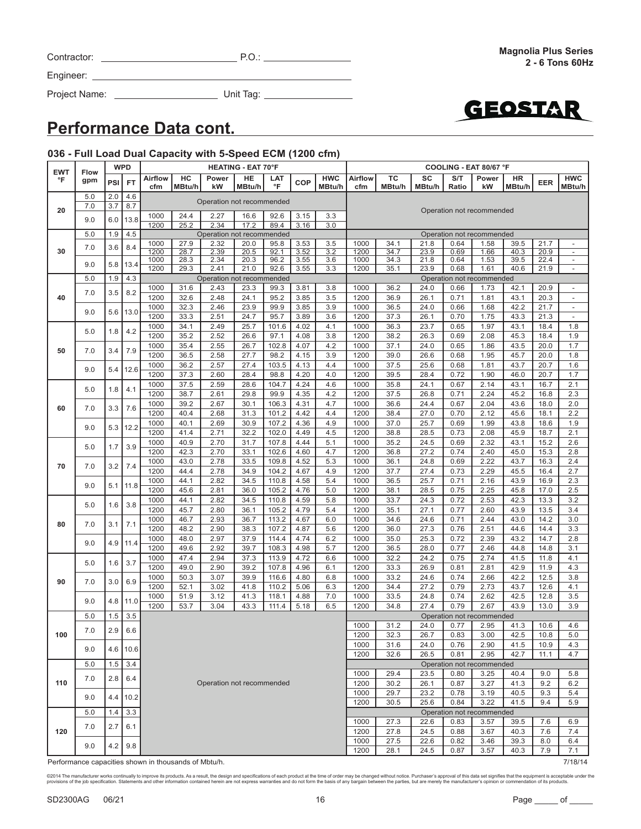| Contractor: |  |
|-------------|--|
|             |  |

Project Name: Unit Tag:



### **Performance Data cont.**

### **036 - Full Load Dual Capacity with 5-Speed ECM (1200 cfm)**

| <b>EWT</b> | Flow |     | <b>WPD</b> | <b>HEATING - EAT 70°F</b>                                                        |              |                           |              |              |              |            | COOLING - EAT 80/67 °F |              |              |              |                           |              |              |                                                      |
|------------|------|-----|------------|----------------------------------------------------------------------------------|--------------|---------------------------|--------------|--------------|--------------|------------|------------------------|--------------|--------------|--------------|---------------------------|--------------|--------------|------------------------------------------------------|
| °F         | gpm  | PSI | <b>FT</b>  | <b>Airflow</b>                                                                   | HC           | Power                     | HE           | LAT          | <b>COP</b>   | <b>HWC</b> | Airflow                | TC           | SC           | S/T          | Power                     | HR           | <b>EER</b>   | <b>HWC</b>                                           |
|            |      |     |            | cfm                                                                              | MBtu/h       | kW                        | MBtu/h       | °F           |              | MBtu/h     | cfm                    | MBtu/h       | MBtu/h       | Ratio        | kW                        | MBtu/h       |              | MBtu/h                                               |
|            | 5.0  | 2.0 | 4.6        |                                                                                  |              | Operation not recommended |              |              |              |            |                        |              |              |              |                           |              |              |                                                      |
| 20         | 7.0  | 3.7 | 8.7        |                                                                                  |              |                           |              |              |              |            |                        |              |              |              | Operation not recommended |              |              |                                                      |
|            | 9.0  | 6.0 | 13.8       | 1000                                                                             | 24.4         | 2.27                      | 16.6         | 92.6         | 3.15         | 3.3        |                        |              |              |              |                           |              |              |                                                      |
|            |      |     |            | 1200                                                                             | 25.2         | 2.34                      | 17.2         | 89.4         | 3.16         | 3.0        |                        |              |              |              |                           |              |              |                                                      |
|            | 5.0  | 1.9 | 4.5        |                                                                                  |              | Operation not recommended |              |              |              |            |                        |              |              |              | Operation not recommended |              |              |                                                      |
| 30         | 7.0  | 3.6 | 8.4        | 1000<br>1200                                                                     | 27.9<br>28.7 | 2.32<br>2.39              | 20.0         | 95.8         | 3.53<br>3.52 | 3.5<br>3.2 | 1000<br>1200           | 34.1<br>34.7 | 21.8<br>23.9 | 0.64<br>0.69 | 1.58                      | 39.5         | 21.7<br>20.9 | $\overline{a}$                                       |
|            |      |     |            | 1000                                                                             | 28.3         | 2.34                      | 20.5<br>20.3 | 92.1<br>96.2 | 3.55         | 3.6        | 1000                   | 34.3         | 21.8         | 0.64         | 1.66<br>1.53              | 40.3<br>39.5 | 22.4         | $\overline{\phantom{a}}$<br>$\overline{\phantom{a}}$ |
|            | 9.0  | 5.8 | 13.4       | 1200                                                                             | 29.3         | 2.41                      | 21.0         | 92.6         | 3.55         | 3.3        | 1200                   | 35.1         | 23.9         | 0.68         | 1.61                      | 40.6         | 21.9         |                                                      |
|            | 5.0  | 1.9 | 4.3        |                                                                                  |              | Operation not recommended |              |              |              |            |                        |              |              |              | Operation not recommended |              |              |                                                      |
|            |      |     |            | 1000                                                                             | 31.6         | 2.43                      | 23.3         | 99.3         | 3.81         | 3.8        | 1000                   | 36.2         | 24.0         | 0.66         | 1.73                      | 42.1         | 20.9         | $\overline{\phantom{a}}$                             |
| 40         | 7.0  | 3.5 | 8.2        | 1200                                                                             | 32.6         | 2.48                      | 24.1         | 95.2         | 3.85         | 3.5        | 1200                   | 36.9         | 26.1         | 0.71         | 1.81                      | 43.1         | 20.3         | $\overline{a}$                                       |
|            |      |     |            | 1000                                                                             | 32.3         | 2.46                      | 23.9         | 99.9         | 3.85         | 3.9        | 1000                   | 36.5         | 24.0         | 0.66         | 1.68                      | 42.2         | 21.7         | $\overline{\phantom{m}}$                             |
|            | 9.0  | 5.6 | 13.0       | 1200                                                                             | 33.3         | 2.51                      | 24.7         | 95.7         | 3.89         | 3.6        | 1200                   | 37.3         | 26.1         | 0.70         | 1.75                      | 43.3         | 21.3         | $\overline{\phantom{a}}$                             |
|            |      |     |            | 1000                                                                             | 34.1         | 2.49                      | 25.7         | 101.6        | 4.02         | 4.1        | 1000                   | 36.3         | 23.7         | 0.65         | 1.97                      | 43.1         | 18.4         | 1.8                                                  |
|            | 5.0  | 1.8 | 4.2        | 1200                                                                             | 35.2         | 2.52                      | 26.6         | 97.1         | 4.08         | 3.8        | 1200                   | 38.2         | 26.3         | 0.69         | 2.08                      | 45.3         | 18.4         | 1.9                                                  |
|            |      |     |            | 1000                                                                             | 35.4         | 2.55                      | 26.7         | 102.8        | 4.07         | 4.2        | 1000                   | 37.1         | 24.0         | 0.65         | 1.86                      | 43.5         | 20.0         | 1.7                                                  |
| 50         | 7.0  | 3.4 | 7.9        | 1200                                                                             | 36.5         | 2.58                      | 27.7         | 98.2         | 4.15         | 3.9        | 1200                   | 39.0         | 26.6         | 0.68         | 1.95                      | 45.7         | 20.0         | 1.8                                                  |
|            |      |     |            | 1000                                                                             | 36.2         | 2.57                      | 27.4         | 103.5        | 4.13         | 4.4        | 1000                   | 37.5         | 25.6         | 0.68         | 1.81                      | 43.7         | 20.7         | 1.6                                                  |
|            | 9.0  | 5.4 | 12.6       | 1200                                                                             | 37.3         | 2.60                      | 28.4         | 98.8         | 4.20         | 4.0        | 1200                   | 39.5         | 28.4         | 0.72         | 1.90                      | 46.0         | 20.7         | 1.7                                                  |
|            |      |     |            | 1000                                                                             | 37.5         | 2.59                      | 28.6         | 104.7        | 4.24         | 4.6        | 1000                   | 35.8         | 24.1         | 0.67         | 2.14                      | 43.1         | 16.7         | 2.1                                                  |
|            | 5.0  | 1.8 | 4.1        | 1200                                                                             | 38.7         | 2.61                      | 29.8         | 99.9         | 4.35         | 4.2        | 1200                   | 37.5         | 26.8         | 0.71         | 2.24                      | 45.2         | 16.8         | 2.3                                                  |
| 60         |      |     | 7.6        | 1000                                                                             | 39.2         | 2.67                      | 30.1         | 106.3        | 4.31         | 4.7        | 1000                   | 36.6         | 24.4         | 0.67         | 2.04                      | 43.6         | 18.0         | 2.0                                                  |
|            | 7.0  | 3.3 |            | 1200                                                                             | 40.4         | 2.68                      | 31.3         | 101.2        | 4.42         | 4.4        | 1200                   | 38.4         | 27.0         | 0.70         | 2.12                      | 45.6         | 18.1         | 2.2                                                  |
|            | 9.0  | 5.3 | 12.2       | 1000                                                                             | 40.1         | 2.69                      | 30.9         | 107.2        | 4.36         | 4.9        | 1000                   | 37.0         | 25.7         | 0.69         | 1.99                      | 43.8         | 18.6         | 1.9                                                  |
|            |      |     |            | 1200                                                                             | 41.4         | 2.71                      | 32.2         | 102.0        | 4.49         | 4.5        | 1200                   | 38.8         | 28.5         | 0.73         | 2.08                      | 45.9         | 18.7         | 2.1                                                  |
|            |      |     |            | 1000                                                                             | 40.9         | 2.70                      | 31.7         | 107.8        | 4.44         | 5.1        | 1000                   | 35.2         | 24.5         | 0.69         | 2.32                      | 43.1         | 15.2         | 2.6                                                  |
| 70         | 5.0  | 1.7 | 3.9        | 1200                                                                             | 42.3         | 2.70                      | 33.1         | 102.6        | 4.60         | 4.7        | 1200                   | 36.8         | 27.2         | 0.74         | 2.40                      | 45.0         | 15.3         | 2.8                                                  |
|            | 7.0  | 3.2 | 7.4        | 1000                                                                             | 43.0         | 2.78                      | 33.5         | 109.8        | 4.52         | 5.3        | 1000                   | 36.1         | 24.8         | 0.69         | 2.22                      | 43.7         | 16.3         | 2.4                                                  |
|            |      |     |            | 1200                                                                             | 44.4         | 2.78                      | 34.9         | 104.2        | 4.67         | 4.9        | 1200                   | 37.7         | 27.4         | 0.73         | 2.29                      | 45.5         | 16.4         | 2.7                                                  |
|            | 9.0  | 5.1 | 11.8       | 1000                                                                             | 44.1         | 2.82                      | 34.5         | 110.8        | 4.58         | 5.4        | 1000                   | 36.5         | 25.7         | 0.71         | 2.16                      | 43.9         | 16.9         | 2.3                                                  |
|            |      |     |            | 1200                                                                             | 45.6         | 2.81                      | 36.0         | 105.2        | 4.76         | 5.0        | 1200                   | 38.1         | 28.5         | 0.75         | 2.25                      | 45.8         | 17.0         | 2.5                                                  |
|            | 5.0  | 1.6 | 3.8        | 1000                                                                             | 44.1         | 2.82                      | 34.5         | 110.8        | 4.59         | 5.8        | 1000                   | 33.7         | 24.3         | 0.72         | 2.53                      | 42.3         | 13.3         | 3.2                                                  |
|            |      |     |            | 1200                                                                             | 45.7         | 2.80                      | 36.1         | 105.2        | 4.79         | 5.4        | 1200                   | 35.1         | 27.1         | 0.77         | 2.60                      | 43.9         | 13.5         | 3.4                                                  |
| 80         | 7.0  | 3.1 | 7.1        | 1000                                                                             | 46.7         | 2.93                      | 36.7         | 113.2        | 4.67         | 6.0        | 1000                   | 34.6         | 24.6         | 0.71         | 2.44                      | 43.0         | 14.2         | 3.0                                                  |
|            |      |     |            | 1200                                                                             | 48.2         | 2.90                      | 38.3         | 107.2        | 4.87         | 5.6        | 1200                   | 36.0         | 27.3         | 0.76         | 2.51                      | 44.6         | 14.4         | 3.3                                                  |
|            | 9.0  | 4.9 | 11.4       | 1000                                                                             | 48.0         | 2.97                      | 37.9         | 114.4        | 4.74         | 6.2        | 1000                   | 35.0         | 25.3         | 0.72         | 2.39                      | 43.2         | 14.7         | 2.8                                                  |
|            |      |     |            | 1200                                                                             | 49.6         | 2.92                      | 39.7         | 108.3        | 4.98         | 5.7        | 1200                   | 36.5         | 28.0         | 0.77         | 2.46                      | 44.8         | 14.8         | 3.1                                                  |
|            | 5.0  | 1.6 | $3.7\,$    | 1000                                                                             | 47.4         | 2.94                      | 37.3         | 113.9        | 4.72         | 6.6        | 1000                   | 32.2         | 24.2         | 0.75         | 2.74                      | 41.5         | 11.8         | 4.1                                                  |
|            |      |     |            | 1200                                                                             | 49.0         | 2.90                      | 39.2         | 107.8        | 4.96         | 6.1        | 1200                   | 33.3         | 26.9         | 0.81         | 2.81                      | 42.9         | 11.9         | 4.3                                                  |
| 90         | 7.0  | 3.0 | 6.9        | 1000                                                                             | 50.3         | 3.07                      | 39.9         | 116.6        | 4.80         | 6.8        | 1000                   | 33.2         | 24.6         | 0.74         | 2.66                      | 42.2         | 12.5         | 3.8                                                  |
|            |      |     |            | 1200                                                                             | 52.1         | 3.02                      | 41.8         | 110.2        | 5.06         | 6.3        | 1200                   | 34.4         | 27.2         | 0.79         | 2.73                      | 43.7         | 12.6         | 4.1                                                  |
|            | 9.0  | 4.8 | 11.0       | 1000                                                                             | 51.9         | 3.12                      | 41.3         | 118.1        | 4.88         | 7.0        | 1000                   | 33.5         | 24.8         | 0.74         | 2.62                      | 42.5         | 12.8         | 3.5                                                  |
|            |      |     |            | 1200                                                                             | 53.7         | 3.04                      | 43.3         | 111.4        | 5.18         | 6.5        | 1200                   | 34.8         | 27.4         | 0.79         | 2.67                      | 43.9         | 13.0         | 3.9                                                  |
|            | 5.0  | 1.5 | 3.5        |                                                                                  |              |                           |              |              |              |            |                        |              |              |              | Operation not recommended |              |              |                                                      |
|            | 7.0  | 2.9 | 6.6        |                                                                                  |              |                           |              |              |              |            | 1000                   | 31.2         | 24.0         | 0.77         | 2.95                      | 41.3         | 10.6         | 4.6                                                  |
| 100        |      |     |            |                                                                                  |              |                           |              |              |              |            | 1200                   | 32.3         | 26.7         | 0.83         | 3.00                      | 42.5         | 10.8         | 5.0                                                  |
|            | 9.0  |     | 4.6 10.6   |                                                                                  |              |                           |              |              |              |            | 1000                   | 31.6         | 24.0         | 0.76         | 2.90                      | 41.5         | 10.9         | 4.3                                                  |
|            |      |     |            |                                                                                  |              |                           |              |              |              |            | 1200                   | 32.6         | 26.5         | 0.81         | 2.95                      | 42.7         | 11.1         | 4.7                                                  |
|            | 5.0  | 1.5 | 3.4        |                                                                                  |              |                           |              |              |              |            |                        |              |              |              | Operation not recommended |              |              |                                                      |
| 110        | 7.0  | 2.8 | 6.4        |                                                                                  |              | Operation not recommended |              |              |              |            | 1000<br>1200           | 29.4<br>30.2 | 23.5<br>26.1 | 0.80<br>0.87 | 3.25<br>3.27              | 40.4<br>41.3 | 9.0<br>9.2   | 5.8<br>6.2                                           |
|            |      |     |            |                                                                                  |              |                           |              |              |              |            | 1000                   | 29.7         | 23.2         | 0.78         | 3.19                      | 40.5         | 9.3          | 5.4                                                  |
|            | 9.0  | 4.4 | 10.2       |                                                                                  |              |                           |              |              |              |            | 1200                   | 30.5         | 25.6         | 0.84         | 3.22                      | 41.5         | 9.4          | 5.9                                                  |
|            | 5.0  | 1.4 | 3.3        |                                                                                  |              |                           |              |              |              |            |                        |              |              |              |                           |              |              |                                                      |
|            |      |     |            | Operation not recommended<br>1000<br>27.3<br>22.6<br>0.83<br>3.57<br>39.5<br>7.6 |              |                           |              |              |              |            |                        |              |              |              | 6.9                       |              |              |                                                      |
| 120        | 7.0  | 2.7 | 6.1        |                                                                                  |              |                           |              |              |              |            | 1200                   | 27.8         | 24.5         | 0.88         | 3.67                      | 40.3         | 7.6          | 7.4                                                  |
|            |      |     |            |                                                                                  |              |                           |              |              |              |            | 1000                   | 27.5         | 22.6         | 0.82         | 3.46                      | 39.3         | 8.0          | 6.4                                                  |
|            | 9.0  | 4.2 | 9.8        |                                                                                  |              |                           |              |              |              |            | 1200                   | 28.1         | 24.5         | 0.87         | 3.57                      | 40.3         | 7.9          | 7.1                                                  |
|            |      |     |            |                                                                                  |              |                           |              |              |              |            |                        |              |              |              |                           |              |              |                                                      |

Performance capacities shown in thousands of Mbtu/h. **The activity of the Contract of Mbtu/h.** 7/18/14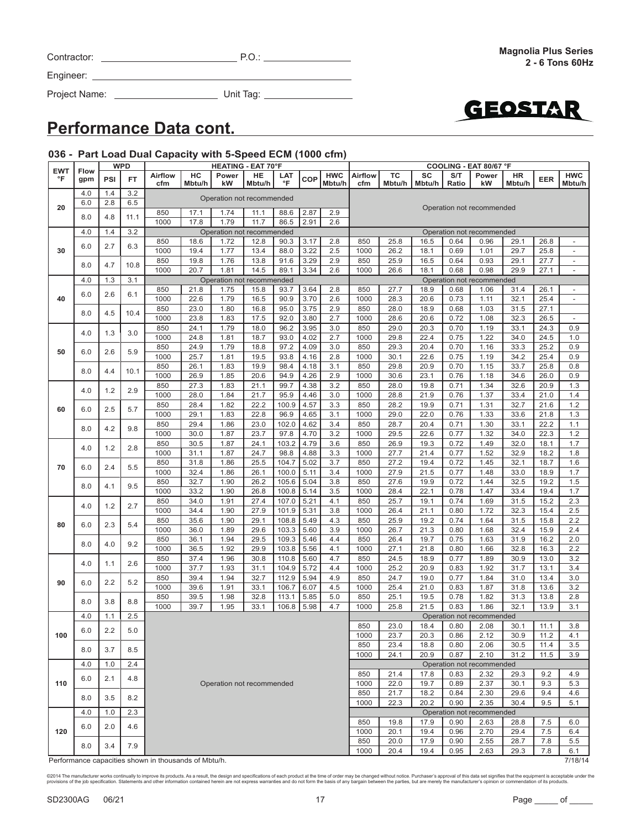Project Name: Unit Tag:



### **Performance Data cont.**

#### **036 - Part Load Dual Capacity with 5-Speed ECM (1000 cfm)**

| <b>EWT</b> |                    |     | <b>WPD</b> | <b>HEATING - EAT 70°F</b>                            |        |                           |        |       |      | COOLING - EAT 80/67 °F |                           |        |        |       |                           |        |            |                          |
|------------|--------------------|-----|------------|------------------------------------------------------|--------|---------------------------|--------|-------|------|------------------------|---------------------------|--------|--------|-------|---------------------------|--------|------------|--------------------------|
| °F         | <b>Flow</b><br>gpm | PSI | <b>FT</b>  | <b>Airflow</b>                                       | HC     | Power                     | HE     | LAT   | COP  | <b>HWC</b>             | Airflow                   | тс     | SC     | S/T   | Power                     | HR     | <b>EER</b> | <b>HWC</b>               |
|            |                    |     |            | cfm                                                  | Mbtu/h | kW                        | Mbtu/h | °F    |      | Mbtu/h                 | cfm                       | Mbtu/h | Mbtu/h | Ratio | kW                        | Mbtu/h |            | Mbtu/h                   |
|            | 4.0                | 1.4 | 3.2        |                                                      |        |                           |        |       |      |                        |                           |        |        |       |                           |        |            |                          |
|            | 6.0                | 2.8 | 6.5        |                                                      |        | Operation not recommended |        |       |      |                        |                           |        |        |       |                           |        |            |                          |
| 20         |                    |     |            | 850                                                  | 17.1   | 1.74                      | 11.1   | 88.6  | 2.87 | 2.9                    |                           |        |        |       | Operation not recommended |        |            |                          |
|            | 8.0                | 4.8 | 11.1       | 1000                                                 | 17.8   | 1.79                      | 11.7   | 86.5  | 2.91 | 2.6                    |                           |        |        |       |                           |        |            |                          |
|            | 4.0                | 1.4 | 3.2        |                                                      |        | Operation not recommended |        |       |      |                        |                           |        |        |       | Operation not recommended |        |            |                          |
|            |                    |     |            | 850                                                  | 18.6   | 1.72                      | 12.8   | 90.3  | 3.17 | 2.8                    | 850                       | 25.8   | 16.5   | 0.64  | 0.96                      | 29.1   | 26.8       | $\overline{\phantom{a}}$ |
| 30         | 6.0                | 2.7 | 6.3        | 1000                                                 | 19.4   | 1.77                      | 13.4   | 88.0  | 3.22 | 2.5                    | 1000                      | 26.2   | 18.1   | 0.69  | 1.01                      | 29.7   | 25.8       | $\overline{\phantom{0}}$ |
|            |                    |     |            |                                                      |        |                           |        |       |      |                        |                           |        |        |       |                           |        |            |                          |
|            | 8.0                | 4.7 | 10.8       | 850                                                  | 19.8   | 1.76                      | 13.8   | 91.6  | 3.29 | 2.9                    | 850                       | 25.9   | 16.5   | 0.64  | 0.93                      | 29.1   | 27.7       | $\overline{\phantom{a}}$ |
|            |                    |     |            | 1000                                                 | 20.7   | 1.81                      | 14.5   | 89.1  | 3.34 | 2.6                    | 1000                      | 26.6   | 18.1   | 0.68  | 0.98                      | 29.9   | 27.1       | $\overline{\phantom{a}}$ |
|            | 4.0                | 1.3 | 3.1        |                                                      |        | Operation not recommended |        |       |      |                        | Operation not recommended |        |        |       |                           |        |            |                          |
|            | 6.0                |     | 6.1        | 850                                                  | 21.8   | 1.75                      | 15.8   | 93.7  | 3.64 | 2.8                    | 850                       | 27.7   | 18.9   | 0.68  | 1.06                      | 31.4   | 26.1       | $\overline{\phantom{a}}$ |
| 40         |                    | 2.6 |            | 1000                                                 | 22.6   | 1.79                      | 16.5   | 90.9  | 3.70 | 2.6                    | 1000                      | 28.3   | 20.6   | 0.73  | 1.11                      | 32.1   | 25.4       | $\overline{\phantom{a}}$ |
|            | 8.0                | 4.5 | 10.4       | 850                                                  | 23.0   | 1.80                      | 16.8   | 95.0  | 3.75 | 2.9                    | 850                       | 28.0   | 18.9   | 0.68  | 1.03                      | 31.5   | 27.1       |                          |
|            |                    |     |            | 1000                                                 | 23.8   | 1.83                      | 17.5   | 92.0  | 3.80 | 2.7                    | 1000                      | 28.6   | 20.6   | 0.72  | 1.08                      | 32.3   | 26.5       | $\overline{\phantom{a}}$ |
|            |                    |     |            | 850                                                  | 24.1   | 1.79                      | 18.0   | 96.2  | 3.95 | 3.0                    | 850                       | 29.0   | 20.3   | 0.70  | 1.19                      | 33.1   | 24.3       | 0.9                      |
|            | 4.0                | 1.3 | 3.0        | 1000                                                 | 24.8   | 1.81                      | 18.7   | 93.0  | 4.02 | 2.7                    | 1000                      | 29.8   | 22.4   | 0.75  | 1.22                      | 34.0   | 24.5       | 1.0                      |
|            |                    |     |            | 850                                                  | 24.9   | 1.79                      | 18.8   | 97.2  | 4.09 | 3.0                    | 850                       | 29.3   | 20.4   | 0.70  | 1.16                      | 33.3   | 25.2       | 0.9                      |
| 50         | 6.0                | 2.6 | 5.9        | 1000                                                 | 25.7   | 1.81                      | 19.5   | 93.8  | 4.16 | 2.8                    | 1000                      | 30.1   | 22.6   | 0.75  | 1.19                      | 34.2   | 25.4       | 0.9                      |
|            |                    |     |            | 850                                                  | 26.1   | 1.83                      | 19.9   | 98.4  | 4.18 | 3.1                    | 850                       | 29.8   | 20.9   | 0.70  | 1.15                      | 33.7   | 25.8       | 0.8                      |
|            | 8.0                | 4.4 | 10.1       |                                                      |        |                           |        |       |      |                        |                           |        |        |       |                           |        |            |                          |
|            |                    |     |            | 1000                                                 | 26.9   | 1.85                      | 20.6   | 94.9  | 4.26 | 2.9                    | 1000                      | 30.6   | 23.1   | 0.76  | 1.18                      | 34.6   | 26.0       | 0.9                      |
|            | 4.0                | 1.2 | 2.9        | 850                                                  | 27.3   | 1.83                      | 21.1   | 99.7  | 4.38 | 3.2                    | 850                       | 28.0   | 19.8   | 0.71  | 1.34                      | 32.6   | 20.9       | 1.3                      |
|            |                    |     |            | 1000                                                 | 28.0   | 1.84                      | 21.7   | 95.9  | 4.46 | 3.0                    | 1000                      | 28.8   | 21.9   | 0.76  | 1.37                      | 33.4   | 21.0       | 1.4                      |
| 60         | 6.0                | 2.5 | 5.7        | 850                                                  | 28.4   | 1.82                      | 22.2   | 100.9 | 4.57 | 3.3                    | 850                       | 28.2   | 19.9   | 0.71  | 1.31                      | 32.7   | 21.6       | 1.2                      |
|            |                    |     |            | 1000                                                 | 29.1   | 1.83                      | 22.8   | 96.9  | 4.65 | 3.1                    | 1000                      | 29.0   | 22.0   | 0.76  | 1.33                      | 33.6   | 21.8       | 1.3                      |
|            | 8.0                | 4.2 | 9.8        | 850                                                  | 29.4   | 1.86                      | 23.0   | 102.0 | 4.62 | 3.4                    | 850                       | 28.7   | 20.4   | 0.71  | 1.30                      | 33.1   | 22.2       | 1.1                      |
|            |                    |     |            | 1000                                                 | 30.0   | 1.87                      | 23.7   | 97.8  | 4.70 | 3.2                    | 1000                      | 29.5   | 22.6   | 0.77  | 1.32                      | 34.0   | 22.3       | 1.2                      |
|            |                    |     |            | 850                                                  | 30.5   | 1.87                      | 24.1   | 103.2 | 4.79 | 3.6                    | 850                       | 26.9   | 19.3   | 0.72  | 1.49                      | 32.0   | 18.1       | 1.7                      |
|            | 4.0                | 1.2 | 2.8        | 1000                                                 | 31.1   | 1.87                      | 24.7   | 98.8  | 4.88 | 3.3                    | 1000                      | 27.7   | 21.4   | 0.77  | 1.52                      | 32.9   | 18.2       | 1.8                      |
|            |                    |     |            | 850                                                  | 31.8   | 1.86                      | 25.5   | 104.7 | 5.02 | 3.7                    | 850                       | 27.2   | 19.4   | 0.72  | 1.45                      | 32.1   | 18.7       | 1.6                      |
| 70         | 6.0                | 2.4 | 5.5        | 1000                                                 | 32.4   | 1.86                      | 26.1   | 100.0 | 5.11 | 3.4                    | 1000                      | 27.9   | 21.5   | 0.77  | 1.48                      | 33.0   | 18.9       | 1.7                      |
|            |                    |     |            | 850                                                  | 32.7   | 1.90                      | 26.2   | 105.6 | 5.04 | 3.8                    | 850                       | 27.6   | 19.9   | 0.72  | 1.44                      | 32.5   | 19.2       | 1.5                      |
|            | 8.0                | 4.1 | 9.5        | 1000                                                 | 33.2   |                           | 26.8   |       |      |                        |                           |        | 22.1   |       |                           | 33.4   |            |                          |
|            |                    |     |            |                                                      |        | 1.90                      |        | 100.8 | 5.14 | 3.5                    | 1000                      | 28.4   |        | 0.78  | 1.47                      |        | 19.4       | 1.7                      |
|            | 4.0                | 1.2 | 2.7        | 850                                                  | 34.0   | 1.91                      | 27.4   | 107.0 | 5.21 | 4.1                    | 850                       | 25.7   | 19.1   | 0.74  | 1.69                      | 31.5   | 15.2       | 2.3                      |
|            |                    |     |            | 1000                                                 | 34.4   | 1.90                      | 27.9   | 101.9 | 5.31 | 3.8                    | 1000                      | 26.4   | 21.1   | 0.80  | 1.72                      | 32.3   | 15.4       | 2.5                      |
| 80         | 6.0                | 2.3 | 5.4        | 850                                                  | 35.6   | 1.90                      | 29.1   | 108.8 | 5.49 | 4.3                    | 850                       | 25.9   | 19.2   | 0.74  | 1.64                      | 31.5   | 15.8       | 2.2                      |
|            |                    |     | 9.2        | 1000                                                 | 36.0   | 1.89                      | 29.6   | 103.3 | 5.60 | 3.9                    | 1000                      | 26.7   | 21.3   | 0.80  | 1.68                      | 32.4   | 15.9       | 2.4                      |
|            | 8.0                | 4.0 |            | 850                                                  | 36.1   | 1.94                      | 29.5   | 109.3 | 5.46 | 4.4                    | 850                       | 26.4   | 19.7   | 0.75  | 1.63                      | 31.9   | 16.2       | 2.0                      |
|            |                    |     |            | 1000                                                 | 36.5   | 1.92                      | 29.9   | 103.8 | 5.56 | 4.1                    | 1000                      | 27.1   | 21.8   | 0.80  | 1.66                      | 32.8   | 16.3       | 2.2                      |
|            |                    |     |            | 850                                                  | 37.4   | 1.96                      | 30.8   | 110.8 | 5.60 | 4.7                    | 850                       | 24.5   | 18.9   | 0.77  | 1.89                      | 30.9   | 13.0       | 3.2                      |
|            | 4.0                | 1.1 | 2.6        | 1000                                                 | 37.7   | 1.93                      | 31.1   | 104.9 | 5.72 | 4.4                    | 1000                      | 25.2   | 20.9   | 0.83  | 1.92                      | 31.7   | 13.1       | 3.4                      |
|            |                    |     |            | 850                                                  | 39.4   | 1.94                      | 32.7   | 112.9 | 5.94 | 4.9                    | 850                       | 24.7   | 19.0   | 0.77  | 1.84                      | 31.0   | 13.4       | 3.0                      |
| 90         | 6.0                | 2.2 | 5.2        | 1000                                                 | 39.6   | 1.91                      | 33.1   | 106.7 | 6.07 | 4.5                    | 1000                      | 25.4   | 21.0   | 0.83  | 1.87                      | 31.8   | 13.6       | 3.2                      |
|            |                    |     |            | 850                                                  | 39.5   | 1.98                      | 32.8   | 113.1 | 5.85 | 5.0                    | 850                       | 25.1   | 19.5   | 0.78  | 1.82                      | 31.3   | 13.8       | 2.8                      |
|            | 8.0                | 3.8 | 8.8        | 1000                                                 | 39.7   | 1.95                      | 33.1   | 106.8 | 5.98 | 4.7                    | 1000                      | 25.8   | 21.5   | 0.83  | 1.86                      | 32.1   | 13.9       | 3.1                      |
|            |                    | 1.1 |            |                                                      |        |                           |        |       |      |                        |                           |        |        |       |                           |        |            |                          |
|            | 4.0                |     | 2.5        |                                                      |        |                           |        |       |      |                        |                           |        |        |       | Operation not recommended |        |            |                          |
|            | $6.0\,$            | 2.2 | $5.0$      |                                                      |        |                           |        |       |      |                        | 850                       | 23.0   | 18.4   | 0.80  | 2.08                      | 30.1   | 11.1       | 3.8                      |
| 100        |                    |     |            |                                                      |        |                           |        |       |      |                        | 1000                      | 23.7   | 20.3   | 0.86  | 2.12                      | 30.9   | 11.2       | 4.1                      |
|            | 8.0                | 3.7 | 8.5        |                                                      |        |                           |        |       |      |                        | 850                       | 23.4   | 18.8   | 0.80  | 2.06                      | 30.5   | 11.4       | 3.5                      |
|            |                    |     |            |                                                      |        |                           |        |       |      |                        | 1000                      | 24.1   | 20.9   | 0.87  | 2.10                      | 31.2   | 11.5       | 3.9                      |
|            | 4.0                | 1.0 | 2.4        |                                                      |        |                           |        |       |      |                        |                           |        |        |       | Operation not recommended |        |            |                          |
|            |                    |     |            |                                                      |        |                           |        |       |      |                        | 850                       | 21.4   | 17.8   | 0.83  | 2.32                      | 29.3   | 9.2        | 4.9                      |
| 110        | 6.0                | 2.1 | 4.8        |                                                      |        | Operation not recommended |        |       |      |                        | 1000                      | 22.0   | 19.7   | 0.89  | 2.37                      | 30.1   | 9.3        | 5.3                      |
|            |                    |     |            |                                                      |        |                           |        |       |      |                        | 850                       | 21.7   | 18.2   | 0.84  | 2.30                      | 29.6   | 9.4        | 4.6                      |
|            | 8.0                | 3.5 | 8.2        |                                                      |        |                           |        |       |      |                        | 1000                      | 22.3   | 20.2   | 0.90  | 2.35                      | 30.4   | 9.5        | 5.1                      |
|            | 4.0                | 1.0 | 2.3        |                                                      |        |                           |        |       |      |                        |                           |        |        |       | Operation not recommended |        |            |                          |
|            |                    |     |            |                                                      |        |                           |        |       |      |                        | 850                       | 19.8   | 17.9   | 0.90  | 2.63                      | 28.8   | 7.5        | 6.0                      |
| 120        | 6.0                | 2.0 | 4.6        |                                                      |        |                           |        |       |      |                        | 1000                      | 20.1   | 19.4   | 0.96  | 2.70                      | 29.4   | 7.5        | 6.4                      |
|            |                    |     |            |                                                      |        |                           |        |       |      |                        | 850                       | 20.0   |        |       |                           |        |            |                          |
|            | 8.0                | 3.4 | 7.9        |                                                      |        |                           |        |       |      |                        |                           |        | 17.9   | 0.90  | 2.55                      | 28.7   | 7.8        | 5.5                      |
|            |                    |     |            |                                                      |        |                           |        |       |      |                        | 1000                      | 20.4   | 19.4   | 0.95  | 2.63                      | 29.3   | 7.8        | 6.1                      |
|            |                    |     |            | Performance capacities shown in thousands of Mbtu/h. |        |                           |        |       |      |                        |                           |        |        |       |                           |        |            | 7/18/14                  |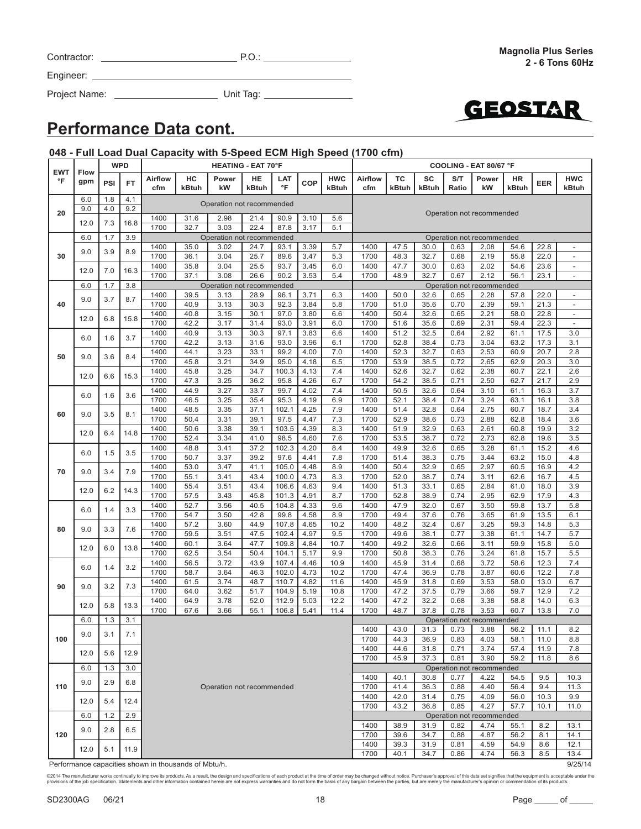©2014 The manufacturer works continually to improve its products. As a result, the design and specifications of each product at the time of order may be changed without notice. Purchaser's approval of this data set signif

SD2300AG 06/21 18 18 Page 106/21

| <b>Performance Data cont.</b> |
|-------------------------------|
|-------------------------------|

|                            |                    |            | <b>WPD</b> |                                                      |              | <b>HEATING - EAT 70°F</b>         |              |                |              |                     | COOLING - EAT 80/67 °F |              |              |              |                                   |              |              |                          |
|----------------------------|--------------------|------------|------------|------------------------------------------------------|--------------|-----------------------------------|--------------|----------------|--------------|---------------------|------------------------|--------------|--------------|--------------|-----------------------------------|--------------|--------------|--------------------------|
| <b>EWT</b><br>$\mathsf{P}$ | <b>Flow</b><br>gpm | PSI        | <b>FT</b>  | <b>Airflow</b><br>cfm                                | HC<br>kBtuh  | Power<br>kW                       | HE<br>kBtuh  | LAT<br>°F      | COP          | <b>HWC</b><br>kBtuh | <b>Airflow</b><br>cfm  | TC<br>kBtuh  | SC<br>kBtuh  | S/T<br>Ratio | Power<br>kW                       | HR<br>kBtuh  | EER          | <b>HWC</b><br>kBtuh      |
|                            | 6.0                | 1.8<br>4.0 | 4.1        |                                                      |              | Operation not recommended         |              |                |              |                     |                        |              |              |              |                                   |              |              |                          |
| 20                         | 9.0                |            | 9.2        | 1400                                                 | 31.6         | 2.98                              | 21.4         | 90.9           | 3.10         | 5.6                 |                        |              |              |              | Operation not recommended         |              |              |                          |
|                            | 12.0               | 7.3        | 16.8       | 1700                                                 | 32.7         | 3.03                              | 22.4         | 87.8           | 3.17         | 5.1                 |                        |              |              |              |                                   |              |              |                          |
|                            | 6.0                | 1.7        | 3.9        |                                                      |              | Operation not recommended         |              |                |              |                     |                        |              |              |              | Operation not recommended         |              |              |                          |
| 30                         | 9.0                | 3.9        | 8.9        | 1400<br>1700                                         | 35.0<br>36.1 | 3.02<br>3.04                      | 24.7<br>25.7 | 93.1<br>89.6   | 3.39<br>3.47 | 5.7<br>5.3          | 1400<br>1700           | 47.5<br>48.3 | 30.0<br>32.7 | 0.63<br>0.68 | 2.08<br>2.19                      | 54.6<br>55.8 | 22.8<br>22.0 | $\blacksquare$           |
|                            | 12.0               | 7.0        | 16.3       | 1400                                                 | 35.8         | 3.04                              | 25.5         | 93.7           | 3.45         | 6.0                 | 1400                   | 47.7         | 30.0         | 0.63         | 2.02                              | 54.6         | 23.6         | $\overline{\phantom{a}}$ |
|                            |                    |            |            | 1700                                                 | 37.1         | 3.08                              | 26.6         | 90.2           | 3.53         | 5.4                 | 1700                   | 48.9         | 32.7         | 0.67         | 2.12                              | 56.1         | 23.1         | $\overline{\phantom{a}}$ |
|                            | 6.0                | 1.7        | 3.8        | 1400                                                 | 39.5         | Operation not recommended<br>3.13 | 28.9         | 96.1           | 3.71         | 6.3                 | 1400                   | 50.0         | 32.6         | 0.65         | Operation not recommended<br>2.28 | 57.8         | 22.0         | $\overline{\phantom{a}}$ |
| 40                         | 9.0                | 3.7        | 8.7        | 1700                                                 | 40.9         | 3.13                              | 30.3         | 92.3           | 3.84         | 5.8                 | 1700                   | 51.0         | 35.6         | 0.70         | 2.39                              | 59.1         | 21.3         | $\blacksquare$           |
|                            | 12.0               | 6.8        | 15.8       | 1400                                                 | 40.8         | 3.15                              | 30.1         | 97.0           | 3.80         | 6.6                 | 1400                   | 50.4         | 32.6         | 0.65         | 2.21                              | 58.0         | 22.8         | $\overline{\phantom{a}}$ |
|                            |                    |            |            | 1700                                                 | 42.2         | 3.17                              | 31.4         | 93.0           | 3.91         | 6.0                 | 1700                   | 51.6         | 35.6         | 0.69         | 2.31                              | 59.4         | 22.3         | $\overline{\phantom{a}}$ |
|                            | 6.0                | 1.6        | 3.7        | 1400<br>1700                                         | 40.9<br>42.2 | 3.13<br>3.13                      | 30.3<br>31.6 | 97.1<br>93.0   | 3.83<br>3.96 | 6.6<br>6.1          | 1400<br>1700           | 51.2<br>52.8 | 32.5<br>38.4 | 0.64<br>0.73 | 2.92<br>3.04                      | 61.1<br>63.2 | 17.5<br>17.3 | 3.0<br>3.1               |
|                            |                    |            |            | 1400                                                 | 44.1         | 3.23                              | 33.1         | 99.2           | 4.00         | 7.0                 | 1400                   | 52.3         | 32.7         | 0.63         | 2.53                              | 60.9         | 20.7         | 2.8                      |
| 50                         | 9.0                | 3.6        | 8.4        | 1700                                                 | 45.8         | 3.21                              | 34.9         | 95.0           | 4.18         | 6.5                 | 1700                   | 53.9         | 38.5         | 0.72         | 2.65                              | 62.9         | 20.3         | 3.0                      |
|                            | 12.0               | 6.6        | 15.3       | 1400                                                 | 45.8         | 3.25                              | 34.7         | 100.3          | 4.13         | 7.4                 | 1400                   | 52.6         | 32.7         | 0.62         | 2.38                              | 60.7         | 22.1         | 2.6                      |
|                            |                    |            |            | 1700<br>1400                                         | 47.3<br>44.9 | 3.25<br>3.27                      | 36.2<br>33.7 | 95.8<br>99.7   | 4.26<br>4.02 | 6.7<br>7.4          | 1700<br>1400           | 54.2<br>50.5 | 38.5<br>32.6 | 0.71<br>0.64 | 2.50<br>3.10                      | 62.7<br>61.1 | 21.7<br>16.3 | 2.9<br>3.7               |
|                            | 6.0                | 1.6        | 3.6        | 1700                                                 | 46.5         | 3.25                              | 35.4         | 95.3           | 4.19         | 6.9                 | 1700                   | 52.1         | 38.4         | 0.74         | 3.24                              | 63.1         | 16.1         | 3.8                      |
| 60                         | 9.0                | 3.5        | 8.1        | 1400                                                 | 48.5         | 3.35                              | 37.1         | 102.1          | 4.25         | 7.9                 | 1400                   | 51.4         | 32.8         | 0.64         | 2.75                              | 60.7         | 18.7         | 3.4                      |
|                            |                    |            |            | 1700                                                 | 50.4         | 3.31                              | 39.1         | 97.5           | 4.47         | 7.3                 | 1700                   | 52.9         | 38.6         | 0.73         | 2.88                              | 62.8         | 18.4         | 3.6                      |
|                            | 12.0               | 6.4        | 14.8       | 1400<br>1700                                         | 50.6<br>52.4 | 3.38<br>3.34                      | 39.1<br>41.0 | 103.5<br>98.5  | 4.39<br>4.60 | 8.3<br>7.6          | 1400<br>1700           | 51.9<br>53.5 | 32.9<br>38.7 | 0.63<br>0.72 | 2.61<br>2.73                      | 60.8<br>62.8 | 19.9<br>19.6 | 3.2<br>3.5               |
|                            |                    |            |            | 1400                                                 | 48.8         | 3.41                              | 37.2         | 102.3          | 4.20         | 8.4                 | 1400                   | 49.9         | 32.6         | 0.65         | 3.28                              | 61.1         | 15.2         | 4.6                      |
|                            | 6.0                | 1.5        | 3.5        | 1700                                                 | 50.7         | 3.37                              | 39.2         | 97.6           | 4.41         | 7.8                 | 1700                   | 51.4         | 38.3         | 0.75         | 3.44                              | 63.2         | 15.0         | 4.8                      |
| 70                         | 9.0<br>3.4         | 7.9        | 1400       | 53.0                                                 | 3.47         | 41.1                              | 105.0        | 4.48           | 8.9          | 1400                | 50.4                   | 32.9         | 0.65         | 2.97         | 60.5                              | 16.9         | 4.2          |                          |
|                            |                    |            |            | 1700<br>1400                                         | 55.1<br>55.4 | 3.41                              | 43.4<br>43.4 | 100.0<br>106.6 | 4.73<br>4.63 | 8.3<br>9.4          | 1700<br>1400           | 52.0<br>51.3 | 38.7<br>33.1 | 0.74<br>0.65 | 3.11<br>2.84                      | 62.6<br>61.0 | 16.7<br>18.0 | 4.5<br>3.9               |
|                            | 12.0               | 6.2        | 14.3       | 1700                                                 | 57.5         | 3.51<br>3.43                      | 45.8         | 101.3          | 4.91         | 8.7                 | 1700                   | 52.8         | 38.9         | 0.74         | 2.95                              | 62.9         | 17.9         | 4.3                      |
|                            | 6.0                | 1.4        | 3.3        | 1400                                                 | 52.7         | 3.56                              | 40.5         | 104.8          | 4.33         | 9.6                 | 1400                   | 47.9         | 32.0         | 0.67         | 3.50                              | 59.8         | 13.7         | 5.8                      |
|                            |                    |            |            | 1700                                                 | 54.7         | 3.50                              | 42.8         | 99.8           | 4.58         | 8.9                 | 1700                   | 49.4         | 37.6         | 0.76         | 3.65                              | 61.9         | 13.5         | 6.1                      |
| 80                         | 9.0                | 3.3        | 7.6        | 1400<br>1700                                         | 57.2<br>59.5 | 3.60<br>3.51                      | 44.9<br>47.5 | 107.8<br>102.4 | 4.65<br>4.97 | 10.2<br>9.5         | 1400<br>1700           | 48.2<br>49.6 | 32.4<br>38.1 | 0.67<br>0.77 | 3.25<br>3.38                      | 59.3<br>61.1 | 14.8<br>14.7 | 5.3<br>5.7               |
|                            |                    |            |            | 1400                                                 | 60.1         | 3.64                              | 47.7         | 109.8          | 4.84         | 10.7                | 1400                   | 49.2         | 32.6         | 0.66         | 3.11                              | 59.9         | 15.8         | 5.0                      |
|                            | 12.0               | 6.0        | 13.8       | 1700                                                 | 62.5         | 3.54                              | 50.4         | 104.1          | 5.17         | 9.9                 | 1700                   | 50.8         | 38.3         | 0.76         | 3.24                              | 61.8         | 15.7         | 5.5                      |
|                            | 6.0                | 1.4        | 3.2        | 1400                                                 | 56.5         | 3.72                              | 43.9         | 107.4          | 4.46         | 10.9                | 1400                   | 45.9         | 31.4         | 0.68         | 3.72                              | 58.6         | 12.3         | 7.4                      |
|                            |                    |            |            | 1700                                                 | 58.7         | 3.64                              | 46.3         | 102.0          | 4.73         | 10.2                | 1700                   | 47.4         | 36.9         | 0.78         | 3.87                              | 60.6         | 12.2         | 7.8                      |
| 90                         | 9.0                | 3.2        | 7.3        | 1400<br>1700                                         | 61.5<br>64.0 | 3.74<br>3.62                      | 48.7<br>51.7 | 110.7<br>104.9 | 4.82<br>5.19 | 11.6<br>10.8        | 1400<br>1700           | 45.9<br>47.2 | 31.8<br>37.5 | 0.69<br>0.79 | 3.53<br>3.66                      | 58.0<br>59.7 | 13.0<br>12.9 | 6.7<br>7.2               |
|                            | 12.0               | 5.8        | 13.3       | 1400                                                 | 64.9         | 3.78                              | 52.0         | 112.9          | 5.03         | 12.2                | 1400                   | 47.2         | 32.2         | 0.68         | 3.38                              | 58.8         | 14.0         | 6.3                      |
|                            |                    |            |            | 1700                                                 | 67.6         | 3.66                              | 55.1         | 106.8          | 5.41         | 11.4                | 1700                   | 48.7         | 37.8         | 0.78         | 3.53                              | 60.7         | 13.8         | 7.0                      |
|                            | 6.0                | 1.3        | 3.1        |                                                      |              |                                   |              |                |              |                     |                        |              |              |              | Operation not recommended         |              |              |                          |
| 100                        | 9.0                | 3.1        | 7.1        |                                                      |              |                                   |              |                |              |                     | 1400<br>1700           | 43.0<br>44.3 | 31.3<br>36.9 | 0.73<br>0.83 | 3.88<br>4.03                      | 56.2<br>58.1 | 11.1<br>11.0 | 8.2<br>8.8               |
|                            | 12.0               | 5.6        | 12.9       |                                                      |              |                                   |              |                |              |                     | 1400                   | 44.6         | 31.8         | 0.71         | 3.74                              | 57.4         | 11.9         | 7.8                      |
|                            |                    |            |            |                                                      |              |                                   |              |                |              |                     | 1700                   | 45.9         | 37.3         | 0.81         | 3.90                              | 59.2         | 11.8         | 8.6                      |
|                            | 6.0                | 1.3        | 3.0        |                                                      |              |                                   |              |                |              |                     | 1400                   | 40.1         | 30.8         | 0.77         | Operation not recommended<br>4.22 | 54.5         | 9.5          | 10.3                     |
| 110                        | 9.0                | 2.9        | 6.8        |                                                      |              | Operation not recommended         |              |                |              |                     | 1700                   | 41.4         | 36.3         | 0.88         | 4.40                              | 56.4         | 9.4          | 11.3                     |
|                            | 12.0               | 5.4        | 12.4       |                                                      |              |                                   |              |                |              |                     |                        | 42.0         | 31.4         | 0.75         | 4.09                              | 56.0         | 10.3         | 9.9                      |
|                            |                    |            |            |                                                      |              |                                   |              |                |              |                     | 1700                   | 43.2         | 36.8         | 0.85         | 4.27                              | 57.7         | 10.1         | 11.0                     |
|                            | 6.0                | 1.2        | 2.9        |                                                      |              |                                   |              |                |              |                     | 1400                   | 38.9         | 31.9         | 0.82         | Operation not recommended<br>4.74 | 55.1         | 8.2          | 13.1                     |
| 120                        | 9.0                | 2.8        | 6.5        |                                                      |              |                                   |              |                |              | 1700                | 39.6                   | 34.7         | 0.88         | 4.87         | 56.2                              | 8.1          | 14.1         |                          |
|                            | 12.0               | 5.1        | 11.9       |                                                      |              |                                   |              |                |              |                     | 1400                   | 39.3         | 31.9         | 0.81         | 4.59                              | 54.9         | 8.6          | 12.1                     |
|                            |                    |            |            |                                                      |              |                                   |              |                |              |                     | 1700                   | 40.1         | 34.7         | 0.86         | 4.74                              | 56.3         | 8.5          | 13.4                     |
|                            |                    |            |            | Performance capacities shown in thousands of Mbtu/h. |              |                                   |              |                |              |                     |                        |              |              |              |                                   |              |              | 9/25/14                  |

### **048 - Full Load Dual Capacity with 5-Speed ECM High Speed (1700 cfm)**

Project Name: Unit Tag:

Contractor: P.O.:

Engineer: \_\_\_

**Magnolia Plus Series 2 - 6 Tons 60Hz**

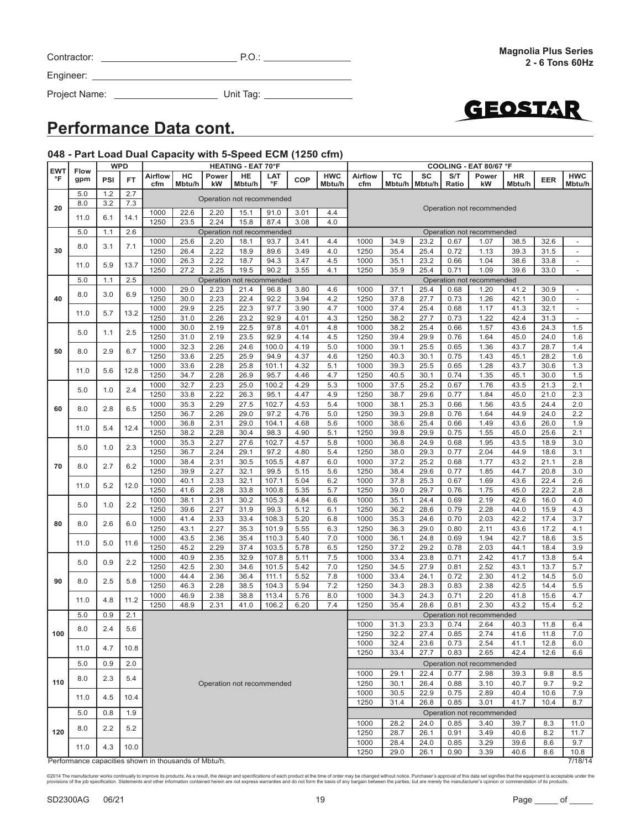| Contractor: | P.O |
|-------------|-----|
|             |     |

Project Name: Unit Tag:



### **Performance Data cont.**

### **048 - Part Load Dual Capacity with 5-Speed ECM (1250 cfm)**

|                     |                                                      | <b>WPD</b>  |      |                |              |                                   | <b>HEATING - EAT 70°F</b> |                |              |            | COOLING - EAT 80/67 °F    |              |              |              |                           |              |              |                                            |
|---------------------|------------------------------------------------------|-------------|------|----------------|--------------|-----------------------------------|---------------------------|----------------|--------------|------------|---------------------------|--------------|--------------|--------------|---------------------------|--------------|--------------|--------------------------------------------|
| <b>EWT</b><br>°F    | <b>Flow</b><br>gpm                                   | <b>PSI</b>  | FT   | <b>Airflow</b> | HC           | Power                             | HE                        | LAT            | COP          | <b>HWC</b> | <b>Airflow</b>            | ТC           | SC           | S/T          | Power                     | HR           | <b>EER</b>   | <b>HWC</b>                                 |
|                     |                                                      |             |      | cfm            | Mbtu/h       | kW                                | Mbtu/h                    | °F             |              | Mbtu/h     | cfm                       | Mbtu/h       | Mbtu/h       | Ratio        | kW                        | Mbtu/h       |              | Mbtu/h                                     |
|                     | 5.0                                                  | 1.2         | 2.7  |                |              | Operation not recommended         |                           |                |              |            |                           |              |              |              |                           |              |              |                                            |
| 20                  | 8.0                                                  | 3.2         | 7.3  |                |              |                                   |                           |                |              |            | Operation not recommended |              |              |              |                           |              |              |                                            |
|                     | 11.0                                                 | 6.1         | 14.1 | 1000           | 22.6         | 2.20                              | 15.1                      | 91.0           | 3.01         | 4.4        |                           |              |              |              |                           |              |              |                                            |
|                     |                                                      |             |      | 1250           | 23.5         | 2.24                              | 15.8                      | 87.4           | 3.08         | 4.0        |                           |              |              |              |                           |              |              |                                            |
|                     | 5.0                                                  | 1.1         | 2.6  |                |              | Operation not recommended         |                           |                |              |            |                           |              |              |              | Operation not recommended |              |              |                                            |
|                     | 8.0                                                  | 3.1         | 7.1  | 1000           | 25.6         | 2.20                              | 18.1                      | 93.7           | 3.41         | 4.4        | 1000                      | 34.9         | 23.2         | 0.67         | 1.07                      | 38.5         | 32.6         | $\overline{a}$                             |
| 30                  |                                                      |             |      | 1250           | 26.4         | 2.22                              | 18.9                      | 89.6           | 3.49         | 4.0        | 1250                      | 35.4         | 25.4         | 0.72         | 1.13                      | 39.3         | 31.5         | $\overline{a}$                             |
|                     | 11.0                                                 | 5.9         | 13.7 | 1000<br>1250   | 26.3<br>27.2 | 2.22<br>2.25                      | 18.7<br>19.5              | 94.3<br>90.2   | 3.47<br>3.55 | 4.5<br>4.1 | 1000<br>1250              | 35.1<br>35.9 | 23.2<br>25.4 | 0.66<br>0.71 | 1.04<br>1.09              | 38.6<br>39.6 | 33.8<br>33.0 | $\overline{\phantom{a}}$<br>$\overline{a}$ |
|                     | 5.0                                                  | 1.1         | 2.5  |                |              |                                   |                           |                |              |            |                           |              |              |              | Operation not recommended |              |              |                                            |
|                     |                                                      |             |      | 1000           | 29.0         | Operation not recommended<br>2.23 | 21.4                      | 96.8           | 3.80         | 4.6        | 1000                      | 37.1         | 25.4         | 0.68         | 1.20                      | 41.2         | 30.9         | $\overline{a}$                             |
| 40                  | 8.0                                                  | 3.0         | 6.9  | 1250           | 30.0         | 2.23                              | 22.4                      | 92.2           | 3.94         | 4.2        | 1250                      | 37.8         | 27.7         | 0.73         | 1.26                      | 42.1         | 30.0         | $\overline{a}$                             |
|                     |                                                      |             |      | 1000           | 29.9         | 2.25                              | 22.3                      | 97.7           | 3.90         | 4.7        | 1000                      | 37.4         | 25.4         | 0.68         | 1.17                      | 41.3         | 32.1         | $\overline{\phantom{a}}$                   |
|                     | 11.0                                                 | 5.7         | 13.2 | 1250           | 31.0         | 2.26                              | 23.2                      | 92.9           | 4.01         | 4.3        | 1250                      | 38.2         | 27.7         | 0.73         | 1.22                      | 42.4         | 31.3         | $\overline{\phantom{a}}$                   |
|                     |                                                      |             |      | 1000           | 30.0         | 2.19                              | 22.5                      | 97.8           | 4.01         | 4.8        | 1000                      | 38.2         | 25.4         | 0.66         | 1.57                      | 43.6         | 24.3         | 1.5                                        |
|                     | 5.0                                                  | 1.1         | 2.5  | 1250           | 31.0         | 2.19                              | 23.5                      | 92.9           | 4.14         | 4.5        | 1250                      | 39.4         | 29.9         | 0.76         | 1.64                      | 45.0         | 24.0         | 1.6                                        |
|                     |                                                      |             |      | 1000           | 32.3         | 2.26                              | 24.6                      | 100.0          | 4.19         | 5.0        | 1000                      | 39.1         | 25.5         | 0.65         | 1.36                      | 43.7         | 28.7         | 1.4                                        |
| 50                  | 8.0                                                  | 2.9         | 6.7  | 1250           | 33.6         | 2.25                              | 25.9                      | 94.9           | 4.37         | 4.6        | 1250                      | 40.3         | 30.1         | 0.75         | 1.43                      | 45.1         | 28.2         | 1.6                                        |
|                     |                                                      |             |      | 1000           | 33.6         | 2.28                              | 25.8                      | 101.1          | 4.32         | 5.1        | 1000                      | 39.3         | 25.5         | 0.65         | 1.28                      | 43.7         | 30.6         | 1.3                                        |
|                     | 11.0                                                 | 5.6         | 12.8 | 1250           | 34.7         | 2.28                              | 26.9                      | 95.7           | 4.46         | 4.7        | 1250                      | 40.5         | 30.1         | 0.74         | 1.35                      | 45.1         | 30.0         | 1.5                                        |
|                     |                                                      |             |      | 1000           | 32.7         | 2.23                              | 25.0                      | 100.2          | 4.29         | 5.3        | 1000                      | 37.5         | 25.2         | 0.67         | 1.76                      | 43.5         | 21.3         | 2.1                                        |
|                     | 5.0                                                  | 1.0         | 2.4  | 1250           | 33.8         | 2.22                              | 26.3                      | 95.1           | 4.47         | 4.9        | 1250                      | 38.7         | 29.6         | 0.77         | 1.84                      | 45.0         | 21.0         | 2.3                                        |
|                     |                                                      |             |      | 1000           | 35.3         | 2.29                              | 27.5                      | 102.7          | 4.53         | 5.4        | 1000                      | 38.1         | 25.3         | 0.66         | 1.56                      | 43.5         | 24.4         | 2.0                                        |
| 60                  | 8.0                                                  | 2.8         | 6.5  | 1250           | 36.7         | 2.26                              | 29.0                      | 97.2           | 4.76         | 5.0        | 1250                      | 39.3         | 29.8         | 0.76         | 1.64                      | 44.9         | 24.0         | 2.2                                        |
|                     | 11.0                                                 | 5.4         | 12.4 | 1000           | 36.8         | 2.31                              | 29.0                      | 104.1          | 4.68         | 5.6        | 1000                      | 38.6         | 25.4         | 0.66         | 1.49                      | 43.6         | 26.0         | 1.9                                        |
|                     |                                                      |             |      | 1250           | 38.2         | 2.28                              | 30.4                      | 98.3           | 4.90         | 5.1        | 1250                      | 39.8         | 29.9         | 0.75         | 1.55                      | 45.0         | 25.6         | 2.1                                        |
| 70                  | 5.0                                                  | 1.0         | 2.3  | 1000           | 35.3         | 2.27                              | 27.6                      | 102.7          | 4.57         | 5.8        | 1000                      | 36.8         | 24.9         | 0.68         | 1.95                      | 43.5         | 18.9         | 3.0                                        |
|                     |                                                      |             |      | 1250           | 36.7         | 2.24                              | 29.1                      | 97.2           | 4.80         | 5.4        | 1250                      | 38.0         | 29.3         | 0.77         | 2.04                      | 44.9         | 18.6         | 3.1                                        |
|                     | 8.0                                                  | 2.7         | 6.2  | 1000           | 38.4         | 2.31                              | 30.5                      | 105.5          | 4.87         | 6.0        | 1000                      | 37.2         | 25.2         | 0.68         | 1.77                      | 43.2         | 21.1         | 2.8                                        |
|                     |                                                      |             |      | 1250           | 39.9         | 2.27                              | 32.1                      | 99.5           | 5.15         | 5.6        | 1250                      | 38.4         | 29.6         | 0.77         | 1.85                      | 44.7         | 20.8         | 3.0                                        |
|                     |                                                      | 5.2<br>11.0 | 12.0 | 1000           | 40.1         | 2.33                              | 32.1                      | 107.1          | 5.04         | 6.2        | 1000                      | 37.8         | 25.3         | 0.67         | 1.69                      | 43.6         | 22.4         | 2.6                                        |
|                     |                                                      |             |      | 1250           | 41.6         | 2.28                              | 33.8                      | 100.8          | 5.35         | 5.7        | 1250                      | 39.0         | 29.7         | 0.76         | 1.75                      | 45.0         | 22.2         | 2.8                                        |
|                     | 5.0                                                  | 1.0         | 2.2  | 1000           | 38.1         | 2.31                              | 30.2                      | 105.3          | 4.84         | 6.6        | 1000                      | 35.1         | 24.4         | 0.69         | 2.19                      | 42.6         | 16.0         | 4.0                                        |
|                     |                                                      |             |      | 1250           | 39.6         | 2.27                              | 31.9                      | 99.3           | 5.12         | 6.1        | 1250                      | 36.2         | 28.6         | 0.79         | 2.28                      | 44.0         | 15.9         | 4.3                                        |
| 80                  | 8.0                                                  | 2.6         | 6.0  | 1000<br>1250   | 41.4         | 2.33<br>2.27                      | 33.4                      | 108.3          | 5.20         | 6.8        | 1000                      | 35.3         | 24.6         | 0.70         | 2.03                      | 42.2         | 17.4         | 3.7                                        |
|                     |                                                      |             |      |                | 43.1         |                                   | 35.3                      | 101.9          | 5.55         | 6.3        | 1250<br>1000              | 36.3         | 29.0<br>24.8 | 0.80<br>0.69 | 2.11                      | 43.6         | 17.2         | 4.1                                        |
|                     | 11.0                                                 | 5.0         | 11.6 | 1000<br>1250   | 43.5<br>45.2 | 2.36<br>2.29                      | 35.4<br>37.4              | 110.3<br>103.5 | 5.40<br>5.78 | 7.0<br>6.5 | 1250                      | 36.1<br>37.2 | 29.2         | 0.78         | 1.94<br>2.03              | 42.7<br>44.1 | 18.6<br>18.4 | 3.5<br>3.9                                 |
|                     |                                                      |             |      | 1000           | 40.9         | 2.35                              | 32.9                      | 107.8          | 5.11         | 7.5        | 1000                      | 33.4         | 23.8         | 0.71         | 2.42                      | 41.7         | 13.8         | 5.4                                        |
|                     | 5.0                                                  | 0.9         | 2.2  | 1250           | 42.5         | 2.30                              | 34.6                      | 101.5          | 5.42         | 7.0        | 1250                      | 34.5         | 27.9         | 0.81         | 2.52                      | 43.1         | 13.7         | 5.7                                        |
|                     |                                                      |             |      | 1000           | 44.4         | 2.36                              | 36.4                      | 111.1          | 5.52         | 7.8        | 1000                      | 33.4         | 24.1         | 0.72         | 2.30                      | 41.2         | 14.5         | 5.0                                        |
| 90                  | 8.0                                                  | 2.5         | 5.8  | 1250           | 46.3         | 2.28                              | 38.5                      | 104.3          | 5.94         | 7.2        | 1250                      | 34.3         | 28.3         | 0.83         | 2.38                      | 42.5         | 14.4         | 5.5                                        |
|                     |                                                      |             |      | 1000           | 46.9         | 2.38                              | 38.8                      | 113.4          | 5.76         | 8.0        | 1000                      | 34.3         | 24.3         | 0.71         | 2.20                      | 41.8         | 15.6         | 4.7                                        |
|                     | 11.0                                                 | 4.8         | 11.2 | 1250           | 48.9         | 2.31                              | 41.0                      | 106.2          | 6.20         | 7.4        | 1250                      | 35.4         | 28.6         | 0.81         | 2.30                      | 43.2         | 15.4         | 5.2                                        |
|                     | 5.0                                                  | 0.9         | 2.1  |                |              |                                   |                           |                |              |            |                           |              |              |              | Operation not recommended |              |              |                                            |
|                     |                                                      |             |      |                |              |                                   |                           |                |              |            | 1000                      | 31.3         | 23.3         | 0.74         | 2.64                      | 40.3         | 11.8         | 6.4                                        |
| 100                 | 8.0                                                  | 2.4         | 5.6  |                |              |                                   |                           |                |              |            | 1250                      | 32.2         | 27.4         | 0.85         | 2.74                      | 41.6         | 11.8         | 7.0                                        |
|                     |                                                      |             |      |                |              |                                   |                           |                |              |            | 1000                      | 32.4         | 23.6         | 0.73         | 2.54                      | 41.1         | 12.8         | 6.0                                        |
|                     | 11.0                                                 | 4.7         | 10.8 |                |              |                                   |                           |                |              |            | 1250                      | 33.4         | 27.7         | 0.83         | 2.65                      | 42.4         | 12.6         | 6.6                                        |
|                     | 5.0                                                  | 0.9         | 2.0  |                |              |                                   |                           |                |              |            |                           |              |              |              | Operation not recommended |              |              |                                            |
|                     |                                                      |             |      |                |              |                                   |                           |                |              |            | 1000                      | 29.1         | 22.4         | 0.77         | 2.98                      | 39.3         | 9.8          | 8.5                                        |
| 110                 | 8.0                                                  | 2.3         | 5.4  |                |              | Operation not recommended         |                           |                |              |            | 1250                      | 30.1         | 26.4         | 0.88         | 3.10                      | 40.7         | 9.7          | 9.2                                        |
|                     |                                                      |             |      |                |              |                                   |                           |                |              | 1000       | 30.5                      | 22.9         | 0.75         | 2.89         | 40.4                      | 10.6         | 7.9          |                                            |
| 4.5<br>11.0<br>10.4 |                                                      |             |      |                |              |                                   |                           |                |              |            | 1250                      | 31.4         | 26.8         | 0.85         | 3.01                      | 41.7         | 10.4         | 8.7                                        |
|                     | 5.0                                                  | 0.8         | 1.9  |                |              |                                   |                           |                |              |            |                           |              |              |              | Operation not recommended |              |              |                                            |
|                     |                                                      |             |      |                |              |                                   |                           |                |              |            | 1000                      | 28.2         | 24.0         | 0.85         | 3.40                      | 39.7         | 8.3          | 11.0                                       |
| 120                 | 8.0                                                  | 2.2         | 5.2  |                |              |                                   |                           |                |              |            | 1250                      | 28.7         | 26.1         | 0.91         | 3.49                      | 40.6         | 8.2          | 11.7                                       |
|                     |                                                      |             |      |                |              |                                   |                           |                |              |            | 1000                      | 28.4         | 24.0         | 0.85         | 3.29                      | 39.6         | 8.6          | 9.7                                        |
|                     | 11.0                                                 | 4.3         | 10.0 |                |              |                                   |                           |                |              |            | 1250                      | 29.0         | 26.1         | 0.90         | 3.39                      | 40.6         | 8.6          | 10.8                                       |
|                     | Performance capacities shown in thousands of Mbtu/h. |             |      |                |              |                                   |                           |                |              |            |                           |              |              |              |                           |              |              | 7/18/14                                    |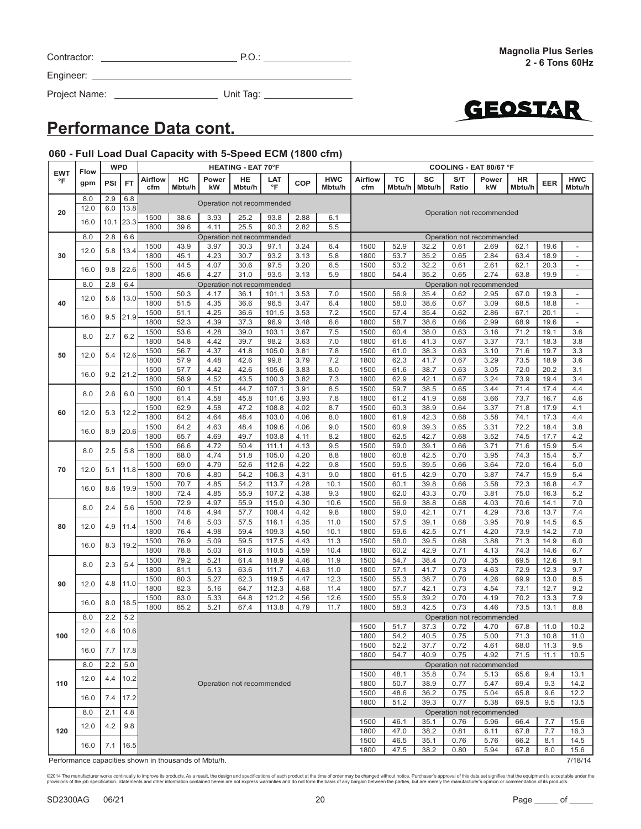| Contractor: |  |
|-------------|--|
|             |  |

Project Name: Unit Tag:



# **Performance Data cont.**

### **060 - Full Load Dual Capacity with 5-Speed ECM (1800 cfm)**

| <b>EWT</b> | Flow        | <b>WPD</b>  |             | <b>HEATING - EAT 70°F</b> |              |                                   |              |                |              |                      |                | COOLING - EAT 80/67 °F |              |              |                                   |              |              |                                                      |
|------------|-------------|-------------|-------------|---------------------------|--------------|-----------------------------------|--------------|----------------|--------------|----------------------|----------------|------------------------|--------------|--------------|-----------------------------------|--------------|--------------|------------------------------------------------------|
| °F         | gpm         | PSI         | <b>FT</b>   | <b>Airflow</b><br>cfm     | HC<br>Mbtu/h | Power<br>kW                       | HE<br>Mbtu/h | LAT<br>°F      | COP          | <b>HWC</b><br>Mbtu/h | Airflow<br>cfm | TC<br>Mbtu/h           | SC<br>Mbtu/h | S/T<br>Ratio | Power<br>kW                       | HR<br>Mbtu/h | <b>EER</b>   | <b>HWC</b><br>Mbtu/h                                 |
|            | 8.0<br>12.0 | 2.9<br>6.0  | 6.8<br>13.8 |                           |              | Operation not recommended         |              |                |              |                      |                |                        |              |              |                                   |              |              |                                                      |
| 20         | 16.0        | 10.1        | 23.3        | 1500                      | 38.6         | 3.93                              | 25.2         | 93.8           | 2.88         | 6.1                  |                |                        |              |              | Operation not recommended         |              |              |                                                      |
|            | 8.0         | 2.8         | 6.6         | 1800                      | 39.6         | 4.11<br>Operation not recommended | 25.5         | 90.3           | 2.82         | 5.5                  |                |                        |              |              | Operation not recommended         |              |              |                                                      |
|            |             |             |             | 1500                      | 43.9         | 3.97                              | 30.3         | 97.1           | 3.24         | 6.4                  | 1500           | 52.9                   | 32.2         | 0.61         | 2.69                              | 62.1         | 19.6         | $\overline{\phantom{a}}$                             |
| 30         | 12.0        | 5.8         | 13.4        | 1800                      | 45.1         | 4.23                              | 30.7         | 93.2           | 3.13         | 5.8                  | 1800           | 53.7                   | 35.2         | 0.65         | 2.84                              | 63.4         | 18.9         | $\blacksquare$                                       |
|            | 16.0        | 9.8         | 22.6        | 1500                      | 44.5         | 4.07                              | 30.6         | 97.5           | 3.20         | 6.5                  | 1500           | 53.2                   | 32.2         | 0.61         | 2.61                              | 62.1         | 20.3         | $\overline{\phantom{a}}$                             |
|            |             |             |             | 1800                      | 45.6         | 4.27                              | 31.0         | 93.5           | 3.13         | 5.9                  | 1800           | 54.4                   | 35.2         | 0.65         | 2.74                              | 63.8         | 19.9         | $\blacksquare$                                       |
|            | 8.0         | 2.8         | 6.4         |                           |              | Operation not recommended         |              |                |              |                      |                |                        |              |              | Operation not recommended         |              |              |                                                      |
| 40         | 12.0        | 5.6         | 13.0        | 1500<br>1800              | 50.3<br>51.5 | 4.17<br>4.35                      | 36.1<br>36.6 | 101.1<br>96.5  | 3.53<br>3.47 | 7.0<br>6.4           | 1500<br>1800   | 56.9<br>58.0           | 35.4<br>38.6 | 0.62<br>0.67 | 2.95<br>3.09                      | 67.0<br>68.5 | 19.3<br>18.8 | $\overline{\phantom{a}}$<br>$\overline{\phantom{a}}$ |
|            |             |             |             | 1500                      | 51.1         | 4.25                              | 36.6         | 101.5          | 3.53         | 7.2                  | 1500           | 57.4                   | 35.4         | 0.62         | 2.86                              | 67.1         | 20.1         | $\overline{\phantom{a}}$                             |
|            | 16.0        | 9.5         | 21.9        | 1800                      | 52.3         | 4.39                              | 37.3         | 96.9           | 3.48         | 6.6                  | 1800           | 58.7                   | 38.6         | 0.66         | 2.99                              | 68.9         | 19.6         | $\overline{\phantom{a}}$                             |
|            |             |             |             | 1500                      | 53.6         | 4.28                              | 39.0         | 103.1          | 3.67         | 7.5                  | 1500           | 60.4                   | 38.0         | 0.63         | 3.16                              | 71.2         | 19.1         | 3.6                                                  |
|            | 8.0         | 2.7         | 6.2         | 1800                      | 54.8         | 4.42                              | 39.7         | 98.2           | 3.63         | 7.0                  | 1800           | 61.6                   | 41.3         | 0.67         | 3.37                              | 73.1         | 18.3         | 3.8                                                  |
|            |             |             |             | 1500                      | 56.7         | 4.37                              | 41.8         | 105.0          | 3.81         | 7.8                  | 1500           | 61.0                   | 38.3         | 0.63         | 3.10                              | 71.6         | 19.7         | 3.3                                                  |
| 50         | 12.0        | 5.4         | 12.6        | 1800                      | 57.9         | 4.48                              | 42.6         | 99.8           | 3.79         | 7.2                  | 1800           | 62.3                   | 41.7         | 0.67         | 3.29                              | 73.5         | 18.9         | 3.6                                                  |
|            |             |             |             | 1500                      | 57.7         | 4.42                              | 42.6         | 105.6          | 3.83         | 8.0                  | 1500           | 61.6                   | 38.7         | 0.63         | 3.05                              | 72.0         | 20.2         | 3.1                                                  |
|            | 16.0        | 9.2         | 21.2        | 1800                      | 58.9         | 4.52                              | 43.5         | 100.3          | 3.82         | 7.3                  | 1800           | 62.9                   | 42.1         | 0.67         | 3.24                              | 73.9         | 19.4         | 3.4                                                  |
|            |             |             |             | 1500                      | 60.1         | 4.51                              | 44.7         | 107.1          | 3.91         | 8.5                  | 1500           | 59.7                   | 38.5         | 0.65         | 3.44                              | 71.4         | 17.4         | 4.4                                                  |
|            | 8.0         | 2.6         | 6.0         | 1800                      | 61.4         | 4.58                              | 45.8         | 101.6          | 3.93         | 7.8                  | 1800           | 61.2                   | 41.9         | 0.68         | 3.66                              | 73.7         | 16.7         | 4.6                                                  |
| 60         | 12.0        | 5.3         | 12.2        | 1500                      | 62.9         | 4.58                              | 47.2         | 108.8          | 4.02         | 8.7                  | 1500           | 60.3                   | 38.9         | 0.64         | 3.37                              | 71.8         | 17.9         | 4.1                                                  |
|            |             |             |             | 1800                      | 64.2         | 4.64                              | 48.4         | 103.0          | 4.06         | 8.0                  | 1800           | 61.9                   | 42.3         | 0.68         | 3.58                              | 74.1         | 17.3         | 4.4                                                  |
|            | 16.0        | 8.9         | 20.6        | 1500                      | 64.2         | 4.63                              | 48.4         | 109.6          | 4.06         | 9.0                  | 1500           | 60.9                   | 39.3         | 0.65         | 3.31                              | 72.2         | 18.4         | 3.8                                                  |
|            |             |             |             | 1800                      | 65.7         | 4.69                              | 49.7         | 103.8          | 4.11         | 8.2                  | 1800           | 62.5                   | 42.7         | 0.68         | 3.52                              | 74.5         | 17.7         | 4.2                                                  |
|            | 8.0         | 2.5         | 5.8         | 1500                      | 66.6         | 4.72                              | 50.4         | 111.1          | 4.13         | 9.5                  | 1500           | 59.0                   | 39.1         | 0.66         | 3.71                              | 71.6         | 15.9         | 5.4                                                  |
| 70         |             |             |             | 1800                      | 68.0         | 4.74                              | 51.8         | 105.0          | 4.20         | 8.8                  | 1800           | 60.8                   | 42.5         | 0.70         | 3.95                              | 74.3         | 15.4         | 5.7                                                  |
|            | 12.0        | 5.1         | 11.8        | 1500                      | 69.0         | 4.79                              | 52.6         | 112.6          | 4.22         | 9.8                  | 1500           | 59.5                   | 39.5         | 0.66         | 3.64                              | 72.0         | 16.4         | 5.0                                                  |
|            |             |             |             | 1800                      | 70.6         | 4.80                              | 54.2         | 106.3          | 4.31         | 9.0                  | 1800           | 61.5                   | 42.9         | 0.70         | 3.87                              | 74.7         | 15.9         | 5.4                                                  |
|            | 16.0        | 8.6         | 19.9        | 1500<br>1800              | 70.7<br>72.4 | 4.85<br>4.85                      | 54.2<br>55.9 | 113.7<br>107.2 | 4.28<br>4.38 | 10.1<br>9.3          | 1500<br>1800   | 60.1<br>62.0           | 39.8<br>43.3 | 0.66<br>0.70 | 3.58<br>3.81                      | 72.3<br>75.0 | 16.8<br>16.3 | 4.7<br>5.2                                           |
|            |             |             |             | 1500                      | 72.9         | 4.97                              | 55.9         | 115.0          | 4.30         | 10.6                 | 1500           | 56.9                   | 38.8         | 0.68         | 4.03                              | 70.6         | 14.1         | 7.0                                                  |
|            | 8.0         | 2.4         | 5.6         | 1800                      | 74.6         | 4.94                              | 57.7         | 108.4          | 4.42         | 9.8                  | 1800           | 59.0                   | 42.1         | 0.71         | 4.29                              | 73.6         | 13.7         | 7.4                                                  |
|            |             |             |             | 1500                      | 74.6         | 5.03                              | 57.5         | 116.1          | 4.35         | 11.0                 | 1500           | 57.5                   | 39.1         | 0.68         | 3.95                              | 70.9         | 14.5         | 6.5                                                  |
| 80         | 12.0        | 4.9         | 11.4        | 1800                      | 76.4         | 4.98                              | 59.4         | 109.3          | 4.50         | 10.1                 | 1800           | 59.6                   | 42.5         | 0.71         | 4.20                              | 73.9         | 14.2         | 7.0                                                  |
|            |             |             |             | 1500                      | 76.9         | 5.09                              | 59.5         | 117.5          | 4.43         | 11.3                 | 1500           | 58.0                   | 39.5         | 0.68         | 3.88                              | 71.3         | 14.9         | 6.0                                                  |
|            | 16.0        | 8.3         | 19.2        | 1800                      | 78.8         | 5.03                              | 61.6         | 110.5          | 4.59         | 10.4                 | 1800           | 60.2                   | 42.9         | 0.71         | 4.13                              | 74.3         | 14.6         | 6.7                                                  |
|            | 8.0         | 2.3         | 5.4         | 1500                      | 79.2         | 5.21                              | 61.4         | 118.9          | 4.46         | 11.9                 | 1500           | 54.7                   | 38.4         | 0.70         | 4.35                              | 69.5         | 12.6         | 9.1                                                  |
|            |             |             |             | 1800                      | 81.1         | 5.13                              | 63.6         | 111.7          | 4.63         | 11.0                 | 1800           | 57.1                   | 41.7         | 0.73         | 4.63                              | 72.9         | 12.3         | 9.7                                                  |
| 90         | 12.0        | 4.8         | 11.0        | 1500                      | 80.3         | 5.27                              | 62.3         | 119.5          | 4.47         | 12.3                 | 1500           | 55.3                   | 38.7         | 0.70         | 4.26                              | 69.9         | 13.0         | 8.5                                                  |
|            |             |             |             | 1800                      | 82.3         | 5.16                              | 64.7         | 112.3          | 4.68         | 11.4                 | 1800           | 57.7                   | 42.1         | 0.73         | 4.54                              | 73.1         | 12.7         | 9.2                                                  |
|            | 16.0        | 8.0         | 18.5        | 1500                      | 83.0         | 5.33                              | 64.8         | 121.2          | 4.56         | 12.6                 | 1500           | 55.9                   | 39.2         | 0.70         | 4.19                              | 70.2         | 13.3         | 7.9                                                  |
|            |             |             |             | 1800                      | 85.2         | 5.21                              | 67.4         | 113.8          | 4.79         | 11.7                 | 1800           | 58.3                   | 42.5         | 0.73         | 4.46                              | 73.5         | 13.1         | 8.8                                                  |
|            | 8.0         | 2.2         | 5.2         |                           |              |                                   |              |                |              |                      | 1500           | 51.7                   | 37.3         | 0.72         | Operation not recommended<br>4.70 | 67.8         | 11.0         | 10.2                                                 |
| 100        | 12.0        | 4.6         | 10.6        |                           |              |                                   |              |                |              |                      | 1800           | 54.2                   | 40.5         | 0.75         | 5.00                              | 71.3         | 10.8         | 11.0                                                 |
|            |             |             |             |                           |              |                                   |              |                |              |                      | 1500           | 52.2                   | 37.7         | 0.72         | 4.61                              | 68.0         | 11.3         | 9.5                                                  |
|            | 16.0        | 7.7         | 17.8        |                           |              |                                   |              |                |              |                      | 1800           | 54.7                   | 40.9         | 0.75         | 4.92                              | 71.5         | 11.1         | 10.5                                                 |
|            | 8.0         | 2.2         | $5.0$       |                           |              |                                   |              |                |              |                      |                |                        |              |              | Operation not recommended         |              |              |                                                      |
|            |             |             |             |                           |              |                                   |              |                |              |                      | 1500           | 48.1                   | 35.8         | 0.74         | 5.13                              | 65.6         | 9.4          | 13.1                                                 |
| 110        | 12.0        | 4.4         | 10.2        |                           |              | Operation not recommended         |              |                |              |                      | 1800           | 50.7                   | 38.9         | 0.77         | 5.47                              | 69.4         | 9.3          | 14.2                                                 |
|            | 16.0        | 7.4<br>17.2 |             |                           |              |                                   |              |                |              | 1500                 | 48.6           | 36.2                   | 0.75         | 5.04         | 65.8                              | 9.6          | 12.2         |                                                      |
|            |             |             |             |                           |              |                                   |              |                |              |                      | 1800           | 51.2                   | 39.3         | 0.77         | 5.38                              | 69.5         | 9.5          | 13.5                                                 |
|            | 8.0         | 2.1         | 4.8         |                           |              |                                   |              |                |              |                      |                |                        |              |              | Operation not recommended         |              |              |                                                      |
|            | 12.0        | 4.2         | 9.8         |                           |              |                                   |              |                |              |                      | 1500           | 46.1                   | 35.1         | 0.76         | 5.96                              | 66.4         | 7.7          | 15.6                                                 |
| 120        |             |             |             |                           |              |                                   |              |                |              |                      | 1800           | 47.0                   | 38.2         | 0.81         | 6.11                              | 67.8         | 7.7          | 16.3                                                 |
|            | 16.0        | 7.1         | 16.5        |                           |              |                                   |              |                |              |                      | 1500           | 46.5                   | 35.1         | 0.76         | 5.76                              | 66.2         | 8.1          | 14.5                                                 |
|            |             |             |             |                           |              |                                   |              |                |              |                      | 1800           | 47.5                   | 38.2         | 0.80         | 5.94                              | 67.8         | 8.0          | 15.6                                                 |

Performance capacities shown in thousands of Mbtu/h. 7/18/14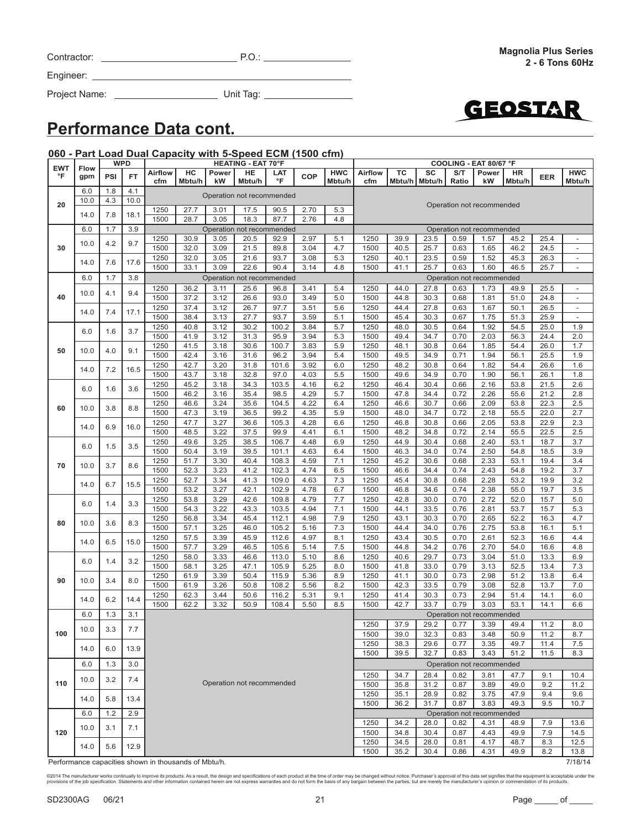| ©2014 The manufacturer works continually to improve its products. As a result, the design and specifications of each product at the time of order may be changed without notice. Purchaser's approval of this data set signifi |
|--------------------------------------------------------------------------------------------------------------------------------------------------------------------------------------------------------------------------------|
| provisions of the job specification. Statements and other information contained herein are not express warranties and do not form the basis of any bargain between the parties, but are merely the manufacturer's opinion or c |
|                                                                                                                                                                                                                                |
|                                                                                                                                                                                                                                |

| SD2300AG | 06/21 |
|----------|-------|

|            | Unit Tag: |  |  |
|------------|-----------|--|--|
| Data cont. |           |  |  |

GEOSTAR

# **Performance**

Engineer:

Project Name: \_\_\_

Contractor: P.O.: P.O.: P.O.: P.O.: P.O.: P.O.: P.O.: P.O.: P.O.: P.O.: P.O.: P.O.: P.O.: P.O.: P.O.: P.O.: P.O.: P.O.: P.O.: P.O.: P.O.: P.O.: P.O.: P.O.: P.O.: P.O.: P.O.: P.O.: P.O.: P.O.: P.O.: P.O.: P.O.: P.O.: P.O.:

#### **060 - Part Load Dual Capacity with 5-Speed ECM (1500 cfm) EWT °F Flow gpm WPD HEATING - EAT 70°F COOLING - EAT 80/67 °F PSI FT Airflow cfm HC Mbtu/h Power kW HE Mbtu/h LAT °F COP HWC Mbtu/h Airflow cfm TC Mbtu/h SC Mbtu/h S/T Ratio Power kW HR Mbtu/h EER HWC Mbtu/h 20** 6.0 1.8 4.1 Operation not recommended<br>10.0 4.3 10.0 Operation not recommended 1250 27.7 3.01 17.5 90.5 2.70 5.3 Operation not recommended 14.0 7.8 18.1 1250 27.7 3.01 17.5 90.5 2.70 5.3 1500 | 28.7 | 3.05 | 18.3 | 87.7 | 2.76 | 4.8 **30** 6.0 1.7 3.9 Operation not recommended Operation not recommended 10.0 4.2 9.7 1250 30.9 3.05 20.5 92.9 2.97 5.1 1250 39.9 23.5 0.59 1.57 45.2 25.4 - 1500 32.0 3.09 21.5 89.8 3.04 4.7 1500 40.5 25.7 0.63 1.65 46.2 24.5 -14.0 7.6 17.6 1250 32.0 3.05 21.6 93.7 3.08 5.3 1250 40.1 23.5 0.59 1.52 45.3 26.3 - 1500 | 33.1 | 3.09 | 22.6 | 90.4 | 3.14 | 4.8 | 1500 | 41.1 | 25.7 | 0.63 | 1.60 | 46.5 | 25.7 | -**40** 6.0 1.7 3.8 Operation not recommended Operation not recommended 10.0 4.1 9.4 1250 36.2 3.11 25.6 96.8 3.41 5.4 1250 44.0 27.8 0.63 1.73 49.9 25.5 - 1500 | 37.2 | 3.12 | 26.6 | 93.0 | 3.49 | 5.0 | 1500 | 44.8 | 30.3 | 0.68 | 1.81 | 51.0 | 24.8 | -14.0 7.4 17.1 1250 37.4 3.12 26.7 97.7 3.51 5.6 1250 44.4 27.8 0.63 1.67 50.1 26.5 - 1500 | 38.4 | 3.13 | 27.7 | 93.7 | 3.59 | 5.1 | 1500 | 45.4 | 30.3 | 0.67 | 1.75 | 51.3 | 25.9 | -**50** 6.0 1.6 3.7 1250 40.8 3.12 30.2 100.2 3.84 5.7 1250 48.0 30.5 0.64 1.92 54.5 25.0 1.9 1500 | 41.9 | 3.12 | 31.3 | 95.9 | 3.94 | 5.3 | 1500 | 49.4 | 34.7 | 0.70 | 2.03 | 56.3 | 24.4 | 2.0 10.0 4.0 9.1 1250 41.5 3.18 30.6 100.7 3.83 5.9 1250 48.1 30.8 0.64 1.85 54.4 26.0 1.7 1500 | 42.4 | 3.16 | 31.6 | 96.2 | 3.94 | 5.4 | 1500 | 49.5 | 34.9 | 0.71 | 1.94 | 56.1 | 25.5 | 1.9 14.0 7.2 16.5 1250 42.7 3.20 31.8 101.6 3.92 6.0 1250 48.2 30.8 0.64 1.82 54.4 26.6 1.6 1500 | 43.7 | 3.18 | 32.8 | 97.0 | 4.03 | 5.5 | 1500 | 49.6 | 34.9 | 0.70 | 1.90 | 56.1 | 26.1 | 1.8 **60** 6.0 1.6 3.6 1250 45.2 3.18 34.3 103.5 4.16 6.2 1250 46.4 30.4 0.66 2.16 53.8 21.5 2.6 1500 | 46.2 | 3.16 | 35.4 | 98.5 | 4.29 | 5.7 | 1500 | 47.8 | 34.4 | 0.72 | 2.26 | 55.6 | 21.2 | 2.8 10.0 3.8 8.8 1250 46.6 3.24 35.6 104.5 4.22 6.4 1250 46.6 30.7 0.66 2.09 53.8 22.3 2.5 1500 | 47.3 | 3.19 | 36.5 | 99.2 | 4.35 | 5.9 | 1500 | 48.0 | 34.7 | 0.72 | 2.18 | 55.5 | 22.0 | 2.7 14.0 6.9 16.0 1250 47.7 3.27 36.6 105.3 4.28 6.6 1250 46.8 30.8 0.66 2.05 53.8 22.9 2.3 1500 | 48.5 | 3.22 | 37.5 | 99.9 | 4.41 | 6.1 | 1500 | 48.2 | 34.8 | 0.72 | 2.14 | 55.5 | 22.5 | 2.5 **70** 6.0 1.5 3.5 1250 49.6 3.25 38.5 106.7 4.48 6.9 1250 44.9 30.4 0.68 2.40 53.1 18.7 3.7 1500 | 50.4 | 3.19 | 39.5 | 101.1 | 4.63 | 6.4 | 1500 | 46.3 | 34.0 | 0.74 | 2.50 | 54.8 | 18.5 | 3.9 10.0 3.7 8.6 1250 51.7 3.30 40.4 108.3 4.59 7.1 1250 45.2 30.6 0.68 2.33 53.1 19.4 3.4 1500 | 52.3 | 3.23 | 41.2 | 102.3 | 4.74 | 6.5 | 1500 | 46.6 | 34.4 | 0.74 | 2.43 | 54.8 | 19.2 | 3.7 14.0 6.7 15.5 1250 52.7 3.34 41.3 109.0 4.63 7.3 1250 45.4 30.8 0.68 2.28 53.2 19.9 3.2 1500 | 53.2 | 3.27 | 42.1 | 102.9 | 4.78 | 6.7 | 1500 | 46.8 | 34.6 | 0.74 | 2.38 | 55.0 | 19.7 | 3.5 **80** 6.0 1.4 3.3 1250 53.8 3.29 42.6 109.8 4.79 7.7 1250 42.8 30.0 0.70 2.72 52.0 15.7 5.0 1500 | 54.3 | 3.22 | 43.3 | 103.5 | 4.94 | 7.1 | 1500 | 44.1 | 33.5 | 0.76 | 2.81 | 53.7 | 15.7 | 5.3 10.0 3.6 8.3 1250 56.8 3.34 45.4 112.1 4.98 7.9 1250 43.1 30.3 0.70 2.65 52.2 16.3 4.7 1500 | 57.1 | 3.25 | 46.0 | 105.2 | 5.16 | 7.3 | 1500 | 44.4 | 34.0 | 0.76 | 2.75 | 53.8 | 16.1 | 5.1 14.0 6.5 15.0 1250 57.5 3.39 45.9 112.6 4.97 8.1 1250 43.4 30.5 0.70 2.61 52.3 16.6 4.4 1500 | 57.7 | 3.29 | 46.5 | 105.6 | 5.14 | 7.5 | 1500 | 44.8 | 34.2 | 0.76 | 2.70 | 54.0 | 16.6 | 4.8 **90** 6.0 1.4 3.2 1250 58.0 3.33 46.6 113.0 5.10 8.6 1250 40.6 29.7 0.73 3.04 51.0 13.3 6.9 1500 | 58.1 | 3.25 | 47.1 | 105.9 | 5.25 | 8.0 | 1500 | 41.8 | 33.0 | 0.79 | 3.13 | 52.5 | 13.4 | 7.3 10.0 3.4 8.0 1250 61.9 3.39 50.4 115.9 5.36 8.9 1250 41.1 30.0 0.73 2.98 51.2 13.8 6.4 1500 61.9 3.26 50.8 108.2 5.56 8.2 1500 42.3 33.5 0.79 3.08 52.8 13.7 7.0 14.0 6.2 14.4 1250 62.3 3.44 50.6 116.2 5.31 9.1 1250 41.4 30.3 0.73 2.94 51.4 14.1 6.0 1500 | 62.2 | 3.32 | 50.9 | 108.4 | 5.50 | 8.5 | 1500 | 42.7 | 33.7 | 0.79 | 3.03 | 53.1 | 14.1 | 6.6 **100**  $60$  13 31 Operation not recommended Operation not recommended 10.0 3.3 7.7 1250 37.9 29.2 0.77 3.39 49.4 11.2 8.0 1500 | 39.0 | 32.3 | 0.83 | 3.48 | 50.9 | 11.2 | 8.7 14.0 6.0 13.9 1250 38.3 29.6 0.77 3.35 49.7 11.4 7.5 1500 39.5 32.7 0.83 3.43 51.2 11.5 8.3 **110** 6.0 1.3 3.0 Operation not recommended 10.0 3.2 7.4 1250 34.7 28.4 0.82 3.81 47.7 9.1 10.4 1500 35.8 31.2 0.87 3.89 49.0 9.2 11.2 14.0 5.8 13.4 1250 35.1 28.9 0.82 3.75 47.9 9.4 9.6 1500 36.2 31.7 0.87 3.83 49.3 9.5 10.7 **120** 6.0 1.2 2.9 Operation not recommended 10.0 3.1 7.1 1250 34.2 28.0 0.82 4.31 48.9 7.9 13.6 1500 34.8 30.4 0.87 4.43 49.9 7.9 14.5 14.0 5.6 12.9 1250 34.5 28.0 0.81 4.17 48.7 8.3 12.5 1500 | 35.2 | 30.4 | 0.86 | 4.31 | 49.9 | 8.2 | 13.8

Performance capacities shown in thousands of Mbtu/h. 7/18/14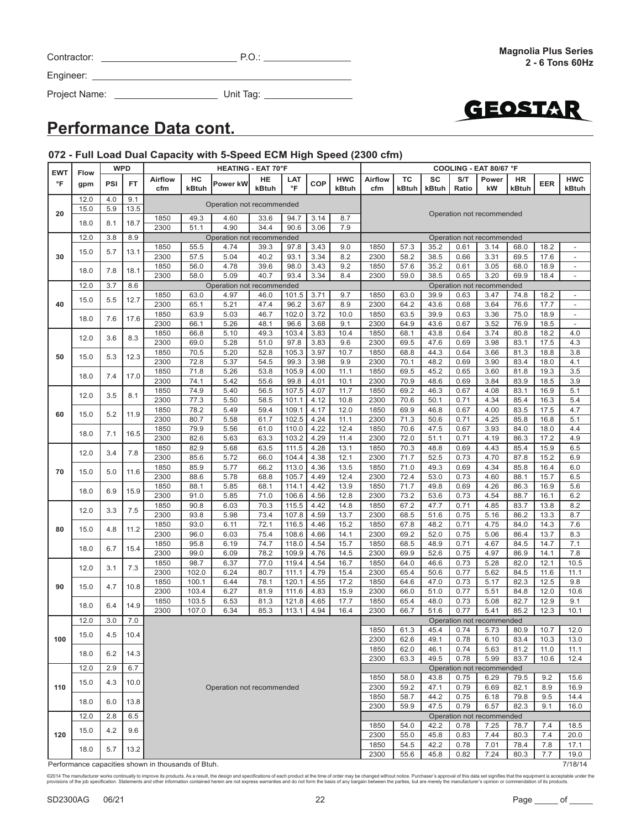Project Name: Unit Tag:



### **Performance Data cont.**

### **072 - Full Load Dual Capacity with 5-Speed ECM High Speed (2300 cfm)**

| <b>EWT</b> | <b>Flow</b> | <b>WPD</b> |      | <b>HEATING - EAT 70°F</b> |                |                                   |              |                |              |                     | COOLING - EAT 80/67 °F |              |              |              |                                   |              |              |                          |      |      |      |      |      |      |      |     |
|------------|-------------|------------|------|---------------------------|----------------|-----------------------------------|--------------|----------------|--------------|---------------------|------------------------|--------------|--------------|--------------|-----------------------------------|--------------|--------------|--------------------------|------|------|------|------|------|------|------|-----|
| °F         | gpm         | <b>PSI</b> | FT   | <b>Airflow</b><br>cfm     | HC<br>kBtuh    | Power kW                          | HE<br>kBtuh  | LAT<br>°F      | COP          | <b>HWC</b><br>kBtuh | Airflow<br>cfm         | ТC<br>kBtuh  | SC<br>kBtuh  | S/T<br>Ratio | Power<br>kW                       | HR<br>kBtuh  | <b>EER</b>   | <b>HWC</b><br>kBtuh      |      |      |      |      |      |      |      |     |
|            | 12.0        | 4.0        | 9.1  |                           |                | Operation not recommended         |              |                |              |                     |                        |              |              |              |                                   |              |              |                          |      |      |      |      |      |      |      |     |
| 20         | 15.0        | 5.9        | 13.5 |                           |                |                                   |              |                |              |                     |                        |              |              |              | Operation not recommended         |              |              |                          |      |      |      |      |      |      |      |     |
|            | 18.0        | 8.1        | 18.7 | 1850<br>2300              | 49.3<br>51.1   | 4.60<br>4.90                      | 33.6<br>34.4 | 94.7<br>90.6   | 3.14<br>3.06 | 8.7<br>7.9          |                        |              |              |              |                                   |              |              |                          |      |      |      |      |      |      |      |     |
|            | 12.0        | 3.8        | 8.9  |                           |                | Operation not recommended         |              |                |              |                     |                        |              |              |              | Operation not recommended         |              |              |                          |      |      |      |      |      |      |      |     |
|            |             |            |      | 1850                      | 55.5           | 4.74                              | 39.3         | 97.8           | 3.43         | 9.0                 | 1850                   | 57.3         | 35.2         | 0.61         | 3.14                              | 68.0         | 18.2         | $\overline{\phantom{a}}$ |      |      |      |      |      |      |      |     |
| 30         | 15.0        | 5.7        | 13.1 | 2300                      | 57.5           | 5.04                              | 40.2         | 93.1           | 3.34         | 8.2                 | 2300                   | 58.2         | 38.5         | 0.66         | 3.31                              | 69.5         | 17.6         |                          |      |      |      |      |      |      |      |     |
|            | 18.0        | 7.8        | 18.1 | 1850                      | 56.0           | 4.78                              | 39.6         | 98.0           | 3.43         | 9.2                 | 1850                   | 57.6         | 35.2         | 0.61         | 3.05                              | 68.0         | 18.9         | $\overline{\phantom{a}}$ |      |      |      |      |      |      |      |     |
|            |             |            |      | 2300                      | 58.0           | 5.09                              | 40.7         | 93.4           | 3.34         | 8.4                 | 2300                   | 59.0         | 38.5         | 0.65         | 3.20                              | 69.9         | 18.4         |                          |      |      |      |      |      |      |      |     |
|            | 12.0        | 3.7        | 8.6  | 1850                      | 63.0           | Operation not recommended<br>4.97 | 46.0         | 101.5          | 3.71         | 9.7                 | 1850                   | 63.0         | 39.9         | 0.63         | Operation not recommended<br>3.47 | 74.8         | 18.2         | $\overline{\phantom{a}}$ |      |      |      |      |      |      |      |     |
| 40         | 15.0        | 5.5        | 12.7 | 2300                      | 65.1           | 5.21                              | 47.4         | 96.2           | 3.67         | 8.9                 | 2300                   | 64.2         | 43.6         | 0.68         | 3.64                              | 76.6         | 17.7         | $\overline{\phantom{a}}$ |      |      |      |      |      |      |      |     |
|            |             |            |      | 1850                      | 63.9           | 5.03                              | 46.7         | 102.0          | 3.72         | 10.0                | 1850                   | 63.5         | 39.9         | 0.63         | 3.36                              | 75.0         | 18.9         | $\overline{\phantom{a}}$ |      |      |      |      |      |      |      |     |
|            | 18.0        | 7.6        | 17.6 | 2300                      | 66.1           | 5.26                              | 48.1         | 96.6           | 3.68         | 9.1                 | 2300                   | 64.9         | 43.6         | 0.67         | 3.52                              | 76.9         | 18.5         | $\overline{\phantom{a}}$ |      |      |      |      |      |      |      |     |
|            | 12.0        | 3.6        | 8.3  | 1850                      | 66.8           | 5.10                              | 49.3         | 103.4          | 3.83         | 10.4                | 1850                   | 68.1         | 43.8         | 0.64         | 3.74                              | 80.8         | 18.2         | 4.0                      |      |      |      |      |      |      |      |     |
|            |             |            |      | 2300                      | 69.0           | 5.28                              | 51.0         | 97.8           | 3.83         | 9.6                 | 2300                   | 69.5         | 47.6         | 0.69         | 3.98                              | 83.1         | 17.5         | 4.3                      |      |      |      |      |      |      |      |     |
| 50         | 15.0        | 5.3        | 12.3 | 1850                      | 70.5           | 5.20                              | 52.8         | 105.3          | 3.97         | 10.7                | 1850                   | 68.8         | 44.3         | 0.64         | 3.66                              | 81.3         | 18.8         | 3.8                      |      |      |      |      |      |      |      |     |
|            |             |            |      | 2300<br>1850              | 72.8<br>71.8   | 5.37<br>5.26                      | 54.5<br>53.8 | 99.3<br>105.9  | 3.98<br>4.00 | 9.9<br>11.1         | 2300<br>1850           | 70.1<br>69.5 | 48.2<br>45.2 | 0.69<br>0.65 | 3.90<br>3.60                      | 83.4<br>81.8 | 18.0<br>19.3 | 4.1<br>3.5               |      |      |      |      |      |      |      |     |
|            | 18.0        | 7.4        | 17.0 | 2300                      | 74.1           | 5.42                              | 55.6         | 99.8           | 4.01         | 10.1                | 2300                   | 70.9         | 48.6         | 0.69         | 3.84                              | 83.9         | 18.5         | 3.9                      |      |      |      |      |      |      |      |     |
|            |             |            |      | 1850                      | 74.9           | 5.40                              | 56.5         | 107.5          | 4.07         | 11.7                | 1850                   | 69.2         | 46.3         | 0.67         | 4.08                              | 83.1         | 16.9         | 5.1                      |      |      |      |      |      |      |      |     |
|            | 12.0        | 3.5        |      | 8.1                       | 2300           | 77.3                              | 5.50         | 58.5           | 101.1        | 4.12                | 10.8                   | 2300         | 70.6         | 50.1         | 0.71                              | 4.34         | 85.4         | 16.3                     | 5.4  |      |      |      |      |      |      |     |
| 60         | 15.0        | 5.2        | 11.9 | 1850                      | 78.2           | 5.49                              | 59.4         | 109.1          | 4.17         | 12.0                | 1850                   | 69.9         | 46.8         | 0.67         | 4.00                              | 83.5         | 17.5         | 4.7                      |      |      |      |      |      |      |      |     |
|            |             |            |      |                           |                |                                   |              |                |              |                     |                        | 2300         | 80.7         | 5.58         | 61.7                              | 102.5        | 4.24         | 11.1                     | 2300 | 71.3 | 50.6 | 0.71 | 4.25 | 85.8 | 16.8 | 5.1 |
|            | 18.0        | 7.1        | 16.5 | 1850                      | 79.9           | 5.56                              | 61.0         | 110.0          | 4.22         | 12.4                | 1850                   | 70.6         | 47.5         | 0.67         | 3.93                              | 84.0         | 18.0         | 4.4                      |      |      |      |      |      |      |      |     |
|            |             |            |      | 2300                      | 82.6           | 5.63                              | 63.3         | 103.2          | 4.29         | 11.4                | 2300                   | 72.0         | 51.1         | 0.71         | 4.19                              | 86.3         | 17.2         | 4.9                      |      |      |      |      |      |      |      |     |
|            | 12.0        | 3.4        | 7.8  | 1850<br>2300              | 82.9<br>85.6   | 5.68<br>5.72                      | 63.5<br>66.0 | 111.5<br>104.4 | 4.28<br>4.38 | 13.1<br>12.1        | 1850<br>2300           | 70.3<br>71.7 | 48.8<br>52.5 | 0.69<br>0.73 | 4.43<br>4.70                      | 85.4<br>87.8 | 15.9<br>15.2 | 6.5<br>6.9               |      |      |      |      |      |      |      |     |
|            |             |            |      | 1850                      | 85.9           | 5.77                              | 66.2         | 113.0          | 4.36         | 13.5                | 1850                   | 71.0         | 49.3         | 0.69         | 4.34                              | 85.8         | 16.4         | 6.0                      |      |      |      |      |      |      |      |     |
| 70         | 15.0        | 5.0        | 11.6 | 2300                      | 88.6           | 5.78                              | 68.8         | 105.7          | 4.49         | 12.4                | 2300                   | 72.4         | 53.0         | 0.73         | 4.60                              | 88.1         | 15.7         | 6.5                      |      |      |      |      |      |      |      |     |
|            | 18.0        | 6.9        | 15.9 | 1850                      | 88.1           | 5.85                              | 68.1         | 114.1          | 4.42         | 13.9                | 1850                   | 71.7         | 49.8         | 0.69         | 4.26                              | 86.3         | 16.9         | 5.6                      |      |      |      |      |      |      |      |     |
|            |             |            |      | 2300                      | 91.0           | 5.85                              | 71.0         | 106.6          | 4.56         | 12.8                | 2300                   | 73.2         | 53.6         | 0.73         | 4.54                              | 88.7         | 16.1         | 6.2                      |      |      |      |      |      |      |      |     |
|            | 12.0        | 3.3        | 7.5  | 1850                      | 90.8           | 6.03                              | 70.3         | 115.5          | 4.42         | 14.8                | 1850                   | 67.2         | 47.7         | 0.71         | 4.85                              | 83.7         | 13.8         | 8.2                      |      |      |      |      |      |      |      |     |
|            |             |            |      | 2300                      | 93.8           | 5.98<br>6.11                      | 73.4         | 107.8          | 4.59         | 13.7                | 2300                   | 68.5         | 51.6         | 0.75<br>0.71 | 5.16                              | 86.2         | 13.3         | 8.7                      |      |      |      |      |      |      |      |     |
| 80         | 15.0        | 4.8        | 11.2 | 1850<br>2300              | 93.0<br>96.0   | 6.03                              | 72.1<br>75.4 | 116.5<br>108.6 | 4.46<br>4.66 | 15.2<br>14.1        | 1850<br>2300           | 67.8<br>69.2 | 48.2<br>52.0 | 0.75         | 4.75<br>5.06                      | 84.0<br>86.4 | 14.3<br>13.7 | 7.6<br>8.3               |      |      |      |      |      |      |      |     |
|            |             |            |      | 1850                      | 95.8           | 6.19                              | 74.7         | 118.0          | 4.54         | 15.7                | 1850                   | 68.5         | 48.9         | 0.71         | 4.67                              | 84.5         | 14.7         | 7.1                      |      |      |      |      |      |      |      |     |
|            | 18.0        | 6.7        | 15.4 | 2300                      | 99.0           | 6.09                              | 78.2         | 109.9          | 4.76         | 14.5                | 2300                   | 69.9         | 52.6         | 0.75         | 4.97                              | 86.9         | 14.1         | 7.8                      |      |      |      |      |      |      |      |     |
|            | 12.0        | 3.1        | 7.3  | 1850                      | 98.7           | 6.37                              | 77.0         | 119.4          | 4.54         | 16.7                | 1850                   | 64.0         | 46.6         | 0.73         | 5.28                              | 82.0         | 12.1         | 10.5                     |      |      |      |      |      |      |      |     |
|            |             |            |      | 2300                      | 102.0          | 6.24                              | 80.7         | 111.1          | 4.79         | 15.4                | 2300                   | 65.4         | 50.6         | 0.77         | 5.62                              | 84.5         | 11.6         | 11.1                     |      |      |      |      |      |      |      |     |
| 90         | 15.0        | 4.7        | 10.8 | 1850                      | 100.1          | 6.44                              | 78.1         | 120.1          | 4.55         | 17.2                | 1850                   | 64.6         | 47.0         | 0.73         | 5.17                              | 82.3         | 12.5         | 9.8                      |      |      |      |      |      |      |      |     |
|            |             |            |      | 2300<br>1850              | 103.4<br>103.5 | 6.27<br>6.53                      | 81.9<br>81.3 | 111.6<br>121.8 | 4.83<br>4.65 | 15.9<br>17.7        | 2300<br>1850           | 66.0<br>65.4 | 51.0<br>48.0 | 0.77<br>0.73 | 5.51<br>5.08                      | 84.8<br>82.7 | 12.0<br>12.9 | 10.6<br>9.1              |      |      |      |      |      |      |      |     |
|            | 18.0        | 6.4        | 14.9 | 2300                      | 107.0          | 6.34                              | 85.3         | 113.1          | 4.94         | 16.4                | 2300                   | 66.7         | 51.6         | 0.77         | 5.41                              | 85.2         | 12.3         | 10.1                     |      |      |      |      |      |      |      |     |
|            | 12.0        | 3.0        | 7.0  |                           |                |                                   |              |                |              |                     |                        |              |              |              | Operation not recommended         |              |              |                          |      |      |      |      |      |      |      |     |
|            |             | 4.5        |      |                           |                |                                   |              |                |              |                     | 1850                   | 61.3         | 45.4         | 0.74         | 5.73                              | 80.9         | 10.7         | 12.0                     |      |      |      |      |      |      |      |     |
| 100        | 15.0        |            | 10.4 |                           |                |                                   |              |                |              |                     | 2300                   | 62.6         | 49.1         | 0.78         | 6.10                              | 83.4         | 10.3         | 13.0                     |      |      |      |      |      |      |      |     |
|            | 18.0        | 6.2        | 14.3 |                           |                |                                   |              |                |              |                     | 1850                   | 62.0         | 46.1         | 0.74         | 5.63                              | 81.2         | 11.0         | 11.1                     |      |      |      |      |      |      |      |     |
|            |             |            |      |                           |                |                                   |              |                |              |                     | 2300                   | 63.3         | 49.5         | 0.78         | 5.99                              | 83.7         | 10.6         | 12.4                     |      |      |      |      |      |      |      |     |
|            | 12.0        | 2.9        | 6.7  |                           |                |                                   |              |                |              |                     | 1850                   | 58.0         | 43.8         | 0.75         | Operation not recommended<br>6.29 | 79.5         | 9.2          | 15.6                     |      |      |      |      |      |      |      |     |
| 110        | 15.0        | 4.3        | 10.0 |                           |                | Operation not recommended         |              |                |              |                     | 2300                   | 59.2         | 47.1         | 0.79         | 6.69                              | 82.1         | 8.9          | 16.9                     |      |      |      |      |      |      |      |     |
|            |             |            |      |                           |                |                                   |              |                |              |                     | 1850                   | 58.7         | 44.2         | 0.75         | 6.18                              | 79.8         | 9.5          | 14.4                     |      |      |      |      |      |      |      |     |
|            | 18.0        | 6.0        | 13.8 |                           |                |                                   |              |                |              |                     | 2300                   | 59.9         | 47.5         | 0.79         | 6.57                              | 82.3         | 9.1          | 16.0                     |      |      |      |      |      |      |      |     |
|            | 12.0        | 2.8        | 6.5  |                           |                |                                   |              |                |              |                     |                        |              |              |              | Operation not recommended         |              |              |                          |      |      |      |      |      |      |      |     |
|            | 15.0        | 4.2        | 9.6  |                           |                |                                   |              |                |              |                     | 1850                   | 54.0         | 42.2         | 0.78         | 7.25                              | 78.7         | 7.4          | 18.5                     |      |      |      |      |      |      |      |     |
| 120        |             |            |      |                           |                |                                   |              |                |              |                     | 2300                   | 55.0         | 45.8         | 0.83         | 7.44                              | 80.3         | 7.4          | 20.0                     |      |      |      |      |      |      |      |     |
|            | 18.0        | 5.7        | 13.2 |                           |                |                                   |              |                |              |                     | 1850                   | 54.5         | 42.2         | 0.78         | 7.01                              | 78.4         | 7.8          | 17.1                     |      |      |      |      |      |      |      |     |
|            |             |            |      |                           |                |                                   |              |                |              |                     | 2300                   | 55.6         | 45.8         | 0.82         | 7.24                              | 80.3         | 7.7          | 19.0                     |      |      |      |      |      |      |      |     |

Performance capacities shown in thousands of Btuh. 7/18/14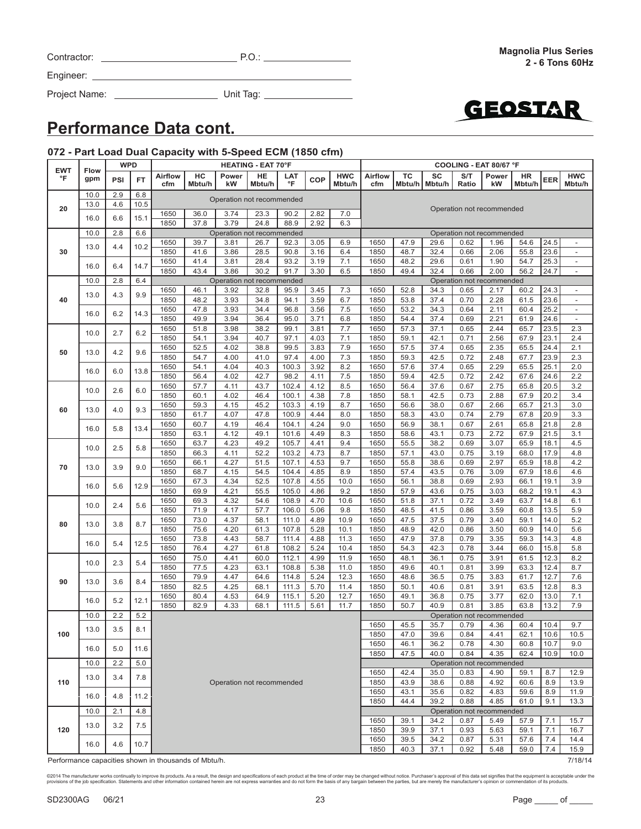| <b>CIA/T</b> | $\Gamma$ Elow |
|--------------|---------------|

Engineer: \_\_\_

| <b>Performance Data cont.</b> |  |  |
|-------------------------------|--|--|

Project Name: Unit Tag:

Contractor: P.O.:

#### **072 - Part Load Dual Capacity with 5-Speed ECM (1850 cfm)**

| <b>EWT</b> | Flow         | <b>WPD</b> |             | <b>HEATING - EAT 70°F</b>                            |              |                           |              |                | COOLING - EAT 80/67 °F |                      |                |              |                       |              |                                   |              |              |                                                      |     |
|------------|--------------|------------|-------------|------------------------------------------------------|--------------|---------------------------|--------------|----------------|------------------------|----------------------|----------------|--------------|-----------------------|--------------|-----------------------------------|--------------|--------------|------------------------------------------------------|-----|
| °F         | gpm          | PSI        | FT          | <b>Airflow</b><br>cfm                                | HC<br>Mbtu/h | Power<br>kW               | HE<br>Mbtu/h | LAT<br>°F      | <b>COP</b>             | <b>HWC</b><br>Mbtu/h | Airflow<br>cfm | TC           | sc<br>Mbtu/h   Mbtu/h | S/T<br>Ratio | Power<br>kW                       | HR<br>Mbtu/h | EER          | <b>HWC</b><br>Mbtu/h                                 |     |
|            | 10.0<br>13.0 | 2.9<br>4.6 | 6.8<br>10.5 |                                                      |              | Operation not recommended |              |                |                        |                      |                |              |                       |              |                                   |              |              |                                                      |     |
| 20         |              |            |             | 1650                                                 | 36.0         | 3.74                      | 23.3         | 90.2           | 2.82                   | 7.0                  |                |              |                       |              | Operation not recommended         |              |              |                                                      |     |
|            | 16.0         | 6.6        | 15.1        | 1850                                                 | 37.8         | 3.79                      | 24.8         | 88.9           | 2.92                   | 6.3                  |                |              |                       |              |                                   |              |              |                                                      |     |
|            | 10.0         | 2.8        | 6.6         |                                                      |              | Operation not recommended |              |                |                        |                      |                |              |                       |              | Operation not recommended         |              |              |                                                      |     |
|            | 13.0         | 4.4        | 10.2        | 1650                                                 | 39.7         | 3.81                      | 26.7         | 92.3           | 3.05                   | 6.9                  | 1650           | 47.9         | 29.6                  | 0.62         | 1.96                              | 54.6         | 24.5         | $\overline{\phantom{a}}$                             |     |
| 30         |              |            |             | 1850                                                 | 41.6         | 3.86                      | 28.5         | 90.8           | 3.16                   | 6.4                  | 1850           | 48.7         | 32.4                  | 0.66         | 2.06                              | 55.8         | 23.6         | $\overline{\phantom{a}}$                             |     |
|            | 16.0         | 6.4        | 14.7        | 1650<br>1850                                         | 41.4<br>43.4 | 3.81<br>3.86              | 28.4<br>30.2 | 93.2<br>91.7   | 3.19<br>3.30           | 7.1<br>6.5           | 1650<br>1850   | 48.2<br>49.4 | 29.6<br>32.4          | 0.61<br>0.66 | 1.90<br>2.00                      | 54.7<br>56.2 | 25.3<br>24.7 | $\overline{\phantom{a}}$<br>$\overline{\phantom{a}}$ |     |
|            | 10.0         | 2.8        | 6.4         |                                                      |              | Operation not recommended |              |                |                        |                      |                |              |                       |              | Operation not recommended         |              |              |                                                      |     |
|            |              |            |             | 1650                                                 | 46.1         | 3.92                      | 32.8         | 95.9           | 3.45                   | 7.3                  | 1650           | 52.8         | 34.3                  | 0.65         | 2.17                              | 60.2         | 24.3         | $\overline{\phantom{a}}$                             |     |
| 40         | 13.0         | 4.3        | 9.9         | 1850                                                 | 48.2         | 3.93                      | 34.8         | 94.1           | 3.59                   | 6.7                  | 1850           | 53.8         | 37.4                  | 0.70         | 2.28                              | 61.5         | 23.6         | $\overline{\phantom{a}}$                             |     |
|            | 16.0         | 6.2        | 14.3        | 1650                                                 | 47.8         | 3.93                      | 34.4         | 96.8           | 3.56                   | 7.5                  | 1650           | 53.2         | 34.3                  | 0.64         | 2.11                              | 60.4         | 25.2         | $\overline{\phantom{a}}$                             |     |
|            |              |            |             | 1850                                                 | 49.9         | 3.94                      | 36.4         | 95.0           | 3.71                   | 6.8                  | 1850           | 54.4         | 37.4                  | 0.69         | 2.21                              | 61.9         | 24.6         | $\overline{\phantom{a}}$                             |     |
|            | 10.0         | 2.7        | 6.2         | 1650                                                 | 51.8         | 3.98                      | 38.2         | 99.1           | 3.81                   | 7.7                  | 1650           | 57.3         | 37.1                  | 0.65         | 2.44                              | 65.7         | 23.5         | 2.3                                                  |     |
|            |              |            |             | 1850<br>1650                                         | 54.1<br>52.5 | 3.94<br>4.02              | 40.7<br>38.8 | 97.1<br>99.5   | 4.03<br>3.83           | 7.1<br>7.9           | 1850<br>1650   | 59.1<br>57.5 | 42.1<br>37.4          | 0.71<br>0.65 | 2.56<br>2.35                      | 67.9<br>65.5 | 23.1<br>24.4 | 2.4<br>2.1                                           |     |
| 50         | 13.0         | 4.2        | 9.6         | 1850                                                 | 54.7         | 4.00                      | 41.0         | 97.4           | 4.00                   | 7.3                  | 1850           | 59.3         | 42.5                  | 0.72         | 2.48                              | 67.7         | 23.9         | 2.3                                                  |     |
|            |              |            |             | 1650                                                 | 54.1         | 4.04                      | 40.3         | 100.3          | 3.92                   | 8.2                  | 1650           | 57.6         | 37.4                  | 0.65         | 2.29                              | 65.5         | 25.1         | 2.0                                                  |     |
|            | 16.0         | 6.0        | 13.8        | 1850                                                 | 56.4         | 4.02                      | 42.7         | 98.2           | 4.11                   | 7.5                  | 1850           | 59.4         | 42.5                  | 0.72         | 2.42                              | 67.6         | 24.6         | 2.2                                                  |     |
|            | 10.0         | 2.6        | 6.0         | 1650                                                 | 57.7         | 4.11                      | 43.7         | 102.4          | 4.12                   | 8.5                  | 1650           | 56.4         | 37.6                  | 0.67         | 2.75                              | 65.8         | 20.5         | 3.2                                                  |     |
|            |              |            |             | 1850                                                 | 60.1         | 4.02                      | 46.4         | 100.1          | 4.38                   | 7.8                  | 1850           | 58.1         | 42.5                  | 0.73         | 2.88                              | 67.9         | 20.2         | 3.4                                                  |     |
| 60         | 13.0         | 4.0        | 9.3         | 1650                                                 | 59.3         | 4.15                      | 45.2         | 103.3          | 4.19                   | 8.7                  | 1650           | 56.6         | 38.0                  | 0.67         | 2.66                              | 65.7         | 21.3         | 3.0                                                  |     |
|            |              |            |             | 1850                                                 | 61.7         | 4.07                      | 47.8         | 100.9          | 4.44                   | 8.0                  | 1850           | 58.3         | 43.0                  | 0.74         | 2.79                              | 67.8         | 20.9         | 3.3                                                  |     |
|            | 16.0         | 5.8        | 13.4        | 1650<br>1850                                         | 60.7<br>63.1 | 4.19<br>4.12              | 46.4<br>49.1 | 104.1<br>101.6 | 4.24<br>4.49           | 9.0<br>8.3           | 1650<br>1850   | 56.9<br>58.6 | 38.1<br>43.1          | 0.67<br>0.73 | 2.61<br>2.72                      | 65.8<br>67.9 | 21.8<br>21.5 | 2.8<br>3.1                                           |     |
|            |              |            |             | 1650                                                 | 63.7         | 4.23                      | 49.2         | 105.7          | 4.41                   | 9.4                  | 1650           | 55.5         | 38.2                  | 0.69         | 3.07                              | 65.9         | 18.1         | 4.5                                                  |     |
|            | 10.0         | 2.5        |             | 5.8                                                  | 1850         | 66.3                      | 4.11         | 52.2           | 103.2                  | 4.73                 | 8.7            | 1850         | 57.1                  | 43.0         | 0.75                              | 3.19         | 68.0         | 17.9                                                 | 4.8 |
|            |              |            |             | 1650                                                 | 66.1         | 4.27                      | 51.5         | 107.1          | 4.53                   | 9.7                  | 1650           | 55.8         | 38.6                  | 0.69         | 2.97                              | 65.9         | 18.8         | 4.2                                                  |     |
| 70         | 13.0         | 3.9        | 9.0         | 1850                                                 | 68.7         | 4.15                      | 54.5         | 104.4          | 4.85                   | 8.9                  | 1850           | 57.4         | 43.5                  | 0.76         | 3.09                              | 67.9         | 18.6         | 4.6                                                  |     |
|            | 16.0         | 5.6        | 12.9        | 1650                                                 | 67.3         | 4.34                      | 52.5         | 107.8          | 4.55                   | 10.0                 | 1650           | 56.1         | 38.8                  | 0.69         | 2.93                              | 66.1         | 19.1         | 3.9                                                  |     |
|            |              |            |             | 1850                                                 | 69.9         | 4.21                      | 55.5         | 105.0          | 4.86                   | 9.2                  | 1850           | 57.9         | 43.6                  | 0.75         | 3.03                              | 68.2         | 19.1         | 4.3                                                  |     |
|            | 10.0         | 2.4        | 5.6         | 1650<br>1850                                         | 69.3<br>71.9 | 4.32<br>4.17              | 54.6<br>57.7 | 108.9<br>106.0 | 4.70<br>5.06           | 10.6<br>9.8          | 1650<br>1850   | 51.8<br>48.5 | 37.1<br>41.5          | 0.72<br>0.86 | 3.49<br>3.59                      | 63.7<br>60.8 | 14.8<br>13.5 | 6.1<br>5.9                                           |     |
|            |              |            |             | 1650                                                 | 73.0         | 4.37                      | 58.1         | 111.0          | 4.89                   | 10.9                 | 1650           | 47.5         | 37.5                  | 0.79         | 3.40                              | 59.1         | 14.0         | 5.2                                                  |     |
| 80         | 13.0         | 3.8        | 8.7         | 1850                                                 | 75.6         | 4.20                      | 61.3         | 107.8          | 5.28                   | 10.1                 | 1850           | 48.9         | 42.0                  | 0.86         | 3.50                              | 60.9         | 14.0         | 5.6                                                  |     |
|            |              |            |             | 1650                                                 | 73.8         | 4.43                      | 58.7         | 111.4          | 4.88                   | 11.3                 | 1650           | 47.9         | 37.8                  | 0.79         | 3.35                              | 59.3         | 14.3         | 4.8                                                  |     |
|            | 16.0         | 5.4        | 12.5        | 1850                                                 | 76.4         | 4.27                      | 61.8         | 108.2          | 5.24                   | 10.4                 | 1850           | 54.3         | 42.3                  | 0.78         | 3.44                              | 66.0         | 15.8         | 5.8                                                  |     |
|            | 10.0         | 2.3        | 5.4         | 1650                                                 | 75.0         | 4.41                      | 60.0         | 112.1          | 4.99                   | 11.9                 | 1650           | 48.1         | 36.1                  | 0.75         | 3.91                              | 61.5         | 12.3         | 8.2                                                  |     |
|            |              |            |             | 1850                                                 | 77.5         | 4.23                      | 63.1         | 108.8          | 5.38                   | 11.0                 | 1850           | 49.6         | 40.1                  | 0.81         | 3.99                              | 63.3         | 12.4         | 8.7                                                  |     |
| 90         | 13.0         | 3.6        | 8.4         | 1650<br>1850                                         | 79.9<br>82.5 | 4.47<br>4.25              | 64.6<br>68.1 | 114.8<br>111.3 | 5.24<br>5.70           | 12.3<br>11.4         | 1650<br>1850   | 48.6<br>50.1 | 36.5<br>40.6          | 0.75<br>0.81 | 3.83<br>3.91                      | 61.7<br>63.5 | 12.7<br>12.8 | 7.6<br>8.3                                           |     |
|            |              |            |             | 1650                                                 | 80.4         | 4.53                      | 64.9         | 115.1          | 5.20                   | 12.7                 | 1650           | 49.1         | 36.8                  | 0.75         | 3.77                              | 62.0         | 13.0         | 7.1                                                  |     |
|            | 16.0         | 5.2        | 12.1        | 1850                                                 | 82.9         | 4.33                      | 68.1         | 111.5          | 5.61                   | 11.7                 | 1850           | 50.7         | 40.9                  | 0.81         | 3.85                              | 63.8         | 13.2         | 7.9                                                  |     |
|            | 10.0         | 2.2        | 5.2         |                                                      |              |                           |              |                |                        |                      |                |              |                       |              | Operation not recommended         |              |              |                                                      |     |
|            | 13.0         | 3.5        | 8.1         |                                                      |              |                           |              |                |                        |                      | 1650           | 45.5         | 35.7                  | 0.79         | 4.36                              | 60.4         | 10.4         | 9.7                                                  |     |
| 100        |              |            |             |                                                      |              |                           |              |                |                        |                      | 1850           | 47.0         | 39.6                  | 0.84         | 4.41                              | 62.1         | 10.6         | 10.5                                                 |     |
|            | 16.0         | 5.0        | 11.6        |                                                      |              |                           |              |                |                        |                      | 1650<br>1850   | 46.1<br>47.5 | 36.2<br>40.0          | 0.78<br>0.84 | 4.30<br>4.35                      | 60.8<br>62.4 | 10.7<br>10.9 | 9.0<br>10.0                                          |     |
|            | 10.0         | 2.2        | 5.0         |                                                      |              |                           |              |                |                        |                      |                |              |                       |              | Operation not recommended         |              |              |                                                      |     |
|            |              |            |             |                                                      |              |                           |              |                |                        |                      | 1650           | 42.4         | 35.0                  | 0.83         | 4.90                              | 59.1         | 8.7          | 12.9                                                 |     |
| 110        | 13.0         | 3.4        | 7.8         |                                                      |              | Operation not recommended |              |                |                        |                      | 1850           | 43.9         | 38.6                  | 0.88         | 4.92                              | 60.6         | 8.9          | 13.9                                                 |     |
|            | 16.0         | 4.8        | 11.2        |                                                      |              |                           |              |                |                        |                      | 1650           | 43.1         | 35.6                  | 0.82         | 4.83                              | 59.6         | 8.9          | 11.9                                                 |     |
|            | 10.0         | 2.1        | 4.8         |                                                      |              |                           |              |                |                        |                      | 1850           | 44.4         | 39.2                  | 0.88         | 4.85<br>Operation not recommended | 61.0         | 9.1          | 13.3                                                 |     |
|            |              |            |             |                                                      |              |                           |              |                |                        |                      | 1650           | 39.1         | 34.2                  | 0.87         | 5.49                              | 57.9         | 7.1          | 15.7                                                 |     |
| 120        | 13.0         | 3.2        | 7.5         |                                                      |              |                           |              |                |                        |                      | 1850           | 39.9         | 37.1                  | 0.93         | 5.63                              | 59.1         | 7.1          | 16.7                                                 |     |
|            | 16.0         | 4.6        | 10.7        |                                                      |              |                           |              |                |                        |                      | 1650           | 39.5         | 34.2                  | 0.87         | 5.31                              | 57.6         | 7.4          | 14.4                                                 |     |
|            |              |            |             |                                                      |              |                           |              |                |                        |                      | 1850           | 40.3         | 37.1                  | 0.92         | 5.48                              | 59.0         | 7.4          | 15.9                                                 |     |
|            |              |            |             | Performance capacities shown in thousands of Mbtu/h. |              |                           |              |                |                        |                      |                |              |                       |              |                                   |              |              | 7/18/14                                              |     |

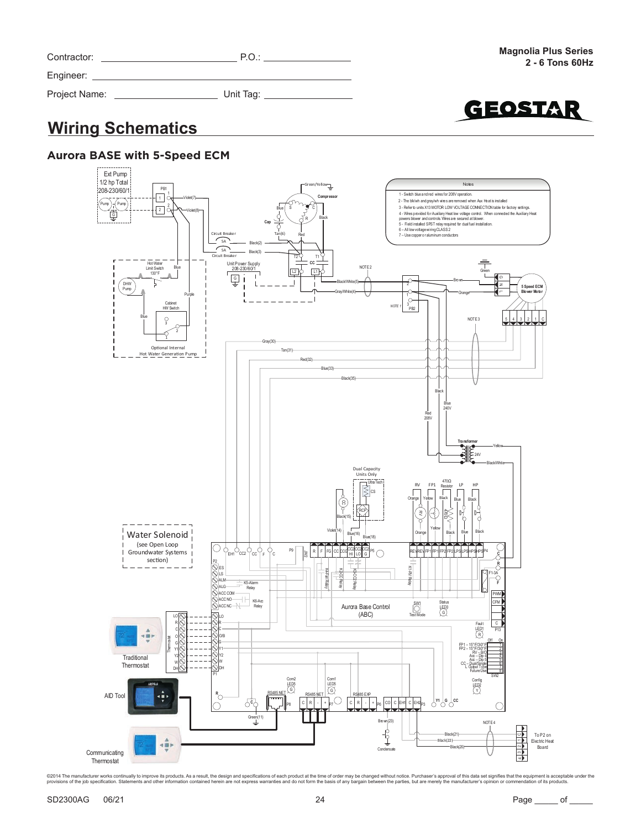| Contractor:   | P.O.             |
|---------------|------------------|
| Engineer:     |                  |
| Project Name: | Unit Tag: $_{-}$ |



# **Wiring Schematics**

### **Aurora BASE with 5-Speed ECM**

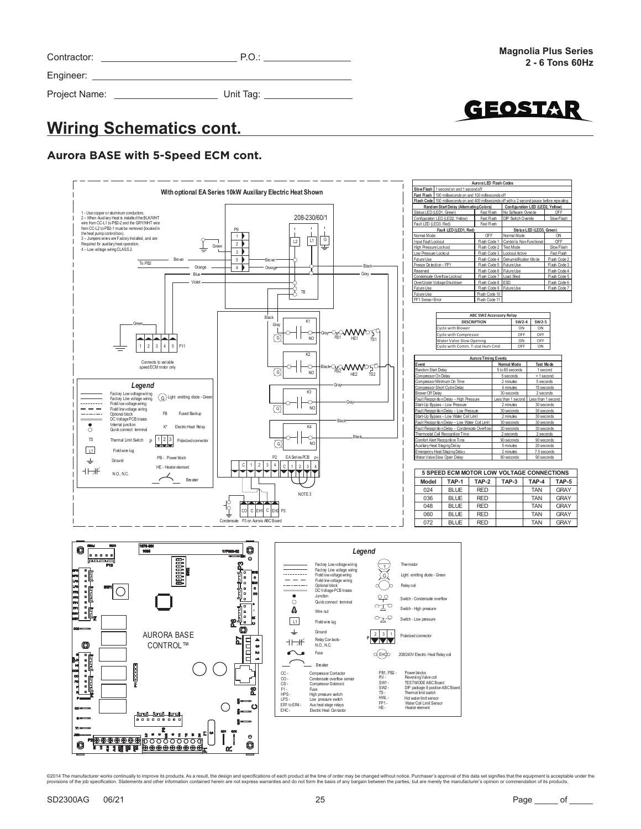| Contractor:   | P.O.      |
|---------------|-----------|
| Engineer:     |           |
| Project Name: | Unit Tag: |



## **Wiring Schematics cont.**

### **Aurora BASE with 5-Speed ECM cont.**

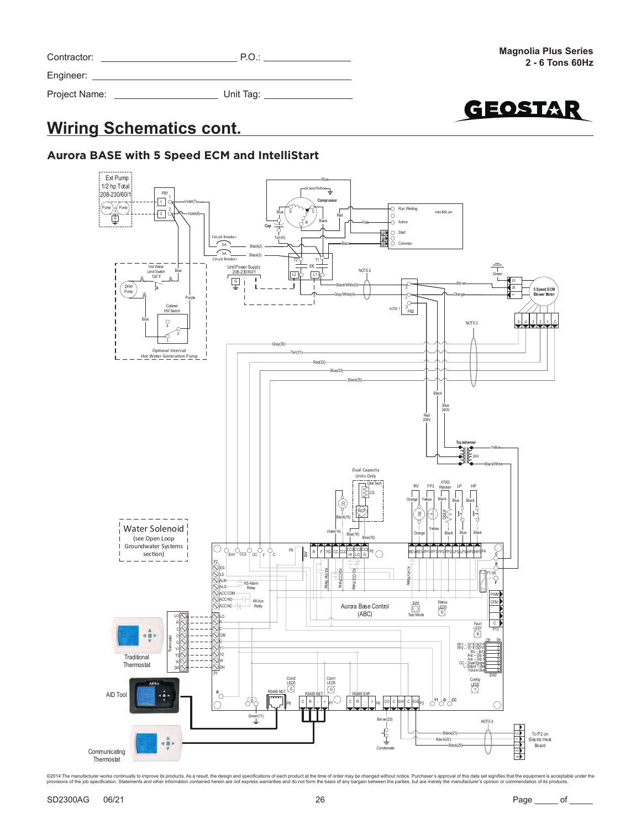| Contractor:   | P.O.      |
|---------------|-----------|
| Engineer:     |           |
| Project Name: | Unit Tag: |



# **Wiring Schematics cont.**

### **Aurora BASE with 5 Speed ECM and IntelliStart**

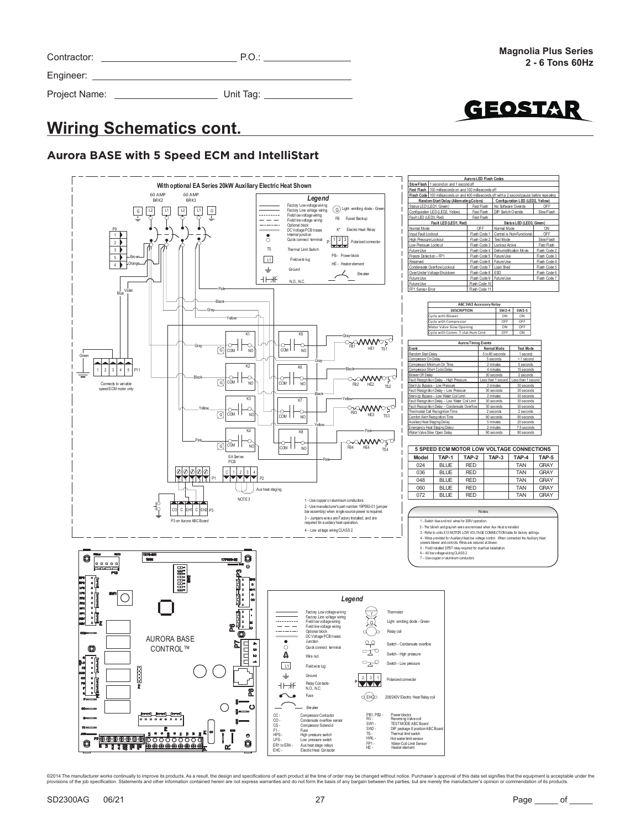| Contractor:   | P.O.      |
|---------------|-----------|
| Engineer:     |           |
| Project Name: | Unit Tag: |



# **Wiring Schematics cont.**

### **Aurora BASE with 5 Speed ECM and IntelliStart**

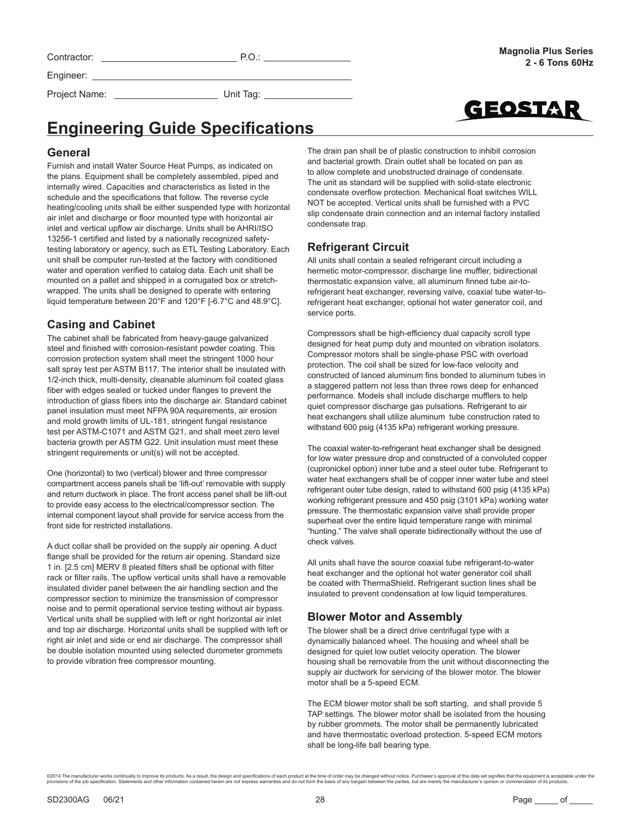Contractor: P.O.: P.O.: P.O.: P.O.: P.O.: P.O.: P.O.: P.O.: P.O.: P.O.: P.O.: P.O.: P.O.: P.O.: P.O.: P.O.: P.O.: P.O.: P.O.: P.O.: P.O.: P.O.: P.O.: P.O.: P.O.: P.O.: P.O.: P.O.: P.O.: P.O.: P.O.: P.O.: P.O.: P.O.: P.O.: Engineer:



Project Name: \_\_\_\_\_\_\_\_\_\_\_\_\_\_\_\_\_\_\_\_\_\_\_\_\_\_\_\_\_\_\_\_\_\_ Unit Tag: \_

# **Engineering Guide Specifications**

#### **General**

Furnish and install Water Source Heat Pumps, as indicated on the plans. Equipment shall be completely assembled, piped and internally wired. Capacities and characteristics as listed in the schedule and the specifications that follow. The reverse cycle heating/cooling units shall be either suspended type with horizontal air inlet and discharge or floor mounted type with horizontal air inlet and vertical upflow air discharge. Units shall be AHRI/ISO 13256-1 certified and listed by a nationally recognized safetytesting laboratory or agency, such as ETL Testing Laboratory. Each unit shall be computer run-tested at the factory with conditioned water and operation verified to catalog data. Each unit shall be mounted on a pallet and shipped in a corrugated box or stretchwrapped. The units shall be designed to operate with entering liquid temperature between 20°F and 120°F [-6.7°C and 48.9°C].

### **Casing and Cabinet**

The cabinet shall be fabricated from heavy-gauge galvanized steel and finished with corrosion-resistant powder coating. This corrosion protection system shall meet the stringent 1000 hour salt spray test per ASTM B117. The interior shall be insulated with 1/2-inch thick, multi-density, cleanable aluminum foil coated glass fiber with edges sealed or tucked under flanges to prevent the introduction of glass fibers into the discharge air. Standard cabinet panel insulation must meet NFPA 90A requirements, air erosion and mold growth limits of UL-181, stringent fungal resistance test per ASTM-C1071 and ASTM G21, and shall meet zero level bacteria growth per ASTM G22. Unit insulation must meet these stringent requirements or unit(s) will not be accepted.

One (horizontal) to two (vertical) blower and three compressor compartment access panels shall be 'lift-out' removable with supply and return ductwork in place. The front access panel shall be lift-out to provide easy access to the electrical/compressor section. The internal component layout shall provide for service access from the front side for restricted installations.

A duct collar shall be provided on the supply air opening. A duct flange shall be provided for the return air opening. Standard size 1 in. [2.5 cm] MERV 8 pleated filters shall be optional with filter rack or filter rails. The upflow vertical units shall have a removable insulated divider panel between the air handling section and the compressor section to minimize the transmission of compressor noise and to permit operational service testing without air bypass. Vertical units shall be supplied with left or right horizontal air inlet and top air discharge. Horizontal units shall be supplied with left or right air inlet and side or end air discharge. The compressor shall be double isolation mounted using selected durometer grommets to provide vibration free compressor mounting.

The drain pan shall be of plastic construction to inhibit corrosion and bacterial growth. Drain outlet shall be located on pan as to allow complete and unobstructed drainage of condensate. The unit as standard will be supplied with solid-state electronic condensate overflow protection. Mechanical float switches WILL NOT be accepted. Vertical units shall be furnished with a PVC slip condensate drain connection and an internal factory installed condensate trap.

### **Refrigerant Circuit**

All units shall contain a sealed refrigerant circuit including a hermetic motor-compressor, discharge line muffler, bidirectional thermostatic expansion valve, all aluminum finned tube air-torefrigerant heat exchanger, reversing valve, coaxial tube water-torefrigerant heat exchanger, optional hot water generator coil, and service ports.

Compressors shall be high-efficiency dual capacity scroll type designed for heat pump duty and mounted on vibration isolators. Compressor motors shall be single-phase PSC with overload protection. The coil shall be sized for low-face velocity and constructed of lanced aluminum fins bonded to aluminum tubes in a staggered pattern not less than three rows deep for enhanced performance. Models shall include discharge mufflers to help quiet compressor discharge gas pulsations. Refrigerant to air heat exchangers shall utilize aluminum tube construction rated to withstand 600 psig (4135 kPa) refrigerant working pressure.

The coaxial water-to-refrigerant heat exchanger shall be designed for low water pressure drop and constructed of a convoluted copper (cupronickel option) inner tube and a steel outer tube. Refrigerant to water heat exchangers shall be of copper inner water tube and steel refrigerant outer tube design, rated to withstand 600 psig (4135 kPa) working refrigerant pressure and 450 psig (3101 kPa) working water pressure. The thermostatic expansion valve shall provide proper superheat over the entire liquid temperature range with minimal "hunting." The valve shall operate bidirectionally without the use of check valves.

All units shall have the source coaxial tube refrigerant-to-water heat exchanger and the optional hot water generator coil shall be coated with ThermaShield. Refrigerant suction lines shall be insulated to prevent condensation at low liquid temperatures.

### **Blower Motor and Assembly**

The blower shall be a direct drive centrifugal type with a dynamically balanced wheel. The housing and wheel shall be designed for quiet low outlet velocity operation. The blower housing shall be removable from the unit without disconnecting the supply air ductwork for servicing of the blower motor. The blower motor shall be a 5-speed ECM.

The ECM blower motor shall be soft starting, and shall provide 5 TAP settings. The blower motor shall be isolated from the housing by rubber grommets. The motor shall be permanently lubricated and have thermostatic overload protection. 5-speed ECM motors shall be long-life ball bearing type.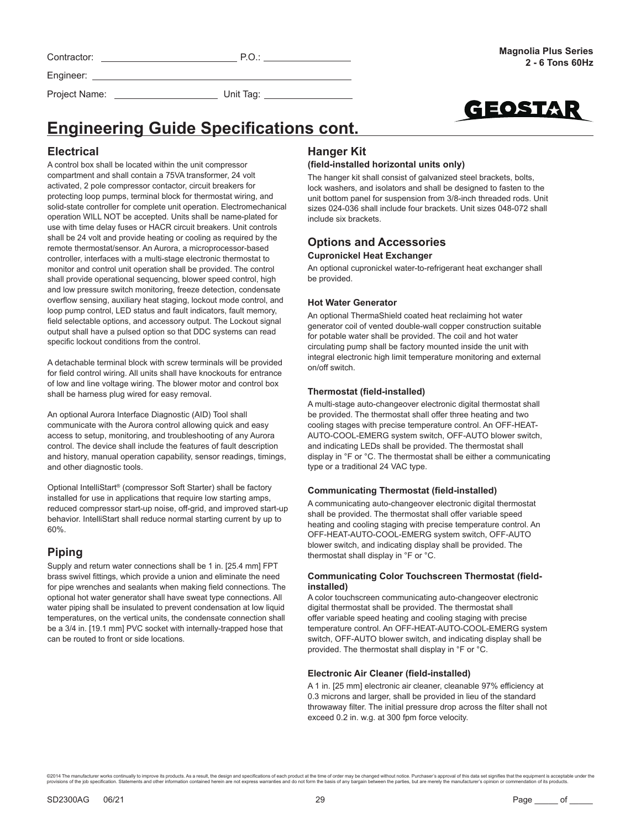| Contractor |
|------------|
| Engineer:  |

Contractor: P.O.: **P.O.:** P.O.: P.O.: P.O.: P.O.: P.O.: P.O.: P.O.: P.O.: P.O.: P.O.: P.O.: P.O.: P.O.: P.O.: P.O.: P.O.: P.O.: P.O.: P.O.: P.O.: P.O.: P.O.: P.O.: P.O.: P.O.: P.O.: P.O.: P.O.: P.O.: P.O.: P.O.: P.O.: P.O.

GEOSTAI

# **Engineering Guide Specifications cont.**

### **Electrical**

A control box shall be located within the unit compressor compartment and shall contain a 75VA transformer, 24 volt activated, 2 pole compressor contactor, circuit breakers for protecting loop pumps, terminal block for thermostat wiring, and solid-state controller for complete unit operation. Electromechanical operation WILL NOT be accepted. Units shall be name-plated for use with time delay fuses or HACR circuit breakers. Unit controls shall be 24 volt and provide heating or cooling as required by the remote thermostat/sensor. An Aurora, a microprocessor-based controller, interfaces with a multi-stage electronic thermostat to monitor and control unit operation shall be provided. The control shall provide operational sequencing, blower speed control, high and low pressure switch monitoring, freeze detection, condensate overflow sensing, auxiliary heat staging, lockout mode control, and loop pump control, LED status and fault indicators, fault memory, field selectable options, and accessory output. The Lockout signal output shall have a pulsed option so that DDC systems can read specific lockout conditions from the control.

Project Name: Unit Tag: \_

A detachable terminal block with screw terminals will be provided for field control wiring. All units shall have knockouts for entrance of low and line voltage wiring. The blower motor and control box shall be harness plug wired for easy removal.

An optional Aurora Interface Diagnostic (AID) Tool shall communicate with the Aurora control allowing quick and easy access to setup, monitoring, and troubleshooting of any Aurora control. The device shall include the features of fault description and history, manual operation capability, sensor readings, timings, and other diagnostic tools.

Optional IntelliStart® (compressor Soft Starter) shall be factory installed for use in applications that require low starting amps. reduced compressor start-up noise, off-grid, and improved start-up behavior. IntelliStart shall reduce normal starting current by up to 60%.

### **Piping**

Supply and return water connections shall be 1 in. [25.4 mm] FPT brass swivel fittings, which provide a union and eliminate the need for pipe wrenches and sealants when making field connections. The optional hot water generator shall have sweat type connections. All water piping shall be insulated to prevent condensation at low liquid temperatures, on the vertical units, the condensate connection shall be a 3/4 in. [19.1 mm] PVC socket with internally-trapped hose that can be routed to front or side locations.

### **Hanger Kit**

#### **(field-installed horizontal units only)**

The hanger kit shall consist of galvanized steel brackets, bolts, lock washers, and isolators and shall be designed to fasten to the unit bottom panel for suspension from 3/8-inch threaded rods. Unit sizes 024-036 shall include four brackets. Unit sizes 048-072 shall include six brackets.

#### **Options and Accessories Cupronickel Heat Exchanger**

An optional cupronickel water-to-refrigerant heat exchanger shall be provided.

#### **Hot Water Generator**

An optional ThermaShield coated heat reclaiming hot water generator coil of vented double-wall copper construction suitable for potable water shall be provided. The coil and hot water circulating pump shall be factory mounted inside the unit with integral electronic high limit temperature monitoring and external on/off switch.

#### **Thermostat (field-installed)**

A multi-stage auto-changeover electronic digital thermostat shall be provided. The thermostat shall offer three heating and two cooling stages with precise temperature control. An OFF-HEAT-AUTO-COOL-EMERG system switch, OFF-AUTO blower switch, and indicating LEDs shall be provided. The thermostat shall display in °F or °C. The thermostat shall be either a communicating type or a traditional 24 VAC type.

#### **Communicating Thermostat (field-installed)**

A communicating auto-changeover electronic digital thermostat shall be provided. The thermostat shall offer variable speed heating and cooling staging with precise temperature control. An OFF-HEAT-AUTO-COOL-EMERG system switch, OFF-AUTO blower switch, and indicating display shall be provided. The thermostat shall display in °F or °C.

#### **Communicating Color Touchscreen Thermostat (fieldinstalled)**

A color touchscreen communicating auto-changeover electronic digital thermostat shall be provided. The thermostat shall offer variable speed heating and cooling staging with precise temperature control. An OFF-HEAT-AUTO-COOL-EMERG system switch, OFF-AUTO blower switch, and indicating display shall be provided. The thermostat shall display in °F or °C.

#### **Electronic Air Cleaner (field-installed)**

A 1 in. [25 mm] electronic air cleaner, cleanable 97% efficiency at 0.3 microns and larger, shall be provided in lieu of the standard throwaway filter. The initial pressure drop across the filter shall not exceed 0.2 in. w.g. at 300 fpm force velocity.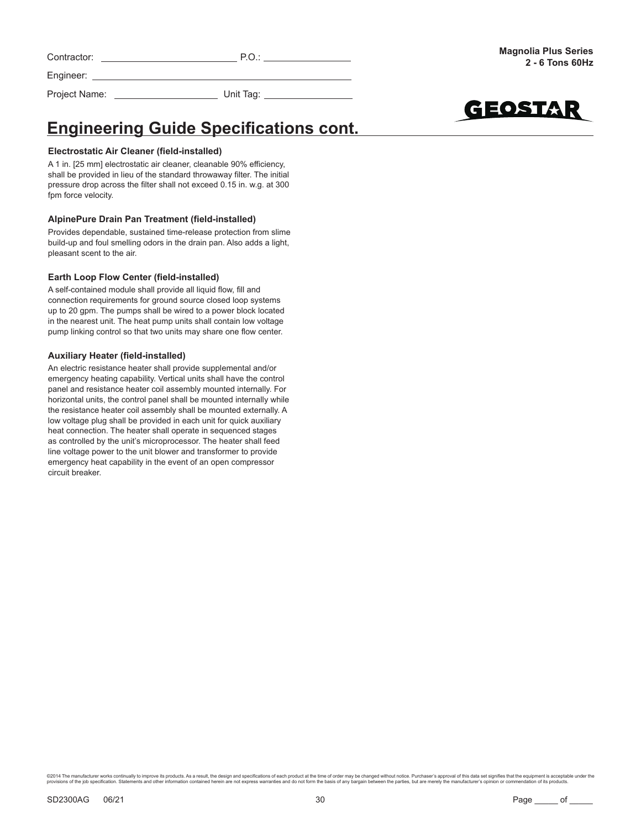| Contractor: | . . |  |
|-------------|-----|--|
|             |     |  |

Project Name: Unit Tag:



**Engineering Guide Specifications cont.** 

#### **Electrostatic Air Cleaner (field-installed)**

Engineer:

A 1 in. [25 mm] electrostatic air cleaner, cleanable 90% efficiency, shall be provided in lieu of the standard throwaway filter. The initial pressure drop across the filter shall not exceed 0.15 in. w.g. at 300 fpm force velocity.

#### **AlpinePure Drain Pan Treatment (field-installed)**

Provides dependable, sustained time-release protection from slime build-up and foul smelling odors in the drain pan. Also adds a light, pleasant scent to the air.

#### **Earth Loop Flow Center (field-installed)**

A self-contained module shall provide all liquid flow, fill and connection requirements for ground source closed loop systems up to 20 gpm. The pumps shall be wired to a power block located in the nearest unit. The heat pump units shall contain low voltage pump linking control so that two units may share one flow center.

#### **Auxiliary Heater (field-installed)**

An electric resistance heater shall provide supplemental and/or emergency heating capability. Vertical units shall have the control panel and resistance heater coil assembly mounted internally. For horizontal units, the control panel shall be mounted internally while the resistance heater coil assembly shall be mounted externally. A low voltage plug shall be provided in each unit for quick auxiliary heat connection. The heater shall operate in sequenced stages as controlled by the unit's microprocessor. The heater shall feed line voltage power to the unit blower and transformer to provide emergency heat capability in the event of an open compressor circuit breaker.